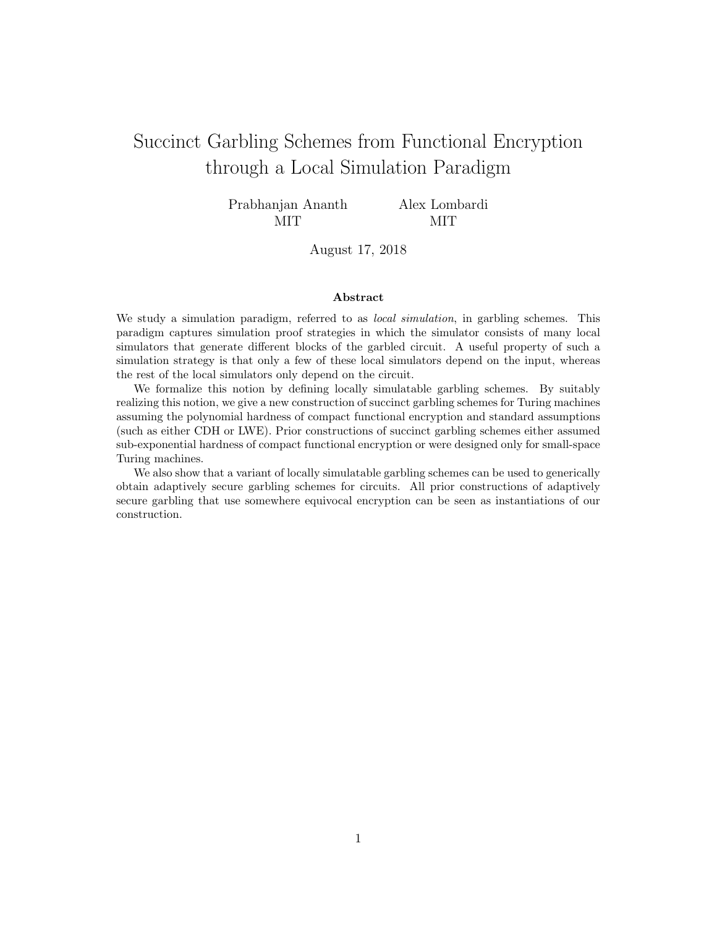# <span id="page-0-0"></span>Succinct Garbling Schemes from Functional Encryption through a Local Simulation Paradigm

Prabhanjan Ananth MIT

Alex Lombardi MIT

August 17, 2018

#### Abstract

We study a simulation paradigm, referred to as *local simulation*, in garbling schemes. This paradigm captures simulation proof strategies in which the simulator consists of many local simulators that generate different blocks of the garbled circuit. A useful property of such a simulation strategy is that only a few of these local simulators depend on the input, whereas the rest of the local simulators only depend on the circuit.

We formalize this notion by defining locally simulatable garbling schemes. By suitably realizing this notion, we give a new construction of succinct garbling schemes for Turing machines assuming the polynomial hardness of compact functional encryption and standard assumptions (such as either CDH or LWE). Prior constructions of succinct garbling schemes either assumed sub-exponential hardness of compact functional encryption or were designed only for small-space Turing machines.

We also show that a variant of locally simulatable garbling schemes can be used to generically obtain adaptively secure garbling schemes for circuits. All prior constructions of adaptively secure garbling that use somewhere equivocal encryption can be seen as instantiations of our construction.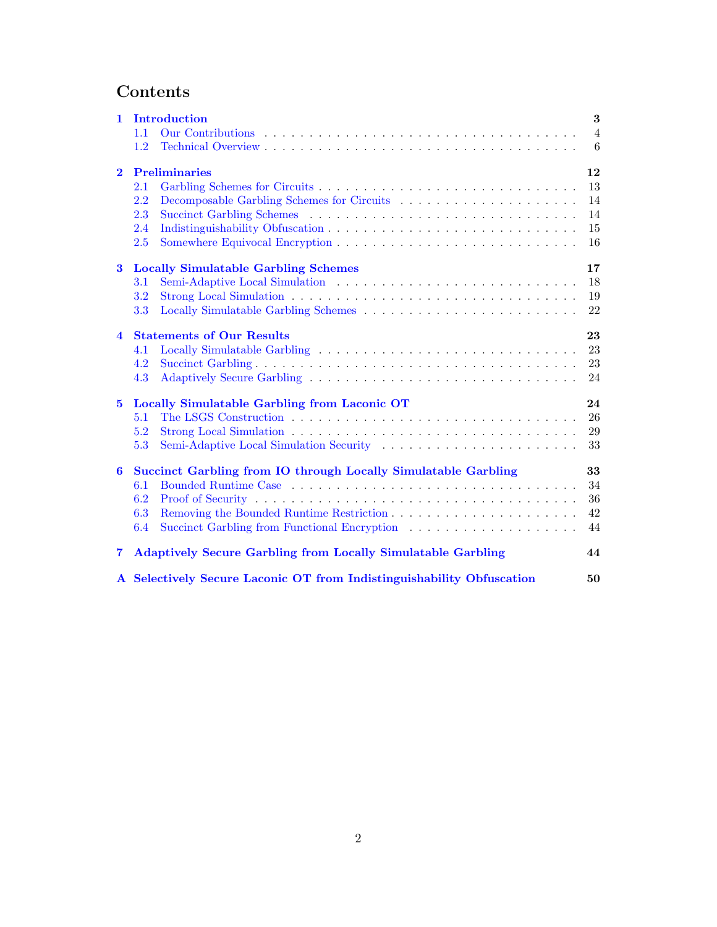# Contents

| 1.                      | Introduction                                                          | 3                   |
|-------------------------|-----------------------------------------------------------------------|---------------------|
|                         | 1.1<br>1.2                                                            | $\overline{4}$<br>6 |
|                         |                                                                       |                     |
| $\overline{2}$          | <b>Preliminaries</b>                                                  | 12                  |
|                         | 2.1                                                                   | 13                  |
|                         | 2.2                                                                   | 14                  |
|                         | 2.3                                                                   | 14                  |
|                         | 2.4                                                                   | 15                  |
|                         | 2.5                                                                   | 16                  |
| $\bf{3}$                | <b>Locally Simulatable Garbling Schemes</b>                           | 17                  |
|                         | 3.1                                                                   | 18                  |
|                         | 3.2                                                                   | 19                  |
|                         | 3.3                                                                   | 22                  |
| $\overline{\mathbf{4}}$ | <b>Statements of Our Results</b>                                      | 23                  |
|                         | 4.1                                                                   | 23                  |
|                         | 4.2                                                                   | 23                  |
|                         | 4.3                                                                   | 24                  |
| $5^{\circ}$             | Locally Simulatable Garbling from Laconic OT                          | 24                  |
|                         | 5.1                                                                   | 26                  |
|                         | 5.2                                                                   | 29                  |
|                         | 5.3                                                                   | 33                  |
| $\bf{6}$                | Succinct Garbling from IO through Locally Simulatable Garbling        | 33                  |
|                         | 6.1                                                                   | 34                  |
|                         | 6.2                                                                   | 36                  |
|                         | 6.3                                                                   | 42                  |
|                         | 6.4                                                                   | 44                  |
| $\overline{\mathbf{7}}$ | <b>Adaptively Secure Garbling from Locally Simulatable Garbling</b>   | 44                  |
|                         | A Selectively Secure Laconic OT from Indistinguishability Obfuscation | 50                  |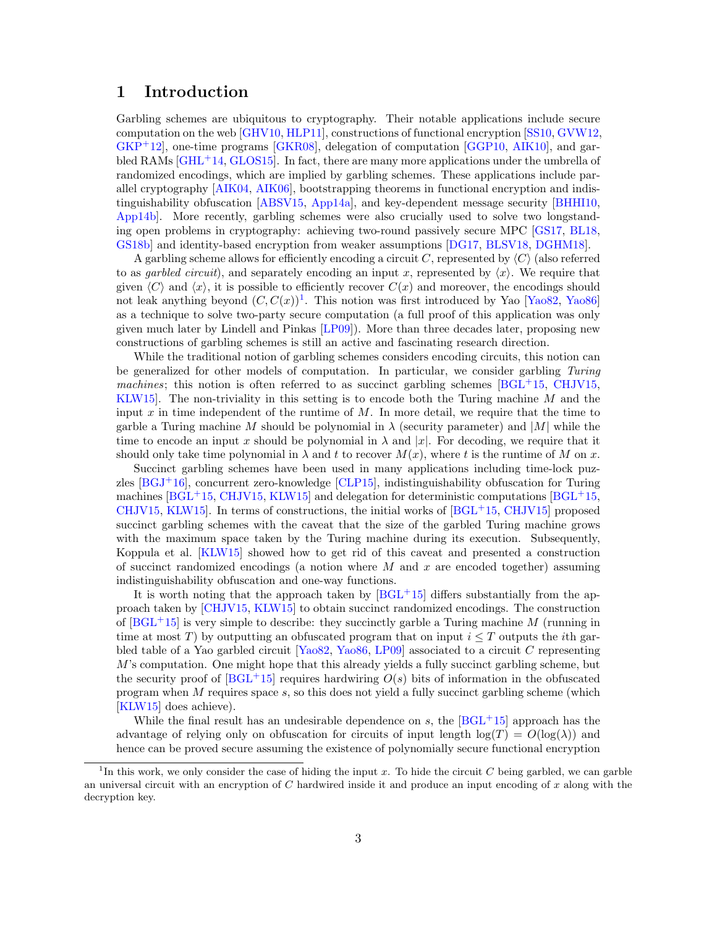## <span id="page-2-0"></span>1 Introduction

Garbling schemes are ubiquitous to cryptography. Their notable applications include secure computation on the web [\[GHV10,](#page-48-0) [HLP11\]](#page-49-1), constructions of functional encryption [\[SS10,](#page-49-2) [GVW12,](#page-49-3) [GKP](#page-48-1)+12], one-time programs [\[GKR08\]](#page-48-2), delegation of computation [\[GGP10,](#page-48-3) [AIK10\]](#page-46-0), and gar-bled RAMs [\[GHL](#page-48-4)<sup>+</sup>14, [GLOS15\]](#page-48-5). In fact, there are many more applications under the umbrella of randomized encodings, which are implied by garbling schemes. These applications include parallel cryptography [\[AIK04,](#page-46-1) [AIK06\]](#page-46-2), bootstrapping theorems in functional encryption and indistinguishability obfuscation [\[ABSV15,](#page-46-3) [App14a\]](#page-46-4), and key-dependent message security [\[BHHI10,](#page-47-0) [App14b\]](#page-46-5). More recently, garbling schemes were also crucially used to solve two longstanding open problems in cryptography: achieving two-round passively secure MPC [\[GS17,](#page-48-6) [BL18,](#page-47-1) [GS18b\]](#page-49-4) and identity-based encryption from weaker assumptions [\[DG17,](#page-47-2) [BLSV18,](#page-47-3) [DGHM18\]](#page-48-7).

A garbling scheme allows for efficiently encoding a circuit C, represented by  $\langle C \rangle$  (also referred to as *qarbled circuit*), and separately encoding an input x, represented by  $\langle x \rangle$ . We require that given  $\langle C \rangle$  and  $\langle x \rangle$ , it is possible to efficiently recover  $C(x)$  and moreover, the encodings should not leak anything beyond  $(C, C(x))$ <sup>[1](#page-0-0)</sup>. This notion was first introduced by Yao [\[Yao82,](#page-49-5) [Yao86\]](#page-49-6) as a technique to solve two-party secure computation (a full proof of this application was only given much later by Lindell and Pinkas [\[LP09\]](#page-49-7)). More than three decades later, proposing new constructions of garbling schemes is still an active and fascinating research direction.

While the traditional notion of garbling schemes considers encoding circuits, this notion can be generalized for other models of computation. In particular, we consider garbling Turing machines; this notion is often referred to as succinct garbling schemes  $[BGL^{+1}5, CHJV15,$  $[BGL^{+1}5, CHJV15,$  $[BGL^{+1}5, CHJV15,$ KLW15. The non-triviality in this setting is to encode both the Turing machine  $M$  and the input x in time independent of the runtime of  $M$ . In more detail, we require that the time to garble a Turing machine M should be polynomial in  $\lambda$  (security parameter) and |M| while the time to encode an input x should be polynomial in  $\lambda$  and  $|x|$ . For decoding, we require that it should only take time polynomial in  $\lambda$  and t to recover  $M(x)$ , where t is the runtime of M on x.

Succinct garbling schemes have been used in many applications including time-lock puzzles  $[BGJ<sup>+</sup>16]$  $[BGJ<sup>+</sup>16]$ , concurrent zero-knowledge  $[CLP15]$ , indistinguishability obfuscation for Turing machines  $[BGL<sup>+</sup>15, CHJV15, KLW15]$  $[BGL<sup>+</sup>15, CHJV15, KLW15]$  $[BGL<sup>+</sup>15, CHJV15, KLW15]$  $[BGL<sup>+</sup>15, CHJV15, KLW15]$  $[BGL<sup>+</sup>15, CHJV15, KLW15]$  and delegation for deterministic computations  $[BGL<sup>+</sup>15,$ [CHJV15,](#page-47-5) KLW15. In terms of constructions, the initial works of  $[BGL<sup>+</sup>15, CHJV15]$  $[BGL<sup>+</sup>15, CHJV15]$  $[BGL<sup>+</sup>15, CHJV15]$  proposed succinct garbling schemes with the caveat that the size of the garbled Turing machine grows with the maximum space taken by the Turing machine during its execution. Subsequently, Koppula et al. [\[KLW15\]](#page-49-8) showed how to get rid of this caveat and presented a construction of succinct randomized encodings (a notion where  $M$  and  $x$  are encoded together) assuming indistinguishability obfuscation and one-way functions.

It is worth noting that the approach taken by  $[BGL^+15]$  $[BGL^+15]$  differs substantially from the approach taken by [\[CHJV15,](#page-47-5) [KLW15\]](#page-49-8) to obtain succinct randomized encodings. The construction of  $[BGL^+15]$  $[BGL^+15]$  is very simple to describe: they succinctly garble a Turing machine M (running in time at most T) by outputting an obfuscated program that on input  $i \leq T$  outputs the *i*th garbled table of a Yao garbled circuit [\[Yao82,](#page-49-5) [Yao86,](#page-49-6) [LP09\]](#page-49-7) associated to a circuit C representing  $M$ 's computation. One might hope that this already yields a fully succinct garbling scheme, but the security proof of  $[BGL^{+}15]$  $[BGL^{+}15]$  requires hardwiring  $O(s)$  bits of information in the obfuscated program when  $M$  requires space  $s$ , so this does not yield a fully succinct garbling scheme (which [\[KLW15\]](#page-49-8) does achieve).

While the final result has an undesirable dependence on s, the  $[BGL^+15]$  $[BGL^+15]$  approach has the advantage of relying only on obfuscation for circuits of input length  $log(T) = O(log(\lambda))$  and hence can be proved secure assuming the existence of polynomially secure functional encryption

<sup>&</sup>lt;sup>1</sup>In this work, we only consider the case of hiding the input x. To hide the circuit C being garbled, we can garble an universal circuit with an encryption of  $C$  hardwired inside it and produce an input encoding of  $x$  along with the decryption key.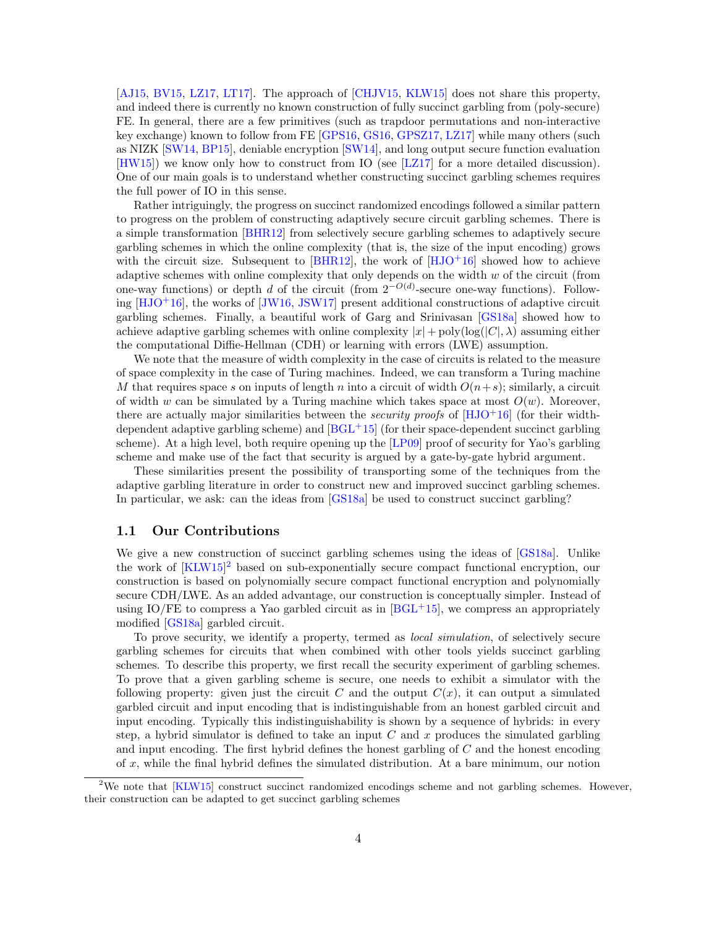[\[AJ15,](#page-46-6) [BV15,](#page-47-8) [LZ17,](#page-49-9) [LT17\]](#page-49-10). The approach of [\[CHJV15,](#page-47-5) [KLW15\]](#page-49-8) does not share this property, and indeed there is currently no known construction of fully succinct garbling from (poly-secure) FE. In general, there are a few primitives (such as trapdoor permutations and non-interactive key exchange) known to follow from FE [\[GPS16,](#page-48-8) [GS16,](#page-48-9) [GPSZ17,](#page-48-10) [LZ17\]](#page-49-9) while many others (such as NIZK [\[SW14,](#page-49-11) [BP15\]](#page-47-9), deniable encryption [\[SW14\]](#page-49-11), and long output secure function evaluation [\[HW15\]](#page-49-12)) we know only how to construct from IO (see [\[LZ17\]](#page-49-9) for a more detailed discussion). One of our main goals is to understand whether constructing succinct garbling schemes requires the full power of IO in this sense.

Rather intriguingly, the progress on succinct randomized encodings followed a similar pattern to progress on the problem of constructing adaptively secure circuit garbling schemes. There is a simple transformation [\[BHR12\]](#page-47-10) from selectively secure garbling schemes to adaptively secure garbling schemes in which the online complexity (that is, the size of the input encoding) grows with the circuit size. Subsequent to  $[BHR12]$ , the work of  $[HJO<sup>+16]</sup>$  $[HJO<sup>+16]</sup>$  showed how to achieve adaptive schemes with online complexity that only depends on the width  $w$  of the circuit (from one-way functions) or depth d of the circuit (from  $2^{-O(d)}$ -secure one-way functions). Following  $[HJO+16]$  $[HJO+16]$ , the works of  $JW16$ , JSW17 present additional constructions of adaptive circuit garbling schemes. Finally, a beautiful work of Garg and Srinivasan [\[GS18a\]](#page-48-11) showed how to achieve adaptive garbling schemes with online complexity  $|x| + \text{poly}(\log(|C|, \lambda))$  assuming either the computational Diffie-Hellman (CDH) or learning with errors (LWE) assumption.

We note that the measure of width complexity in the case of circuits is related to the measure of space complexity in the case of Turing machines. Indeed, we can transform a Turing machine M that requires space s on inputs of length n into a circuit of width  $O(n+s)$ ; similarly, a circuit of width w can be simulated by a Turing machine which takes space at most  $O(w)$ . Moreover, there are actually major similarities between the *security proofs* of  $[HJO+16]$  $[HJO+16]$  (for their widthdependent adaptive garbling scheme) and  $[BGL^{+}15]$  $[BGL^{+}15]$  (for their space-dependent succinct garbling scheme). At a high level, both require opening up the [\[LP09\]](#page-49-7) proof of security for Yao's garbling scheme and make use of the fact that security is argued by a gate-by-gate hybrid argument.

These similarities present the possibility of transporting some of the techniques from the adaptive garbling literature in order to construct new and improved succinct garbling schemes. In particular, we ask: can the ideas from [\[GS18a\]](#page-48-11) be used to construct succinct garbling?

#### <span id="page-3-0"></span>1.1 Our Contributions

We give a new construction of succinct garbling schemes using the ideas of [\[GS18a\]](#page-48-11). Unlike the work of [\[KLW15\]](#page-49-8) [2](#page-0-0) based on sub-exponentially secure compact functional encryption, our construction is based on polynomially secure compact functional encryption and polynomially secure CDH/LWE. As an added advantage, our construction is conceptually simpler. Instead of using IO/FE to compress a Yao garbled circuit as in  $[BGL^+15]$  $[BGL^+15]$ , we compress an appropriately modified [\[GS18a\]](#page-48-11) garbled circuit.

To prove security, we identify a property, termed as local simulation, of selectively secure garbling schemes for circuits that when combined with other tools yields succinct garbling schemes. To describe this property, we first recall the security experiment of garbling schemes. To prove that a given garbling scheme is secure, one needs to exhibit a simulator with the following property: given just the circuit C and the output  $C(x)$ , it can output a simulated garbled circuit and input encoding that is indistinguishable from an honest garbled circuit and input encoding. Typically this indistinguishability is shown by a sequence of hybrids: in every step, a hybrid simulator is defined to take an input  $C$  and  $x$  produces the simulated garbling and input encoding. The first hybrid defines the honest garbling of C and the honest encoding of  $x$ , while the final hybrid defines the simulated distribution. At a bare minimum, our notion

<sup>&</sup>lt;sup>2</sup>We note that  $KLW15$  construct succinct randomized encodings scheme and not garbling schemes. However, their construction can be adapted to get succinct garbling schemes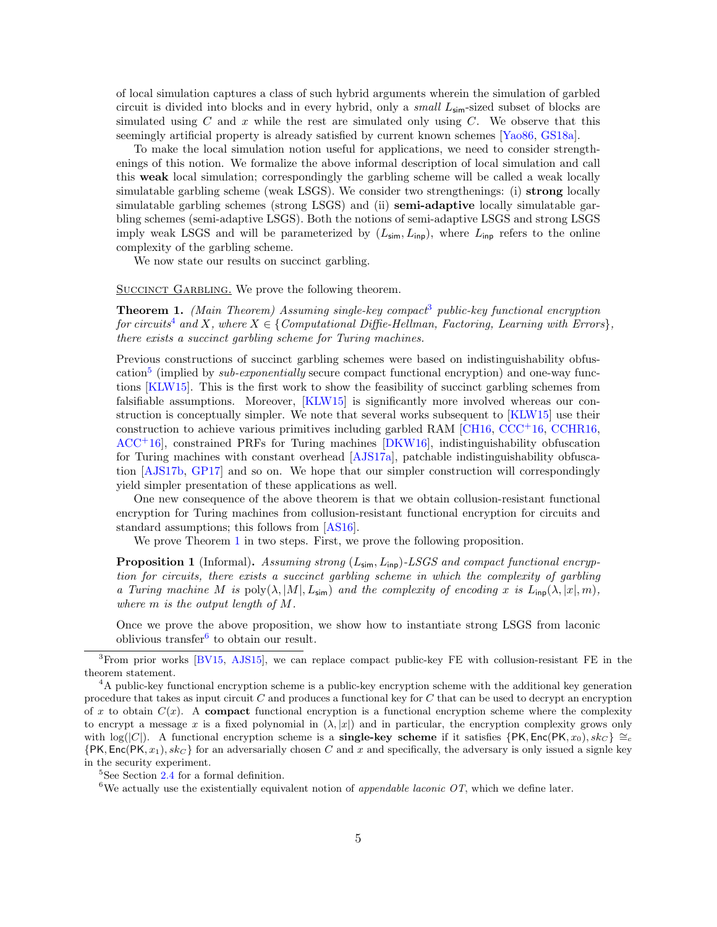of local simulation captures a class of such hybrid arguments wherein the simulation of garbled circuit is divided into blocks and in every hybrid, only a *small*  $L_{\text{sim}}$ -sized subset of blocks are simulated using  $C$  and  $x$  while the rest are simulated only using  $C$ . We observe that this seemingly artificial property is already satisfied by current known schemes [\[Yao86,](#page-49-6) [GS18a\]](#page-48-11).

To make the local simulation notion useful for applications, we need to consider strengthenings of this notion. We formalize the above informal description of local simulation and call this weak local simulation; correspondingly the garbling scheme will be called a weak locally simulatable garbling scheme (weak LSGS). We consider two strengthenings: (i) strong locally simulatable garbling schemes (strong LSGS) and (ii) semi-adaptive locally simulatable garbling schemes (semi-adaptive LSGS). Both the notions of semi-adaptive LSGS and strong LSGS imply weak LSGS and will be parameterized by  $(L_{\text{sim}}, L_{\text{inp}})$ , where  $L_{\text{inp}}$  refers to the online complexity of the garbling scheme.

We now state our results on succinct garbling.

SUCCINCT GARBLING. We prove the following theorem.

<span id="page-4-0"></span>**Theorem 1.** (Main Theorem) Assuming single-key compact<sup>[3](#page-0-0)</sup> public-key functional encryption for circuits<sup>[4](#page-0-0)</sup> and X, where  $X \in \{Computational\ Diffie-Hellman, Factoring, Learning\ with\ Errors\},\$ there exists a succinct garbling scheme for Turing machines.

Previous constructions of succinct garbling schemes were based on indistinguishability obfus-cation<sup>[5](#page-0-0)</sup> (implied by *sub-exponentially* secure compact functional encryption) and one-way functions [\[KLW15\]](#page-49-8). This is the first work to show the feasibility of succinct garbling schemes from falsifiable assumptions. Moreover, [\[KLW15\]](#page-49-8) is significantly more involved whereas our construction is conceptually simpler. We note that several works subsequent to [\[KLW15\]](#page-49-8) use their construction to achieve various primitives including garbled RAM [\[CH16,](#page-47-11) [CCC](#page-47-12)<sup>+</sup>16, [CCHR16,](#page-47-13)  $ACC<sup>+</sup>16$  $ACC<sup>+</sup>16$ , constrained PRFs for Turing machines  $[DKW16]$ , indistinguishability obfuscation for Turing machines with constant overhead [\[AJS17a\]](#page-46-8), patchable indistinguishability obfuscation [\[AJS17b,](#page-46-9) [GP17\]](#page-48-13) and so on. We hope that our simpler construction will correspondingly yield simpler presentation of these applications as well.

One new consequence of the above theorem is that we obtain collusion-resistant functional encryption for Turing machines from collusion-resistant functional encryption for circuits and standard assumptions; this follows from [\[AS16\]](#page-46-10).

We prove Theorem [1](#page-4-0) in two steps. First, we prove the following proposition.

<span id="page-4-1"></span>**Proposition 1** (Informal). Assuming strong  $(L_{\text{sim}}, L_{\text{inp}})$ -LSGS and compact functional encryption for circuits, there exists a succinct garbling scheme in which the complexity of garbling a Turing machine M is  $\text{poly}(\lambda, |M|, L_{\text{sim}})$  and the complexity of encoding x is  $L_{\text{inp}}(\lambda, |x|, m)$ , where  $m$  is the output length of  $M$ .

Once we prove the above proposition, we show how to instantiate strong LSGS from laconic oblivious transfer<sup>[6](#page-0-0)</sup> to obtain our result.

 ${}^{5}$ See Section [2.4](#page-14-0) for a formal definition.

<sup>6</sup>We actually use the existentially equivalent notion of *appendable laconic OT*, which we define later.

<span id="page-4-2"></span><sup>3</sup>From prior works [\[BV15,](#page-47-8) [AJS15\]](#page-46-11), we can replace compact public-key FE with collusion-resistant FE in the theorem statement.

<sup>4</sup>A public-key functional encryption scheme is a public-key encryption scheme with the additional key generation procedure that takes as input circuit  $C$  and produces a functional key for  $C$  that can be used to decrypt an encryption of x to obtain  $C(x)$ . A compact functional encryption is a functional encryption scheme where the complexity to encrypt a message x is a fixed polynomial in  $(\lambda, |x|)$  and in particular, the encryption complexity grows only with log( $|C|$ ). A functional encryption scheme is a **single-key scheme** if it satisfies  $\{PK, Enc(PK, x_0), sk_C\} \cong_c$  $\{PK, Enc(PK, x_1), sk_C\}$  for an adversarially chosen C and x and specifically, the adversary is only issued a signle key in the security experiment.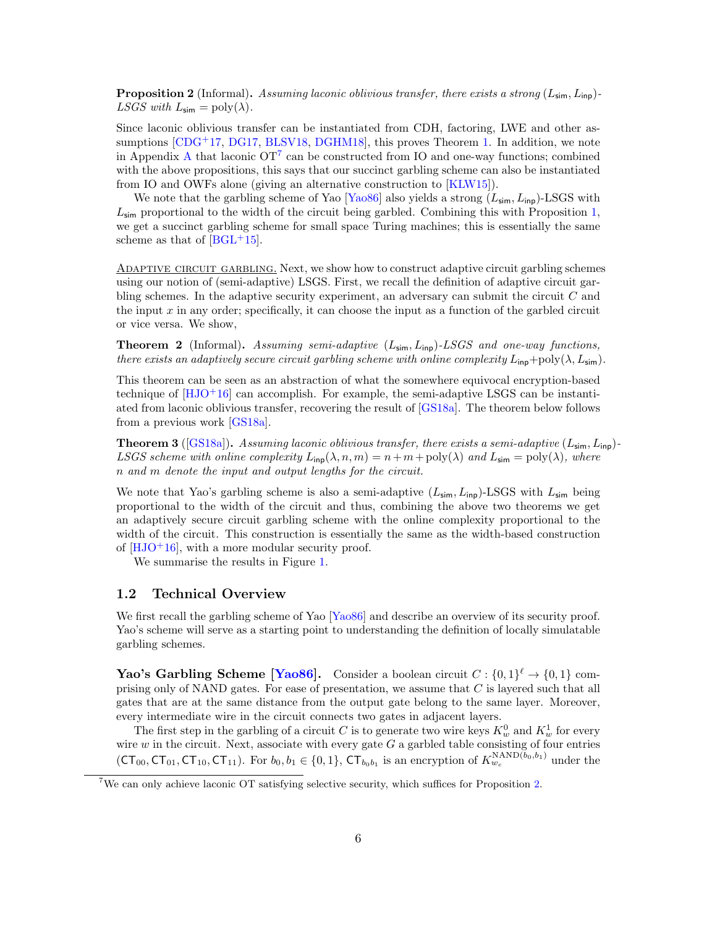**Proposition 2** (Informal). Assuming laconic oblivious transfer, there exists a strong  $(L_{\text{sim}}, L_{\text{inp}})$ -LSGS with  $L_{\text{sim}} = \text{poly}(\lambda)$ .

Since laconic oblivious transfer can be instantiated from CDH, factoring, LWE and other assumptions  $[CDG<sup>+</sup>17, DG17, BLSV18, DGHM18]$  $[CDG<sup>+</sup>17, DG17, BLSV18, DGHM18]$  $[CDG<sup>+</sup>17, DG17, BLSV18, DGHM18]$  $[CDG<sup>+</sup>17, DG17, BLSV18, DGHM18]$  $[CDG<sup>+</sup>17, DG17, BLSV18, DGHM18]$  $[CDG<sup>+</sup>17, DG17, BLSV18, DGHM18]$  $[CDG<sup>+</sup>17, DG17, BLSV18, DGHM18]$ , this proves Theorem [1.](#page-4-0) In addition, we note in [A](#page-49-0)ppendix A that laconic  $OT<sup>7</sup>$  $OT<sup>7</sup>$  $OT<sup>7</sup>$  can be constructed from IO and one-way functions; combined with the above propositions, this says that our succinct garbling scheme can also be instantiated from IO and OWFs alone (giving an alternative construction to [\[KLW15\]](#page-49-8)).

We note that the garbling scheme of Yao [\[Yao86\]](#page-49-6) also yields a strong  $(L_{\text{sim}}, L_{\text{inp}})$ -LSGS with  $L_{\text{sim}}$  proportional to the width of the circuit being garbled. Combining this with Proposition [1,](#page-4-1) we get a succinct garbling scheme for small space Turing machines; this is essentially the same scheme as that of  $[BGL^+15]$  $[BGL^+15]$ .

Adaptive circuit garbling. Next, we show how to construct adaptive circuit garbling schemes using our notion of (semi-adaptive) LSGS. First, we recall the definition of adaptive circuit garbling schemes. In the adaptive security experiment, an adversary can submit the circuit C and the input  $x$  in any order; specifically, it can choose the input as a function of the garbled circuit or vice versa. We show,

**Theorem 2** (Informal). Assuming semi-adaptive  $(L_{\text{sim}}, L_{\text{inp}})$ -LSGS and one-way functions, there exists an adaptively secure circuit garbling scheme with online complexity  $L_{\text{inp}} + \text{poly}(\lambda, L_{\text{sim}})$ .

This theorem can be seen as an abstraction of what the somewhere equivocal encryption-based technique of  $[HJO+16]$  $[HJO+16]$  can accomplish. For example, the semi-adaptive LSGS can be instantiated from laconic oblivious transfer, recovering the result of [\[GS18a\]](#page-48-11). The theorem below follows from a previous work [\[GS18a\]](#page-48-11).

**Theorem 3** ([\[GS18a\]](#page-48-11)). Assuming laconic oblivious transfer, there exists a semi-adaptive  $(L_{\text{sim}}, L_{\text{inp}})$ -LSGS scheme with online complexity  $L_{\text{inp}}(\lambda, n, m) = n + m + \text{poly}(\lambda)$  and  $L_{\text{sim}} = \text{poly}(\lambda)$ , where n and m denote the input and output lengths for the circuit.

We note that Yao's garbling scheme is also a semi-adaptive  $(L_{\text{sim}}, L_{\text{inp}})$ -LSGS with  $L_{\text{sim}}$  being proportional to the width of the circuit and thus, combining the above two theorems we get an adaptively secure circuit garbling scheme with the online complexity proportional to the width of the circuit. This construction is essentially the same as the width-based construction of  $[HJO+16]$  $[HJO+16]$ , with a more modular security proof.

We summarise the results in Figure [1.](#page-6-0)

#### <span id="page-5-0"></span>1.2 Technical Overview

We first recall the garbling scheme of Yao [\[Yao86\]](#page-49-6) and describe an overview of its security proof. Yao's scheme will serve as a starting point to understanding the definition of locally simulatable garbling schemes.

**Yao's Garbling Scheme [\[Yao86\]](#page-49-6).** Consider a boolean circuit  $C: \{0,1\}^{\ell} \to \{0,1\}$  comprising only of NAND gates. For ease of presentation, we assume that  $C$  is layered such that all gates that are at the same distance from the output gate belong to the same layer. Moreover, every intermediate wire in the circuit connects two gates in adjacent layers.

The first step in the garbling of a circuit C is to generate two wire keys  $K_w^0$  and  $K_w^1$  for every wire  $w$  in the circuit. Next, associate with every gate  $G$  a garbled table consisting of four entries  $(CT_{00}, CT_{01}, CT_{10}, CT_{11})$ . For  $b_0, b_1 \in \{0, 1\}$ ,  $CT_{b_0b_1}$  is an encryption of  $K_{w_c}^{\text{NAND}(b_0, b_1)}$  under the

<sup>7</sup>We can only achieve laconic OT satisfying selective security, which suffices for Proposition [2.](#page-4-2)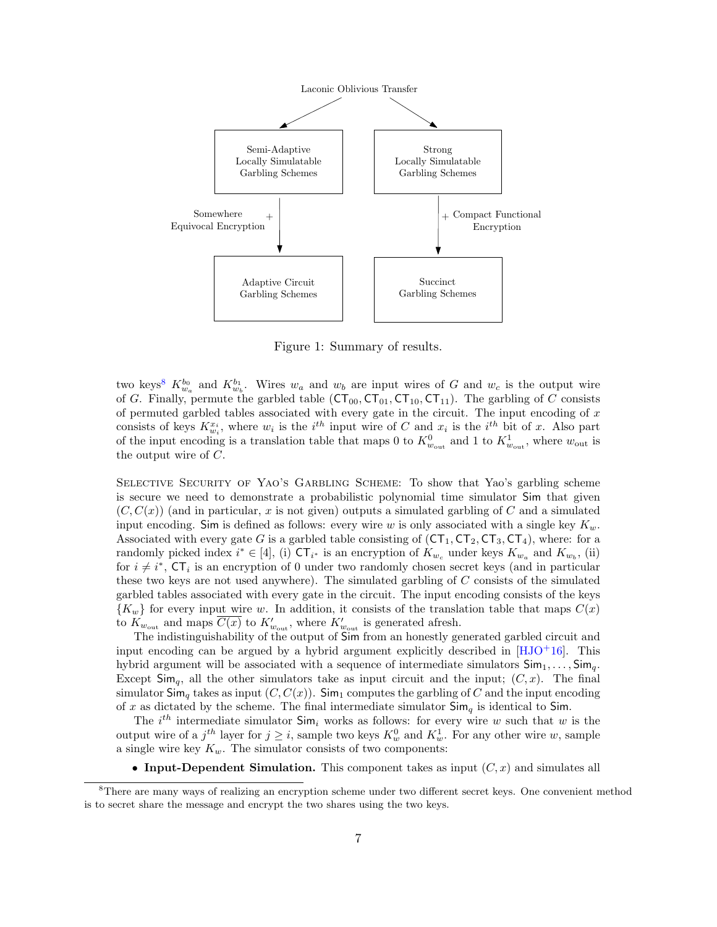

<span id="page-6-0"></span>Figure 1: Summary of results.

two keys<sup>[8](#page-0-0)</sup>  $K_{w_a}^{b_0}$  and  $K_{w_b}^{b_1}$ . Wires  $w_a$  and  $w_b$  are input wires of G and  $w_c$  is the output wire of G. Finally, permute the garbled table  $(CT_{00}, CT_{01}, CT_{10}, CT_{11})$ . The garbling of C consists of permuted garbled tables associated with every gate in the circuit. The input encoding of  $x$ consists of keys  $K_{w_i}^{x_i}$ , where  $w_i$  is the  $i^{th}$  input wire of C and  $x_i$  is the  $i^{th}$  bit of x. Also part of the input encoding is a translation table that maps 0 to  $K_{w_{\text{out}}}^0$  and 1 to  $K_{w_{\text{out}}}^1$ , where  $w_{\text{out}}$  is the output wire of C.

Selective Security of Yao's Garbling Scheme: To show that Yao's garbling scheme is secure we need to demonstrate a probabilistic polynomial time simulator Sim that given  $(C, C(x))$  (and in particular, x is not given) outputs a simulated garbling of C and a simulated input encoding. Sim is defined as follows: every wire w is only associated with a single key  $K_w$ . Associated with every gate G is a garbled table consisting of  $(CT_1, CT_2, CT_3, CT_4)$ , where: for a randomly picked index  $i^* \in [4]$ , (i)  $CT_{i^*}$  is an encryption of  $K_{w_c}$  under keys  $K_{w_a}$  and  $K_{w_b}$ , (ii) for  $i \neq i^*$ ,  $CT_i$  is an encryption of 0 under two randomly chosen secret keys (and in particular these two keys are not used anywhere). The simulated garbling of C consists of the simulated garbled tables associated with every gate in the circuit. The input encoding consists of the keys  ${K_w}$  for every input wire w. In addition, it consists of the translation table that maps  $C(x)$ to  $K_{w_{\text{out}}}$  and maps  $\overline{C(x)}$  to  $K'_{w_{\text{out}}}$ , where  $K'_{w_{\text{out}}}$  is generated afresh.

The indistinguishability of the output of Sim from an honestly generated garbled circuit and input encoding can be argued by a hybrid argument explicitly described in  $[HJO+16]$  $[HJO+16]$ . This hybrid argument will be associated with a sequence of intermediate simulators  $\textsf{Sim}_1, \ldots, \textsf{Sim}_q$ . Except  $\mathsf{Sim}_{\sigma}$ , all the other simulators take as input circuit and the input;  $(C, x)$ . The final simulator  $\mathsf{Sim}_q$  takes as input  $(C, C(x))$ .  $\mathsf{Sim}_1$  computes the garbling of C and the input encoding of x as dictated by the scheme. The final intermediate simulator  $\text{Sim}_q$  is identical to Sim.

The  $i^{th}$  intermediate simulator  $\mathsf{Sim}_i$  works as follows: for every wire w such that w is the output wire of a  $j<sup>th</sup>$  layer for  $j \geq i$ , sample two keys  $K_w^0$  and  $K_w^1$ . For any other wire w, sample a single wire key  $K_w$ . The simulator consists of two components:

• Input-Dependent Simulation. This component takes as input  $(C, x)$  and simulates all

<sup>&</sup>lt;sup>8</sup>There are many ways of realizing an encryption scheme under two different secret keys. One convenient method is to secret share the message and encrypt the two shares using the two keys.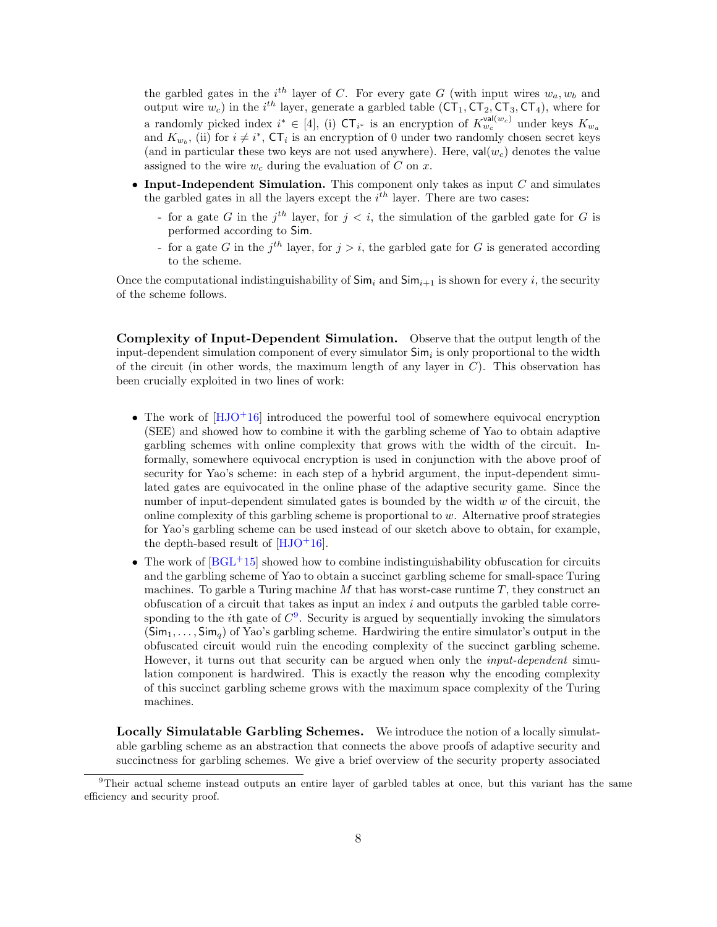the garbled gates in the  $i^{th}$  layer of C. For every gate G (with input wires  $w_a, w_b$  and output wire  $w_c$ ) in the *i*<sup>th</sup> layer, generate a garbled table  $(CT_1, CT_2, CT_3, CT_4)$ , where for a randomly picked index  $i^* \in [4]$ , (i)  $CT_{i^*}$  is an encryption of  $K_{w_c}^{\text{val}(w_c)}$  under keys  $K_{w_a}$ and  $K_{w_b}$ , (ii) for  $i \neq i^*$ ,  $\mathsf{CT}_i$  is an encryption of 0 under two randomly chosen secret keys (and in particular these two keys are not used anywhere). Here,  $val(w_c)$  denotes the value assigned to the wire  $w_c$  during the evaluation of C on x.

- Input-Independent Simulation. This component only takes as input  $C$  and simulates the garbled gates in all the layers except the  $i<sup>th</sup>$  layer. There are two cases:
	- for a gate G in the  $j<sup>th</sup>$  layer, for  $j < i$ , the simulation of the garbled gate for G is performed according to Sim.
	- for a gate G in the  $j<sup>th</sup>$  layer, for  $j > i$ , the garbled gate for G is generated according to the scheme.

Once the computational indistinguishability of  $\textsf{Sim}_i$  and  $\textsf{Sim}_{i+1}$  is shown for every i, the security of the scheme follows.

Complexity of Input-Dependent Simulation. Observe that the output length of the input-dependent simulation component of every simulator  $\mathsf{Sim}_i$  is only proportional to the width of the circuit (in other words, the maximum length of any layer in  $C$ ). This observation has been crucially exploited in two lines of work:

- The work of  $[HJO+16]$  $[HJO+16]$  introduced the powerful tool of somewhere equivocal encryption (SEE) and showed how to combine it with the garbling scheme of Yao to obtain adaptive garbling schemes with online complexity that grows with the width of the circuit. Informally, somewhere equivocal encryption is used in conjunction with the above proof of security for Yao's scheme: in each step of a hybrid argument, the input-dependent simulated gates are equivocated in the online phase of the adaptive security game. Since the number of input-dependent simulated gates is bounded by the width  $w$  of the circuit, the online complexity of this garbling scheme is proportional to  $w$ . Alternative proof strategies for Yao's garbling scheme can be used instead of our sketch above to obtain, for example, the depth-based result of  $[HJO+16]$  $[HJO+16]$ .
- The work of  $[BGL^+15]$  $[BGL^+15]$  showed how to combine indistinguishability obfuscation for circuits and the garbling scheme of Yao to obtain a succinct garbling scheme for small-space Turing machines. To garble a Turing machine  $M$  that has worst-case runtime  $T$ , they construct an obfuscation of a circuit that takes as input an index  $i$  and outputs the garbled table corresponding to the *i*th gate of  $C^9$  $C^9$ . Security is argued by sequentially invoking the simulators  $(\textsf{Sim}_1, \ldots, \textsf{Sim}_q)$  of Yao's garbling scheme. Hardwiring the entire simulator's output in the obfuscated circuit would ruin the encoding complexity of the succinct garbling scheme. However, it turns out that security can be argued when only the input-dependent simulation component is hardwired. This is exactly the reason why the encoding complexity of this succinct garbling scheme grows with the maximum space complexity of the Turing machines.

Locally Simulatable Garbling Schemes. We introduce the notion of a locally simulatable garbling scheme as an abstraction that connects the above proofs of adaptive security and succinctness for garbling schemes. We give a brief overview of the security property associated

<sup>9</sup>Their actual scheme instead outputs an entire layer of garbled tables at once, but this variant has the same efficiency and security proof.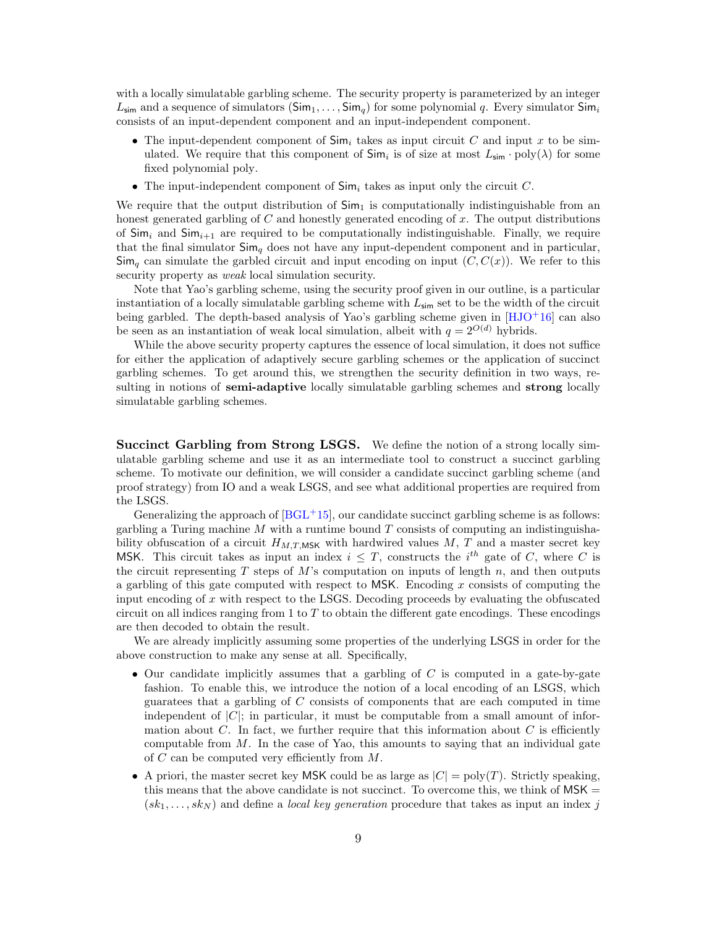with a locally simulatable garbling scheme. The security property is parameterized by an integer  $L_{\text{sim}}$  and a sequence of simulators  $(\text{Sim}_1, \ldots, \text{Sim}_q)$  for some polynomial q. Every simulator  $\text{Sim}_i$ consists of an input-dependent component and an input-independent component.

- The input-dependent component of  $\textsf{Sim}_i$  takes as input circuit C and input x to be simulated. We require that this component of  $\mathsf{Sim}_i$  is of size at most  $L_{\mathsf{sim}} \cdot \mathrm{poly}(\lambda)$  for some fixed polynomial poly.
- The input-independent component of  $\mathsf{Sim}_i$  takes as input only the circuit C.

We require that the output distribution of  $Sim_1$  is computationally indistinguishable from an honest generated garbling of  $C$  and honestly generated encoding of  $x$ . The output distributions of  $\textsf{Sim}_i$  and  $\textsf{Sim}_{i+1}$  are required to be computationally indistinguishable. Finally, we require that the final simulator  $\mathsf{Sim}_q$  does not have any input-dependent component and in particular,  $\mathsf{Sim}_q$  can simulate the garbled circuit and input encoding on input  $(C, C(x))$ . We refer to this security property as *weak* local simulation security.

Note that Yao's garbling scheme, using the security proof given in our outline, is a particular instantiation of a locally simulatable garbling scheme with  $L_{\text{sim}}$  set to be the width of the circuit being garbled. The depth-based analysis of Yao's garbling scheme given in [\[HJO](#page-49-13)+16] can also be seen as an instantiation of weak local simulation, albeit with  $q = 2^{O(d)}$  hybrids.

While the above security property captures the essence of local simulation, it does not suffice for either the application of adaptively secure garbling schemes or the application of succinct garbling schemes. To get around this, we strengthen the security definition in two ways, resulting in notions of **semi-adaptive** locally simulatable garbling schemes and **strong** locally simulatable garbling schemes.

Succinct Garbling from Strong LSGS. We define the notion of a strong locally simulatable garbling scheme and use it as an intermediate tool to construct a succinct garbling scheme. To motivate our definition, we will consider a candidate succinct garbling scheme (and proof strategy) from IO and a weak LSGS, and see what additional properties are required from the LSGS.

Generalizing the approach of  $[BGL^{+1}15]$  $[BGL^{+1}15]$ , our candidate succinct garbling scheme is as follows: garbling a Turing machine  $M$  with a runtime bound  $T$  consists of computing an indistinguishability obfuscation of a circuit  $H_{M,T,MSK}$  with hardwired values M, T and a master secret key MSK. This circuit takes as input an index  $i \leq T$ , constructs the  $i^{th}$  gate of C, where C is the circuit representing T steps of M's computation on inputs of length n, and then outputs a garbling of this gate computed with respect to  $MSK$ . Encoding x consists of computing the input encoding of  $x$  with respect to the LSGS. Decoding proceeds by evaluating the obfuscated circuit on all indices ranging from 1 to  $T$  to obtain the different gate encodings. These encodings are then decoded to obtain the result.

We are already implicitly assuming some properties of the underlying LSGS in order for the above construction to make any sense at all. Specifically,

- Our candidate implicitly assumes that a garbling of  $C$  is computed in a gate-by-gate fashion. To enable this, we introduce the notion of a local encoding of an LSGS, which guaratees that a garbling of C consists of components that are each computed in time independent of  $|C|$ ; in particular, it must be computable from a small amount of information about  $C$ . In fact, we further require that this information about  $C$  is efficiently computable from  $M$ . In the case of Yao, this amounts to saying that an individual gate of  $C$  can be computed very efficiently from  $M$ .
- A priori, the master secret key MSK could be as large as  $|C| = \text{poly}(T)$ . Strictly speaking, this means that the above candidate is not succinct. To overcome this, we think of  $MSK =$  $(sk_1, \ldots, sk_N)$  and define a local key generation procedure that takes as input an index j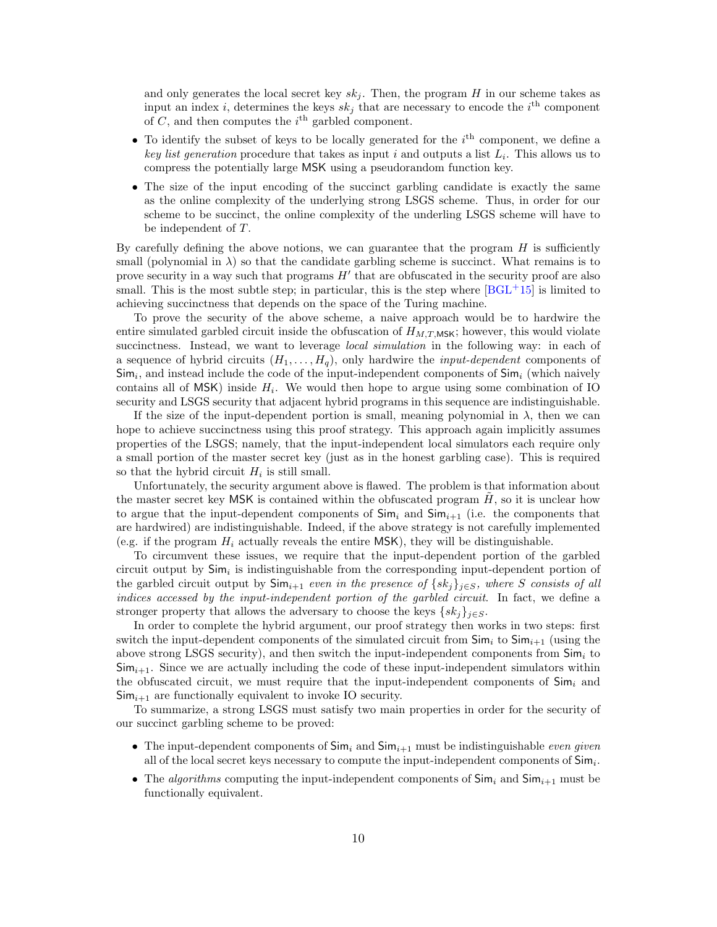and only generates the local secret key  $sk_j$ . Then, the program H in our scheme takes as input an index *i*, determines the keys  $sk_j$  that are necessary to encode the *i*<sup>th</sup> component of  $C$ , and then computes the  $i<sup>th</sup>$  garbled component.

- To identify the subset of keys to be locally generated for the  $i<sup>th</sup>$  component, we define a key list generation procedure that takes as input i and outputs a list  $L_i$ . This allows us to compress the potentially large MSK using a pseudorandom function key.
- The size of the input encoding of the succinct garbling candidate is exactly the same as the online complexity of the underlying strong LSGS scheme. Thus, in order for our scheme to be succinct, the online complexity of the underling LSGS scheme will have to be independent of T.

By carefully defining the above notions, we can guarantee that the program  $H$  is sufficiently small (polynomial in  $\lambda$ ) so that the candidate garbling scheme is succinct. What remains is to prove security in a way such that programs  $H'$  that are obfuscated in the security proof are also small. This is the most subtle step; in particular, this is the step where  $[BGL^+15]$  $[BGL^+15]$  is limited to achieving succinctness that depends on the space of the Turing machine.

To prove the security of the above scheme, a naive approach would be to hardwire the entire simulated garbled circuit inside the obfuscation of  $H_{M,T,MSK}$ ; however, this would violate succinctness. Instead, we want to leverage *local simulation* in the following way: in each of a sequence of hybrid circuits  $(H_1, \ldots, H_q)$ , only hardwire the *input-dependent* components of  $\mathsf{Sim}_i$ , and instead include the code of the input-independent components of  $\mathsf{Sim}_i$  (which naively contains all of  $MSK$ ) inside  $H_i$ . We would then hope to argue using some combination of IO security and LSGS security that adjacent hybrid programs in this sequence are indistinguishable.

If the size of the input-dependent portion is small, meaning polynomial in  $\lambda$ , then we can hope to achieve succinctness using this proof strategy. This approach again implicitly assumes properties of the LSGS; namely, that the input-independent local simulators each require only a small portion of the master secret key (just as in the honest garbling case). This is required so that the hybrid circuit  $H_i$  is still small.

Unfortunately, the security argument above is flawed. The problem is that information about the master secret key MSK is contained within the obfuscated program  $H$ , so it is unclear how to argue that the input-dependent components of  $\textsf{Sim}_i$  and  $\textsf{Sim}_{i+1}$  (i.e. the components that are hardwired) are indistinguishable. Indeed, if the above strategy is not carefully implemented (e.g. if the program  $H_i$  actually reveals the entire MSK), they will be distinguishable.

To circumvent these issues, we require that the input-dependent portion of the garbled circuit output by  $Sim_i$  is indistinguishable from the corresponding input-dependent portion of the garbled circuit output by  $\textsf{Sim}_{i+1}$  even in the presence of  $\{sk_j\}_{j\in S}$ , where S consists of all indices accessed by the input-independent portion of the garbled circuit. In fact, we define a stronger property that allows the adversary to choose the keys  $\{sk_j\}_{j\in S}$ .

In order to complete the hybrid argument, our proof strategy then works in two steps: first switch the input-dependent components of the simulated circuit from  $\text{Sim}_i$  to  $\text{Sim}_{i+1}$  (using the above strong LSGS security), and then switch the input-independent components from  $Sim_i$  to  $\text{Sim}_{i+1}$ . Since we are actually including the code of these input-independent simulators within the obfuscated circuit, we must require that the input-independent components of  $\mathsf{Sim}_i$  and  $\mathsf{Sim}_{i+1}$  are functionally equivalent to invoke IO security.

To summarize, a strong LSGS must satisfy two main properties in order for the security of our succinct garbling scheme to be proved:

- The input-dependent components of  $\textsf{Sim}_i$  and  $\textsf{Sim}_{i+1}$  must be indistinguishable even given all of the local secret keys necessary to compute the input-independent components of  $Sim_i$ .
- The *algorithms* computing the input-independent components of  $Sim_i$  and  $Sim_{i+1}$  must be functionally equivalent.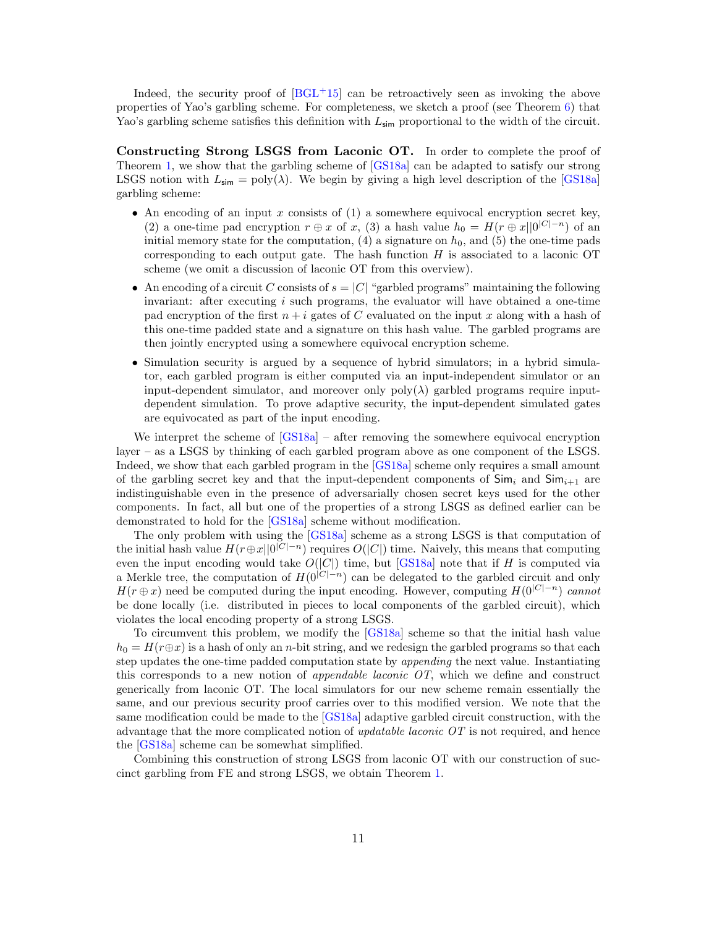Indeed, the security proof of  $[BGL+15]$  $[BGL+15]$  can be retroactively seen as invoking the above properties of Yao's garbling scheme. For completeness, we sketch a proof (see Theorem [6\)](#page-20-0) that Yao's garbling scheme satisfies this definition with  $L_{\text{sim}}$  proportional to the width of the circuit.

Constructing Strong LSGS from Laconic OT. In order to complete the proof of Theorem [1,](#page-4-0) we show that the garbling scheme of [\[GS18a\]](#page-48-11) can be adapted to satisfy our strong LSGS notion with  $L_{\text{sim}} = \text{poly}(\lambda)$ . We begin by giving a high level description of the [\[GS18a\]](#page-48-11) garbling scheme:

- An encoding of an input  $x$  consists of  $(1)$  a somewhere equivocal encryption secret key, (2) a one-time pad encryption  $r \oplus x$  of x, (3) a hash value  $h_0 = H(r \oplus x||0^{|C|-n})$  of an initial memory state for the computation,  $(4)$  a signature on  $h_0$ , and  $(5)$  the one-time pads corresponding to each output gate. The hash function  $H$  is associated to a laconic OT scheme (we omit a discussion of laconic OT from this overview).
- An encoding of a circuit C consists of  $s = |C|$  "garbled programs" maintaining the following invariant: after executing  $i$  such programs, the evaluator will have obtained a one-time pad encryption of the first  $n + i$  gates of C evaluated on the input x along with a hash of this one-time padded state and a signature on this hash value. The garbled programs are then jointly encrypted using a somewhere equivocal encryption scheme.
- Simulation security is argued by a sequence of hybrid simulators; in a hybrid simulator, each garbled program is either computed via an input-independent simulator or an input-dependent simulator, and moreover only  $poly(\lambda)$  garbled programs require inputdependent simulation. To prove adaptive security, the input-dependent simulated gates are equivocated as part of the input encoding.

We interpret the scheme of  $[GSI8a]$  – after removing the somewhere equivocal encryption layer – as a LSGS by thinking of each garbled program above as one component of the LSGS. Indeed, we show that each garbled program in the [\[GS18a\]](#page-48-11) scheme only requires a small amount of the garbling secret key and that the input-dependent components of  $\mathsf{Sim}_i$  and  $\mathsf{Sim}_{i+1}$  are indistinguishable even in the presence of adversarially chosen secret keys used for the other components. In fact, all but one of the properties of a strong LSGS as defined earlier can be demonstrated to hold for the [\[GS18a\]](#page-48-11) scheme without modification.

The only problem with using the [\[GS18a\]](#page-48-11) scheme as a strong LSGS is that computation of the initial hash value  $H(r \oplus x||0^{|C|-n})$  requires  $O(|C|)$  time. Naively, this means that computing even the input encoding would take  $O(|C|)$  time, but [\[GS18a\]](#page-48-11) note that if H is computed via a Merkle tree, the computation of  $H(0^{|C|-n})$  can be delegated to the garbled circuit and only  $H(r \oplus x)$  need be computed during the input encoding. However, computing  $H(0^{|C|-n})$  cannot be done locally (i.e. distributed in pieces to local components of the garbled circuit), which violates the local encoding property of a strong LSGS.

To circumvent this problem, we modify the [\[GS18a\]](#page-48-11) scheme so that the initial hash value  $h_0 = H(r \oplus x)$  is a hash of only an n-bit string, and we redesign the garbled programs so that each step updates the one-time padded computation state by appending the next value. Instantiating this corresponds to a new notion of *appendable laconic*  $OT$ , which we define and construct generically from laconic OT. The local simulators for our new scheme remain essentially the same, and our previous security proof carries over to this modified version. We note that the same modification could be made to the [\[GS18a\]](#page-48-11) adaptive garbled circuit construction, with the advantage that the more complicated notion of *updatable laconic*  $OT$  is not required, and hence the [\[GS18a\]](#page-48-11) scheme can be somewhat simplified.

Combining this construction of strong LSGS from laconic OT with our construction of succinct garbling from FE and strong LSGS, we obtain Theorem [1.](#page-4-0)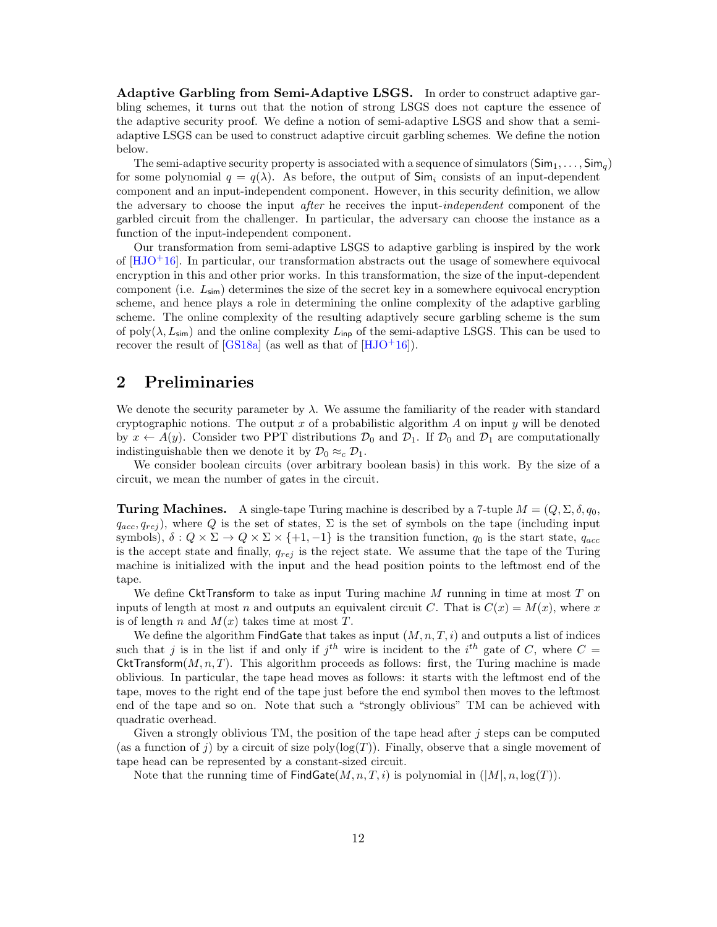Adaptive Garbling from Semi-Adaptive LSGS. In order to construct adaptive garbling schemes, it turns out that the notion of strong LSGS does not capture the essence of the adaptive security proof. We define a notion of semi-adaptive LSGS and show that a semiadaptive LSGS can be used to construct adaptive circuit garbling schemes. We define the notion below.

The semi-adaptive security property is associated with a sequence of simulators  $(Sim_1, \ldots, Sim_q)$ for some polynomial  $q = q(\lambda)$ . As before, the output of  $\mathsf{Sim}_i$  consists of an input-dependent component and an input-independent component. However, in this security definition, we allow the adversary to choose the input after he receives the input-independent component of the garbled circuit from the challenger. In particular, the adversary can choose the instance as a function of the input-independent component.

Our transformation from semi-adaptive LSGS to adaptive garbling is inspired by the work of  $[HJO+16]$  $[HJO+16]$ . In particular, our transformation abstracts out the usage of somewhere equivocal encryption in this and other prior works. In this transformation, the size of the input-dependent component (i.e.  $L_{\text{sim}}$ ) determines the size of the secret key in a somewhere equivocal encryption scheme, and hence plays a role in determining the online complexity of the adaptive garbling scheme. The online complexity of the resulting adaptively secure garbling scheme is the sum of poly( $\lambda$ ,  $L_{\text{sim}}$ ) and the online complexity  $L_{\text{inp}}$  of the semi-adaptive LSGS. This can be used to recover the result of  $[GS18a]$  (as well as that of  $[HJO+16]$  $[HJO+16]$ ).

## <span id="page-11-0"></span>2 Preliminaries

We denote the security parameter by  $\lambda$ . We assume the familiarity of the reader with standard cryptographic notions. The output x of a probabilistic algorithm A on input y will be denoted by  $x \leftarrow A(y)$ . Consider two PPT distributions  $\mathcal{D}_0$  and  $\mathcal{D}_1$ . If  $\mathcal{D}_0$  and  $\mathcal{D}_1$  are computationally indistinguishable then we denote it by  $\mathcal{D}_0 \approx_c \mathcal{D}_1$ .

We consider boolean circuits (over arbitrary boolean basis) in this work. By the size of a circuit, we mean the number of gates in the circuit.

**Turing Machines.** A single-tape Turing machine is described by a 7-tuple  $M = (Q, \Sigma, \delta, q_0)$ .  $q_{acc}, q_{rej}$ ), where Q is the set of states,  $\Sigma$  is the set of symbols on the tape (including input symbols),  $\delta: Q \times \Sigma \to Q \times \Sigma \times \{+1, -1\}$  is the transition function,  $q_0$  is the start state,  $q_{acc}$ is the accept state and finally,  $q_{rej}$  is the reject state. We assume that the tape of the Turing machine is initialized with the input and the head position points to the leftmost end of the tape.

We define CktTransform to take as input Turing machine  $M$  running in time at most  $T$  on inputs of length at most n and outputs an equivalent circuit C. That is  $C(x) = M(x)$ , where x is of length n and  $M(x)$  takes time at most T.

We define the algorithm FindGate that takes as input  $(M, n, T, i)$  and outputs a list of indices such that j is in the list if and only if  $j<sup>th</sup>$  wire is incident to the i<sup>th</sup> gate of C, where  $C =$ CktTransform $(M, n, T)$ . This algorithm proceeds as follows: first, the Turing machine is made oblivious. In particular, the tape head moves as follows: it starts with the leftmost end of the tape, moves to the right end of the tape just before the end symbol then moves to the leftmost end of the tape and so on. Note that such a "strongly oblivious" TM can be achieved with quadratic overhead.

Given a strongly oblivious TM, the position of the tape head after  $j$  steps can be computed (as a function of j) by a circuit of size poly $(\log(T))$ . Finally, observe that a single movement of tape head can be represented by a constant-sized circuit.

Note that the running time of  $\textsf{FindGate}(M, n, T, i)$  is polynomial in  $(|M|, n, \log(T))$ .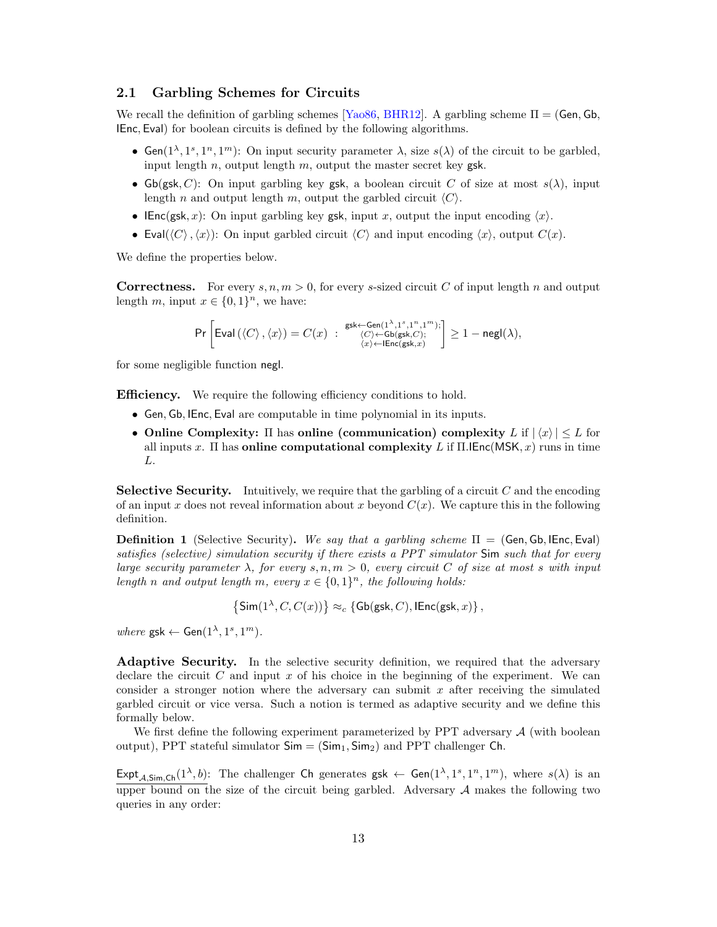#### <span id="page-12-0"></span>2.1 Garbling Schemes for Circuits

We recall the definition of garbling schemes [\[Yao86,](#page-49-6) [BHR12\]](#page-47-10). A garbling scheme  $\Pi = (Gen, Gh,$ IEnc, Eval) for boolean circuits is defined by the following algorithms.

- Gen( $1^{\lambda}, 1^s, 1^n, 1^m$ ): On input security parameter  $\lambda$ , size  $s(\lambda)$  of the circuit to be garbled, input length  $n$ , output length  $m$ , output the master secret key gsk.
- Gb(gsk, C): On input garbling key gsk, a boolean circuit C of size at most  $s(\lambda)$ , input length n and output length m, output the garbled circuit  $\langle C \rangle$ .
- IEnc(gsk, x): On input garbling key gsk, input x, output the input encoding  $\langle x \rangle$ .
- Eval( $\langle C \rangle$ ,  $\langle x \rangle$ ): On input garbled circuit  $\langle C \rangle$  and input encoding  $\langle x \rangle$ , output  $C(x)$ .

We define the properties below.

**Correctness.** For every  $s, n, m > 0$ , for every s-sized circuit C of input length n and output length m, input  $x \in \{0,1\}^n$ , we have:

$$
\Pr\left[\text{Eval}\left(\left\langle C\right\rangle, \left\langle x\right\rangle\right) = C(x) \; : \; \begin{array}{c} \mathsf{gsk} \leftarrow \text{Gen}(1^{\lambda},1^s,1^n,1^m); \\ \left\langle C\right\rangle \leftarrow \text{Gb}(\mathsf{gsk},C); \\ \left\langle x\right\rangle \leftarrow \text{IEnc}(\mathsf{gsk},x) \end{array} \right] \ge 1 - \mathsf{negl}(\lambda),
$$

for some negligible function negl.

**Efficiency.** We require the following efficiency conditions to hold.

- Gen, Gb, IEnc, Eval are computable in time polynomial in its inputs.
- Online Complexity:  $\Pi$  has online (communication) complexity L if  $|\langle x \rangle| \leq L$  for all inputs x. Π has **online computational complexity** L if  $\Pi$ . [Enc(MSK, x) runs in time L.

**Selective Security.** Intuitively, we require that the garbling of a circuit  $C$  and the encoding of an input x does not reveal information about x beyond  $C(x)$ . We capture this in the following definition.

<span id="page-12-1"></span>**Definition 1** (Selective Security). We say that a garbling scheme  $\Pi =$  (Gen, Gb, IEnc, Eval) satisfies (selective) simulation security if there exists a PPT simulator Sim such that for every large security parameter  $\lambda$ , for every s, n,  $m > 0$ , every circuit C of size at most s with input length n and output length m, every  $x \in \{0,1\}^n$ , the following holds:

$$
\left\{\text{Sim}(1^{\lambda}, C, C(x))\right\} \approx_c \left\{\text{Gb}(\text{gsk}, C), \text{lEnc}(\text{gsk}, x)\right\},\
$$

where  $\textsf{gsk} \leftarrow \textsf{Gen}(1^{\lambda}, 1^s, 1^m)$ .

Adaptive Security. In the selective security definition, we required that the adversary declare the circuit  $C$  and input  $x$  of his choice in the beginning of the experiment. We can consider a stronger notion where the adversary can submit  $x$  after receiving the simulated garbled circuit or vice versa. Such a notion is termed as adaptive security and we define this formally below.

We first define the following experiment parameterized by PPT adversary  $A$  (with boolean output), PPT stateful simulator  $Sim = (Sim_1, Sim_2)$  and PPT challenger Ch.

Expt<sub>A,Sim,Ch</sub> $(1^{\lambda}, b)$ : The challenger Ch generates gsk  $\leftarrow$  Gen $(1^{\lambda}, 1^s, 1^n, 1^m)$ , where  $s(\lambda)$  is an upper bound on the size of the circuit being garbled. Adversary  $A$  makes the following two queries in any order: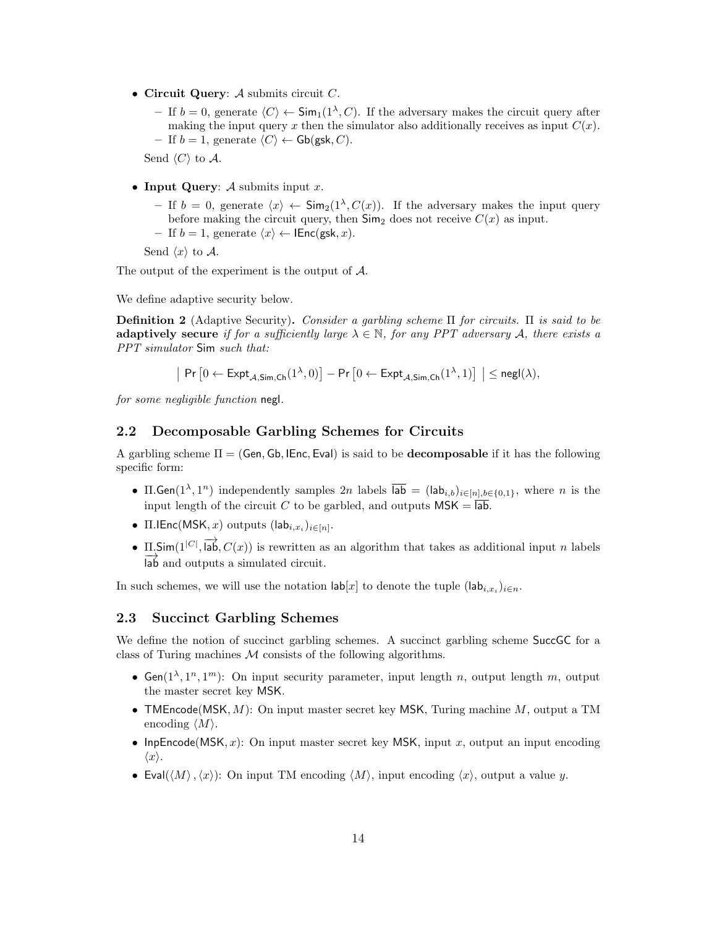- Circuit Query:  $A$  submits circuit  $C$ .
	- If  $b = 0$ , generate  $\langle C \rangle$  ← Sim<sub>1</sub>(1<sup> $\lambda$ </sup>, C). If the adversary makes the circuit query after making the input query x then the simulator also additionally receives as input  $C(x)$ . – If  $b = 1$ , generate  $\langle C \rangle$  ← Gb(gsk, C).

Send  $\langle C \rangle$  to A.

- Input Query:  $A$  submits input  $x$ .
	- If  $b = 0$ , generate  $\langle x \rangle$  ← Sim<sub>2</sub>(1<sup> $\lambda$ </sup>,  $C(x)$ ). If the adversary makes the input query before making the circuit query, then  $\mathsf{Sim}_2$  does not receive  $C(x)$  as input.

– If  $b = 1$ , generate  $\langle x \rangle$  ← IEnc(gsk, x).

Send  $\langle x \rangle$  to A.

The output of the experiment is the output of A.

We define adaptive security below.

**Definition 2** (Adaptive Security). Consider a garbling scheme  $\Pi$  for circuits.  $\Pi$  is said to be adaptively secure if for a sufficiently large  $\lambda \in \mathbb{N}$ , for any PPT adversary A, there exists a PPT simulator Sim such that:

$$
\big| \Pr\big[0 \leftarrow \textsf{Expt}_{\mathcal{A},\textsf{Sim},\textsf{Ch}}(1^\lambda,0)\big] - \Pr\big[0 \leftarrow \textsf{Expt}_{\mathcal{A},\textsf{Sim},\textsf{Ch}}(1^\lambda,1)\big] \bigm| \le \mathsf{negl}(\lambda),
$$

for some negligible function negl.

#### <span id="page-13-0"></span>2.2 Decomposable Garbling Schemes for Circuits

A garbling scheme  $\Pi = (Gen, Gb, IEnc, Eval)$  is said to be **decomposable** if it has the following specific form:

- II. Gen $(1^{\lambda}, 1^n)$  independently samples  $2n$  labels  $\overline{lab} = (lab_{i,b})_{i \in [n],b \in \{0,1\}}$ , where n is the input length of the circuit C to be garbled, and outputs  $MSK = \overline{lab}$ .
- $\Pi$ .IEnc(MSK, x) outputs  $(\textsf{lab}_{i,x_i})_{i \in [n]}.$
- $\Pi$ . Sim( $1^{|C|}$ ,  $\overrightarrow{lab}$ ,  $C(x)$ ) is rewritten as an algorithm that takes as additional input n labels lab and outputs a simulated circuit.

In such schemes, we will use the notation  $\mathsf{lab}[x]$  to denote the tuple  $(\mathsf{lab}_{i,x_i})_{i \in n}$ .

#### <span id="page-13-1"></span>2.3 Succinct Garbling Schemes

We define the notion of succinct garbling schemes. A succinct garbling scheme SuccGC for a class of Turing machines  $M$  consists of the following algorithms.

- Gen( $1^{\lambda}, 1^n, 1^m$ ): On input security parameter, input length n, output length m, output the master secret key MSK.
- TMEncode(MSK,  $M$ ): On input master secret key MSK, Turing machine  $M$ , output a TM encoding  $\langle M \rangle$ .
- InpEncode(MSK, x): On input master secret key MSK, input x, output an input encoding  $\langle x \rangle$ .
- Eval( $\langle M \rangle$ ,  $\langle x \rangle$ ): On input TM encoding  $\langle M \rangle$ , input encoding  $\langle x \rangle$ , output a value y.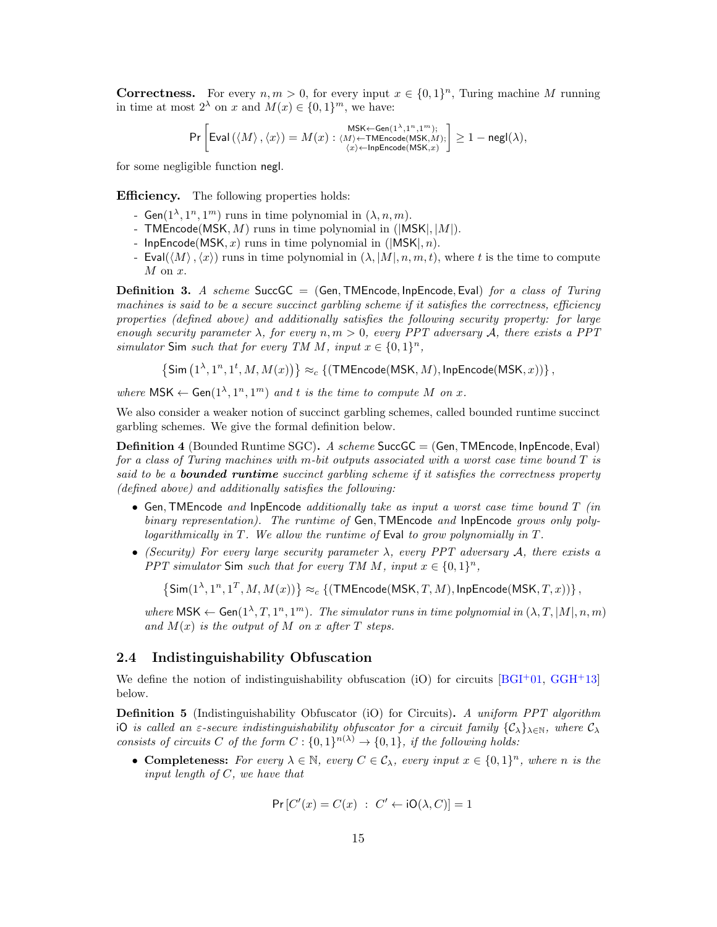**Correctness.** For every  $n, m > 0$ , for every input  $x \in \{0, 1\}^n$ , Turing machine M running in time at most  $2^{\lambda}$  on x and  $M(x) \in \{0,1\}^m$ , we have:

$$
\Pr\left[\text{Eval}\left(\left\langle M\right\rangle, \left\langle x\right\rangle\right) = M(x): \underset{\left\langle x\right\rangle \left\langle\text{-InpEncode}\left(\text{MSK}, x\right) \right\rangle}{\text{MSK} \leftarrow \text{Gen}(1^{\lambda},1^n,1^m)}; \right] \geq 1-\text{negl}(\lambda), \\ \underset{\left\langle x\right\rangle \left\langle\text{-InpEncode}\left(\text{MSK}, x\right) \right\rangle}{\text{MSE}(\lambda)} \geq 1-\text{negl}(\lambda),
$$

for some negligible function negl.

**Efficiency.** The following properties holds:

- Gen $(1^{\lambda}, 1^n, 1^m)$  runs in time polynomial in  $(\lambda, n, m)$ .
- TMEncode(MSK,  $M$ ) runs in time polynomial in (|MSK|,  $|M|$ ).
- InpEncode(MSK, x) runs in time polynomial in ( $|MSK|, n$ ).
- Eval $(\langle M \rangle, \langle x \rangle)$  runs in time polynomial in  $(\lambda, |M|, n, m, t)$ , where t is the time to compute  $M$  on  $x$ .

<span id="page-14-2"></span>**Definition 3.** A scheme SuccGC = (Gen, TMEncode, InpEncode, Eval) for a class of Turing machines is said to be a secure succinct garbling scheme if it satisfies the correctness, efficiency properties (defined above) and additionally satisfies the following security property: for large enough security parameter  $\lambda$ , for every  $n, m > 0$ , every PPT adversary A, there exists a PPT simulator Sim such that for every TM M, input  $x \in \{0,1\}^n$ ,

 $\{\mathsf{Sim}\left(1^\lambda,1^n,1^t,M,M(x)\right)\} \approx_c \{(\mathsf{TMEncode(MSK},M),\mathsf{InpEncode(MSK},x))\}\, ,$ 

where  $\mathsf{MSK} \leftarrow \mathsf{Gen}(1^{\lambda}, 1^n, 1^m)$  and t is the time to compute M on x.

We also consider a weaker notion of succinct garbling schemes, called bounded runtime succinct garbling schemes. We give the formal definition below.

<span id="page-14-1"></span>Definition 4 (Bounded Runtime SGC). A scheme SuccGC = (Gen,TMEncode, InpEncode, Eval) for a class of Turing machines with m-bit outputs associated with a worst case time bound  $T$  is said to be a **bounded runtime** succinct garbling scheme if it satisfies the correctness property (defined above) and additionally satisfies the following:

- Gen, TMEncode and InpEncode additionally take as input a worst case time bound  $T$  (in binary representation). The runtime of Gen, TMEncode and InpEncode grows only polylogarithmically in T. We allow the runtime of Eval to grow polynomially in T.
- (Security) For every large security parameter  $\lambda$ , every PPT adversary  $\mathcal{A}$ , there exists a PPT simulator Sim such that for every TM M, input  $x \in \{0,1\}^n$ ,

 $\{\textsf{Sim}(1^{\lambda},1^n,1^T,M,M(x))\} \approx_c \{(\textsf{TMEncode(MSK},T,M),\textsf{InpEncode(MSK},T,x))\}\, ,$ 

where  $\mathsf{MSK} \leftarrow \mathsf{Gen}(1^\lambda, T, 1^n, 1^m)$ . The simulator runs in time polynomial in  $(\lambda, T, |M|, n, m)$ and  $M(x)$  is the output of M on x after T steps.

#### <span id="page-14-0"></span>2.4 Indistinguishability Obfuscation

We define the notion of indistinguishability obfuscation (iO) for circuits  $[BGI^+01, GGH^+13]$  $[BGI^+01, GGH^+13]$  $[BGI^+01, GGH^+13]$  $[BGI^+01, GGH^+13]$ below.

Definition 5 (Indistinguishability Obfuscator (iO) for Circuits). A uniform PPT algorithm iO is called an  $\varepsilon$ -secure indistinguishability obfuscator for a circuit family  $\{\mathcal{C}_\lambda\}_{\lambda\in\mathbb{N}}$ , where  $\mathcal{C}_\lambda$ consists of circuits C of the form  $C: \{0,1\}^{n(\lambda)} \to \{0,1\}$ , if the following holds:

• Completeness: For every  $\lambda \in \mathbb{N}$ , every  $C \in \mathcal{C}_{\lambda}$ , every input  $x \in \{0,1\}^n$ , where n is the input length of C, we have that

$$
\Pr\left[C'(x) = C(x) : C' \leftarrow \mathsf{iO}(\lambda, C)\right] = 1
$$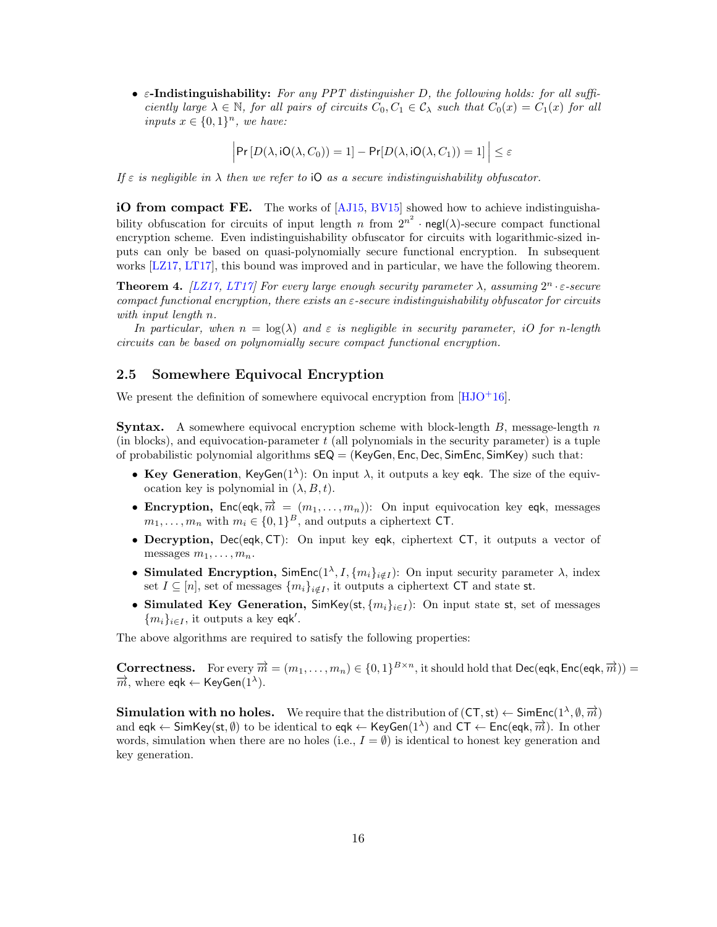•  $\varepsilon$ -Indistinguishability: For any PPT distinguisher D, the following holds: for all sufficiently large  $\lambda \in \mathbb{N}$ , for all pairs of circuits  $C_0, C_1 \in \mathcal{C}_{\lambda}$  such that  $C_0(x) = C_1(x)$  for all inputs  $x \in \{0,1\}^n$ , we have:

 $\left|\Pr\left[D(\lambda, \text{iO}(\lambda, C_0))=1\right]-\Pr\left[D(\lambda, \text{iO}(\lambda, C_1))=1\right]\right|\leq \varepsilon$ 

If  $\varepsilon$  is negligible in  $\lambda$  then we refer to iO as a secure indistinguishability obfuscator.

iO from compact FE. The works of [\[AJ15,](#page-46-6) [BV15\]](#page-47-8) showed how to achieve indistinguishability obfuscation for circuits of input length n from  $2^{n^2} \cdot \text{negl}(\lambda)$ -secure compact functional encryption scheme. Even indistinguishability obfuscator for circuits with logarithmic-sized inputs can only be based on quasi-polynomially secure functional encryption. In subsequent works [\[LZ17,](#page-49-9) [LT17\]](#page-49-10), this bound was improved and in particular, we have the following theorem.

<span id="page-15-1"></span>**Theorem 4.** [\[LZ17,](#page-49-9) [LT17\]](#page-49-10) For every large enough security parameter  $\lambda$ , assuming  $2^n \cdot \varepsilon$ -secure compact functional encryption, there exists an  $\varepsilon$ -secure indistinguishability obfuscator for circuits with input length n.

In particular, when  $n = \log(\lambda)$  and  $\varepsilon$  is negligible in security parameter, iO for n-length circuits can be based on polynomially secure compact functional encryption.

#### <span id="page-15-0"></span>2.5 Somewhere Equivocal Encryption

We present the definition of somewhere equivocal encryption from  $[HJO^+16]$  $[HJO^+16]$ .

**Syntax.** A somewhere equivocal encryption scheme with block-length B, message-length  $n$ (in blocks), and equivocation-parameter  $t$  (all polynomials in the security parameter) is a tuple of probabilistic polynomial algorithms  $sEQ = (KeyGen, Enc, Dec, SimEnc, SimKey)$  such that:

- Key Generation, KeyGen $(1^{\lambda})$ : On input  $\lambda$ , it outputs a key eqk. The size of the equivocation key is polynomial in  $(\lambda, B, t)$ .
- Encryption,  $Enc(eqk, \overrightarrow{m} = (m_1, \ldots, m_n))$ : On input equivocation key eqk, messages  $m_1, \ldots, m_n$  with  $m_i \in \{0,1\}^B$ , and outputs a ciphertext CT.
- Decryption, Dec(eqk, CT): On input key eqk, ciphertext CT, it outputs a vector of messages  $m_1, \ldots, m_n$ .
- Simulated Encryption,  $\text{SimEnc}(1^{\lambda}, I, \{m_i\}_{i \notin I})$ : On input security parameter  $\lambda$ , index set  $I \subseteq [n]$ , set of messages  $\{m_i\}_{i \notin I}$ , it outputs a ciphertext CT and state st.
- Simulated Key Generation, SimKey(st,  ${m_i}_{i\in I}$ ): On input state st, set of messages  ${m_i}_{i \in I}$ , it outputs a key eqk'.

The above algorithms are required to satisfy the following properties:

**Correctness.** For every  $\overrightarrow{m} = (m_1, \ldots, m_n) \in \{0,1\}^{B \times n}$ , it should hold that Dec(eqk, Enc(eqk,  $\overrightarrow{m}$ )) =  $\vec{m}$ , where eqk  $\leftarrow$  KeyGen(1<sup> $\lambda$ </sup>).

**Simulation with no holes.** We require that the distribution of  $(CT, st) \leftarrow$  SimEnc $(1^{\lambda}, \emptyset, \overrightarrow{m})$ and eqk  $\leftarrow$  SimKey(st,  $\emptyset$ ) to be identical to eqk  $\leftarrow$  KeyGen(1<sup> $\lambda$ </sup>) and CT  $\leftarrow$  Enc(eqk,  $\overrightarrow{m}$ ). In other words, simulation when there are no holes (i.e.,  $I = \emptyset$ ) is identical to honest key generation and key generation.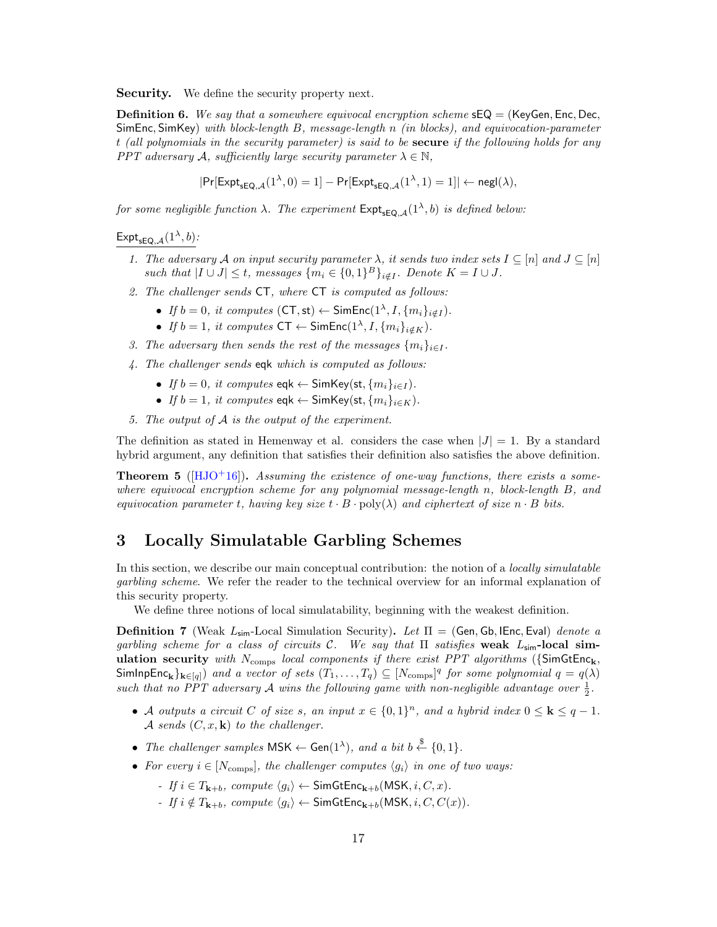**Security.** We define the security property next.

**Definition 6.** We say that a somewhere equivocal encryption scheme  $sEQ = (KeyGen, Enc, Dec, )$ SimEnc, SimKey) with block-length B, message-length n (in blocks), and equivocation-parameter t (all polynomials in the security parameter) is said to be secure if the following holds for any PPT adversary A, sufficiently large security parameter  $\lambda \in \mathbb{N}$ ,

$$
|\Pr[\mathsf{Expt}_{\mathsf{sEQ},\mathcal{A}}(1^\lambda,0)=1]-\Pr[\mathsf{Expt}_{\mathsf{sEQ},\mathcal{A}}(1^\lambda,1)=1]|\leftarrow \mathsf{negl}(\lambda),
$$

for some negligible function  $\lambda$ . The experiment  $\mathsf{Expt}_{\mathsf{seQ},\mathcal{A}}(1^\lambda,b)$  is defined below:

### $\mathsf{Expt}_{\mathsf{sEQ},\mathcal{A}}(1^{\lambda},b)$ :

- 1. The adversary A on input security parameter  $\lambda$ , it sends two index sets  $I \subseteq [n]$  and  $J \subseteq [n]$ such that  $|I \cup J| \leq t$ , messages  $\{m_i \in \{0,1\}^B\}_{i \notin I}$ . Denote  $K = I \cup J$ .
- 2. The challenger sends CT, where CT is computed as follows:
	- If  $b = 0$ , it computes  $(CT, st) \leftarrow$  SimEnc $(1^{\lambda}, I, \{m_i\}_{i \notin I})$ .
	- If  $b = 1$ , it computes  $CT \leftarrow$  SimEnc $(1^{\lambda}, I, \{m_i\}_{i \notin K})$ .
- 3. The adversary then sends the rest of the messages  $\{m_i\}_{i\in I}$ .
- 4. The challenger sends eqk which is computed as follows:
	- If  $b = 0$ , it computes eqk  $\leftarrow$  SimKey(st,  $\{m_i\}_{i \in I}$ ).
	- If  $b = 1$ , it computes eqk  $\leftarrow$  SimKey(st,  $\{m_i\}_{i \in K}$ ).
- 5. The output of A is the output of the experiment.

The definition as stated in Hemenway et al. considers the case when  $|J| = 1$ . By a standard hybrid argument, any definition that satisfies their definition also satisfies the above definition.

<span id="page-16-2"></span>**Theorem 5** ( $[HJO+16]$  $[HJO+16]$ ). Assuming the existence of one-way functions, there exists a somewhere equivocal encryption scheme for any polynomial message-length  $n$ , block-length  $B$ , and equivocation parameter t, having key size  $t \cdot B \cdot \text{poly}(\lambda)$  and ciphertext of size  $n \cdot B$  bits.

## <span id="page-16-0"></span>3 Locally Simulatable Garbling Schemes

In this section, we describe our main conceptual contribution: the notion of a *locally simulatable* garbling scheme. We refer the reader to the technical overview for an informal explanation of this security property.

We define three notions of local simulatability, beginning with the weakest definition.

<span id="page-16-1"></span>**Definition 7** (Weak  $L_{\text{sim}}$ -Local Simulation Security). Let  $\Pi = (Gen, Gh, IEnc, Eval)$  denote a garbling scheme for a class of circuits C. We say that  $\Pi$  satisfies weak  $L_{\text{sim}}$ -local simulation security with  $N_{\text{comps}}$  local components if there exist PPT algorithms ({SimGtEnc<sub>k</sub>, SimInpEnc<sub>k</sub>}<sub>k∈[q]</sub>) and a vector of sets  $(T_1, ..., T_q) \subseteq [N_{\text{comps}}]^q$  for some polynomial  $q = q(\lambda)$ such that no PPT adversary A wins the following game with non-negligible advantage over  $\frac{1}{2}$ .

- A outputs a circuit C of size s, an input  $x \in \{0,1\}^n$ , and a hybrid index  $0 \leq k \leq q-1$ . A sends  $(C, x, \mathbf{k})$  to the challenger.
- The challenger samples  $\mathsf{MSK} \leftarrow \mathsf{Gen}(1^{\lambda}),$  and a bit  $b \stackrel{\$}{\leftarrow} \{0,1\}.$
- For every  $i \in [N_{\text{comps}}]$ , the challenger computes  $\langle g_i \rangle$  in one of two ways:
	- If  $i \in T_{k+b}$ , compute  $\langle g_i \rangle \leftarrow$  SimGtEnc<sub>k+b</sub>(MSK,  $i, C, x$ ).
	- If  $i \notin T_{\mathbf{k}+b}$ , compute  $\langle g_i \rangle \leftarrow$  SimGtEnc $_{\mathbf{k}+b}$ (MSK,  $i, C, C(x)$ ).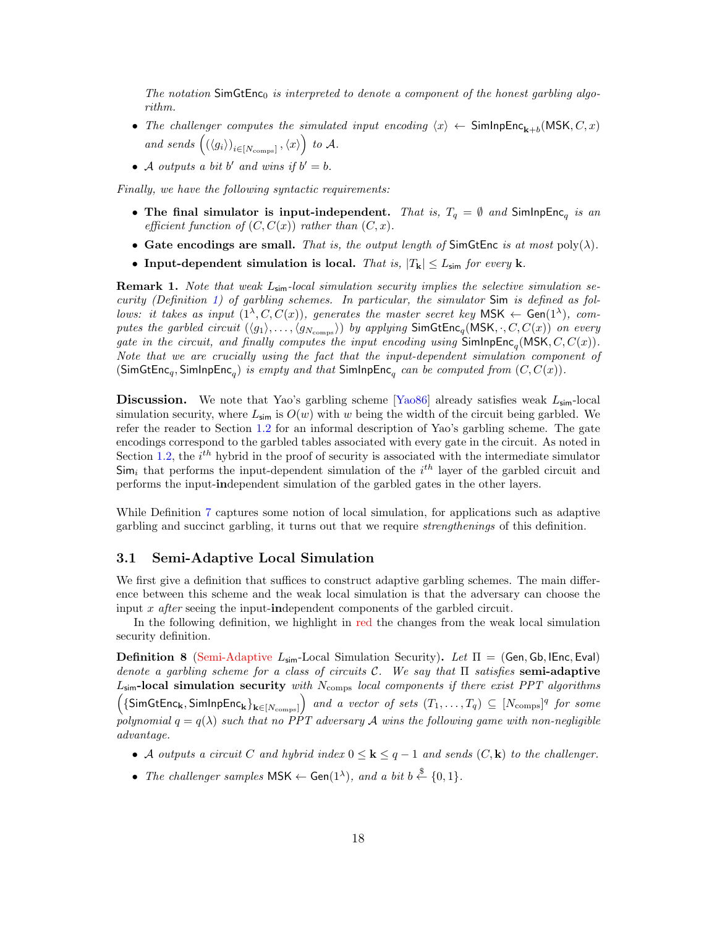The notation  $\mathsf{SimGtEnc}_0$  is interpreted to denote a component of the honest garbling algorithm.

- The challenger computes the simulated input encoding  $\langle x \rangle \leftarrow$  SimInpEnc<sub>k+b</sub>(MSK, C, x) and sends  $((\langle g_i \rangle)_{i \in [N_{\text{comps}}]}, \langle x \rangle)$  to A.
- A outputs a bit b' and wins if  $b' = b$ .

Finally, we have the following syntactic requirements:

- The final simulator is input-independent. That is,  $T_q = \emptyset$  and SimInpEnc<sub>q</sub> is an efficient function of  $(C, C(x))$  rather than  $(C, x)$ .
- Gate encodings are small. That is, the output length of SimGtEnc is at most  $poly(\lambda)$ .
- Input-dependent simulation is local. That is,  $|T_{k}| \le L_{\text{sim}}$  for every k.

**Remark 1.** Note that weak  $L_{\text{sim}}$ -local simulation security implies the selective simulation security (Definition [1\)](#page-12-1) of garbling schemes. In particular, the simulator Sim is defined as follows: it takes as input  $(1^{\lambda}, C, C(x))$ , generates the master secret key MSK  $\leftarrow$  Gen $(1^{\lambda})$ , computes the garbled circuit  $(\langle g_1 \rangle, \ldots, \langle g_{N_{\text{comps}}} \rangle)$  by applying  $\textsf{SimGtEnc}_q(\textsf{MSK}, \cdot, C, C(x))$  on every gate in the circuit, and finally computes the input encoding using  $\mathsf{SimInpEnc}_q(\mathsf{MSK}, C, C(x))$ . Note that we are crucially using the fact that the input-dependent simulation component of (SimGtEnc<sub>q</sub>, SimInpEnc<sub>q</sub>) is empty and that SimInpEnc<sub>q</sub> can be computed from  $(C, C(x))$ .

**Discussion.** We note that Yao's garbling scheme  $Ya^{0.86}$  already satisfies weak  $L_{\text{sim}}$ -local simulation security, where  $L_{\text{sim}}$  is  $O(w)$  with w being the width of the circuit being garbled. We refer the reader to Section [1.2](#page-5-0) for an informal description of Yao's garbling scheme. The gate encodings correspond to the garbled tables associated with every gate in the circuit. As noted in Section [1.2,](#page-5-0) the  $i<sup>th</sup>$  hybrid in the proof of security is associated with the intermediate simulator  $\mathsf{Sim}_i$  that performs the input-dependent simulation of the  $i^{th}$  layer of the garbled circuit and performs the input-independent simulation of the garbled gates in the other layers.

While Definition [7](#page-16-1) captures some notion of local simulation, for applications such as adaptive garbling and succinct garbling, it turns out that we require strengthenings of this definition.

#### <span id="page-17-0"></span>3.1 Semi-Adaptive Local Simulation

We first give a definition that suffices to construct adaptive garbling schemes. The main difference between this scheme and the weak local simulation is that the adversary can choose the input x after seeing the input-independent components of the garbled circuit.

In the following definition, we highlight in red the changes from the weak local simulation security definition.

<span id="page-17-1"></span>**Definition 8** (Semi-Adaptive  $L_{\text{sim}}$ -Local Simulation Security). Let  $\Pi =$  (Gen, Gb, IEnc, Eval) denote a garbling scheme for a class of circuits C. We say that  $\Pi$  satisfies semi-adaptive  $L_{sim}$ -local simulation security with  $N_{\text{comps}}$  local components if there exist PPT algorithms  $\left(\{\textsf{SimGtEnc}_{\mathbf{k}}, \textsf{SimInpEnc}_{\mathbf{k}}\}_{\mathbf{k}\in[N_{\text{comps}}]}\right)$  and a vector of sets  $(T_1,\ldots,T_q) \subseteq [N_{\text{comps}}]^q$  for some polynomial  $q = q(\lambda)$  such that no PPT adversary A wins the following game with non-negligible advantage.

- A outputs a circuit C and hybrid index  $0 \leq k \leq q-1$  and sends  $(C, k)$  to the challenger.
- The challenger samples  $\mathsf{MSK} \leftarrow \mathsf{Gen}(1^{\lambda}),$  and a bit  $b \stackrel{\$}{\leftarrow} \{0,1\}.$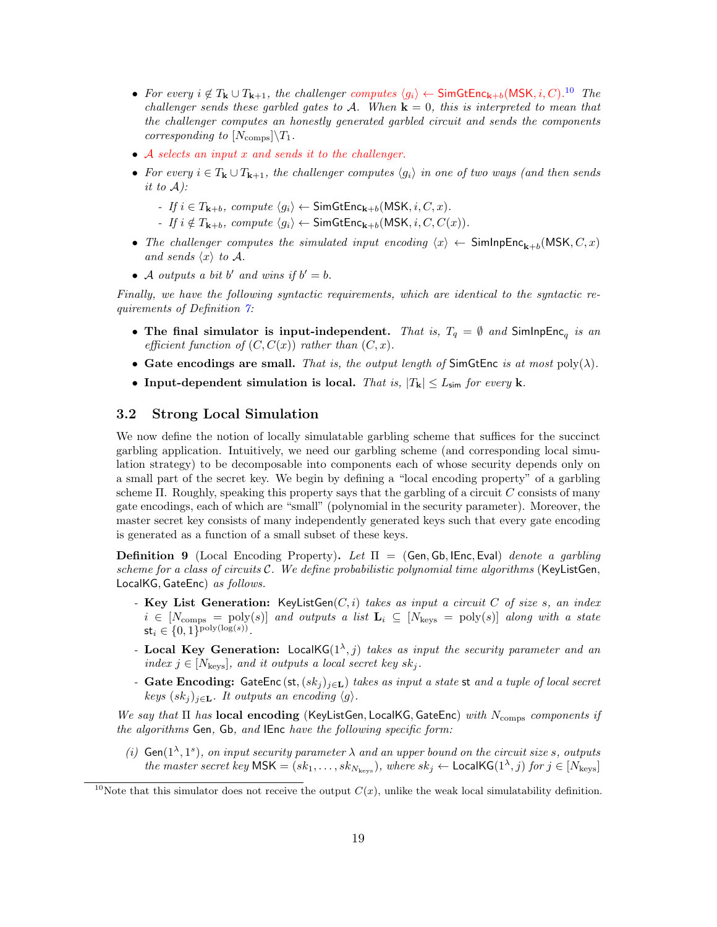- For every  $i \notin T_{\mathbf{k}} \cup T_{\mathbf{k}+1}$ , the challenger computes  $\langle g_i \rangle \leftarrow$  SimGtEnc<sub>k+b</sub>(MSK, *i*, *C*).<sup>[10](#page-0-0)</sup> The challenger sends these garbled gates to A. When  $\mathbf{k} = 0$ , this is interpreted to mean that the challenger computes an honestly generated garbled circuit and sends the components corresponding to  $[N_{\text{comps}}]\backslash T_1$ .
- A selects an input x and sends it to the challenger.
- For every  $i \in T_{\mathbf{k}} \cup T_{\mathbf{k}+1}$ , the challenger computes  $\langle g_i \rangle$  in one of two ways (and then sends it to  $\mathcal{A}$ ):
	- If  $i \in T_{k+b}$ , compute  $\langle g_i \rangle \leftarrow$  SimGtEnc<sub>k+b</sub>(MSK,  $i, C, x$ ).
	- If  $i \notin T_{k+b}$ , compute  $\langle g_i \rangle \leftarrow$  SimGtEnc<sub>k+b</sub>(MSK,  $i, C, C(x)$ ).
- The challenger computes the simulated input encoding  $\langle x \rangle \leftarrow$  SimInpEnc<sub>k+b</sub>(MSK, C, x) and sends  $\langle x \rangle$  to A.
- A outputs a bit b' and wins if  $b' = b$ .

Finally, we have the following syntactic requirements, which are identical to the syntactic requirements of Definition [7:](#page-16-1)

- The final simulator is input-independent. That is,  $T_q = \emptyset$  and SimInpEnc<sub>q</sub> is an efficient function of  $(C, C(x))$  rather than  $(C, x)$ .
- Gate encodings are small. That is, the output length of SimGtEnc is at most  $poly(\lambda)$ .
- Input-dependent simulation is local. That is,  $|T_{\mathbf{k}}| \leq L_{\text{sim}}$  for every k.

#### <span id="page-18-0"></span>3.2 Strong Local Simulation

We now define the notion of locally simulatable garbling scheme that suffices for the succinct garbling application. Intuitively, we need our garbling scheme (and corresponding local simulation strategy) to be decomposable into components each of whose security depends only on a small part of the secret key. We begin by defining a "local encoding property" of a garbling scheme  $\Pi$ . Roughly, speaking this property says that the garbling of a circuit  $C$  consists of many gate encodings, each of which are "small" (polynomial in the security parameter). Moreover, the master secret key consists of many independently generated keys such that every gate encoding is generated as a function of a small subset of these keys.

<span id="page-18-1"></span>**Definition 9** (Local Encoding Property). Let  $\Pi =$  (Gen, Gb, IEnc, Eval) denote a garbling scheme for a class of circuits  $C$ . We define probabilistic polynomial time algorithms (KeyListGen, LocalKG, GateEnc) as follows.

- Key List Generation: KeyListGen $(C, i)$  takes as input a circuit C of size s, an index  $i \in [N_{\text{comps}} = \text{poly}(s)]$  and outputs a list  $\mathbf{L}_i \subseteq [N_{\text{keys}} = \text{poly}(s)]$  along with a state  $\mathsf{st}_i \in \{0,1\}^{\text{poly}(\log(s))}.$
- Local Key Generation: LocalKG( $1^{\lambda}$ , j) takes as input the security parameter and an index  $j \in [N_{\text{keys}}]$ , and it outputs a local secret key sk<sub>j</sub>.
- Gate Encoding: GateEnc (st,  $(sk<sub>i</sub>)_{i \in L}$ ) takes as input a state st and a tuple of local secret keys  $(sk_i)_{i \in \mathbf{L}}$ . It outputs an encoding  $\langle g \rangle$ .

We say that  $\Pi$  has local encoding (KeyListGen, LocalKG, GateEnc) with  $N_{\text{comps}}$  components if the algorithms Gen, Gb, and IEnc have the following specific form:

(i)  $\mathsf{Gen}(1^{\lambda}, 1^s)$ , on input security parameter  $\lambda$  and an upper bound on the circuit size s, outputs the master secret key  $\mathsf{MSK} = (sk_1, \ldots, sk_{N_{\text{keys}}}),$  where  $sk_j \leftarrow \mathsf{LocalKG}(1^{\lambda}, j)$  for  $j \in [N_{\text{keys}}]$ 

<sup>&</sup>lt;sup>10</sup>Note that this simulator does not receive the output  $C(x)$ , unlike the weak local simulatability definition.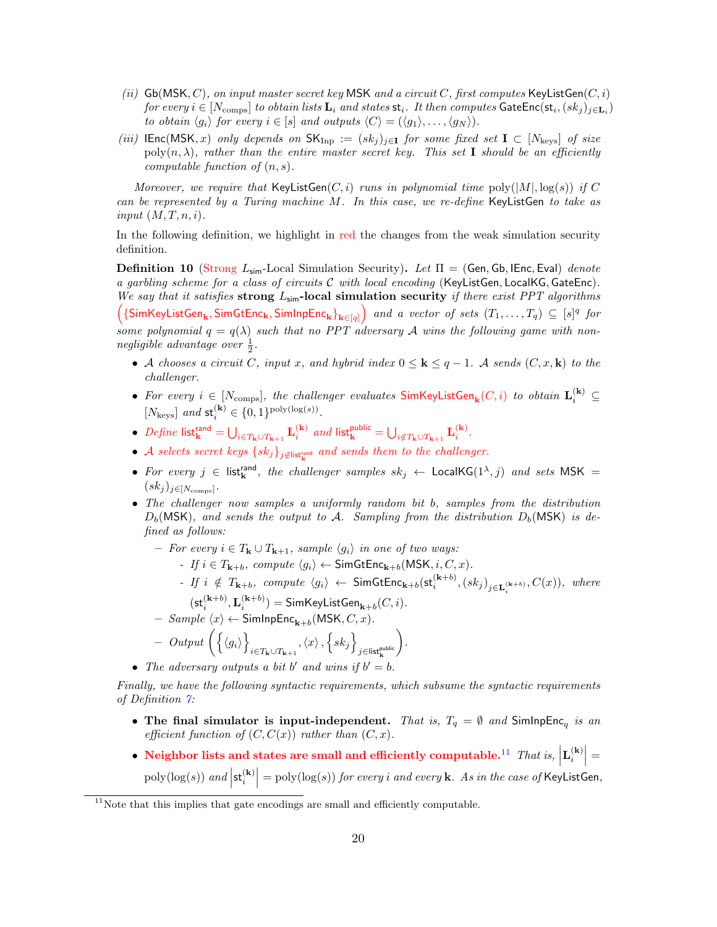- (ii)  $\mathsf{Gb}(\mathsf{MSK}, C)$ , on input master secret key MSK and a circuit C, first computes KeyListGen $(C, i)$ for every  $i\in[N_{\rm{comps}}]$  to obtain lists  $\mathbf{L}_i$  and states  $\mathsf{st}_i$ . It then computes  $\mathsf{GateEnc}(\mathsf{st}_i,(sk_j)_{j\in \mathbf{L}_i})$ to obtain  $\langle g_i \rangle$  for every  $i \in [s]$  and outputs  $\langle C \rangle = (\langle g_1 \rangle, \ldots, \langle g_N \rangle)$ .
- (iii)  $\mathsf{IEnc}(\mathsf{MSK}, x)$  only depends on  $\mathsf{SK_{Inp}} := (sk_j)_{j \in \mathbf{I}}$  for some fixed set  $\mathbf{I} \subset [N_{\text{keys}}]$  of size  $poly(n, \lambda)$ , rather than the entire master secret key. This set I should be an efficiently computable function of  $(n, s)$ .

Moreover, we require that  $KeyListGen(C, i)$  runs in polynomial time  $poly(|M|, log(s))$  if C can be represented by a Turing machine  $M$ . In this case, we re-define KeyListGen to take as input  $(M, T, n, i)$ .

In the following definition, we highlight in red the changes from the weak simulation security definition.

<span id="page-19-0"></span>**Definition 10** (Strong  $L_{\text{sim}}$ -Local Simulation Security). Let  $\Pi =$  (Gen, Gb, IEnc, Eval) denote a garbling scheme for a class of circuits  $C$  with local encoding (KeyListGen, LocalKG, GateEnc). We say that it satisfies strong  $L_{\text{sim}}$ -local simulation security if there exist PPT algorithms  $\left(\{\textsf{SimKeyListGen}_{\mathbf{k}}, \textsf{SimGetEnc}_{\mathbf{k}}, \textsf{SimInpEnc}_{\mathbf{k}}\}_{\mathbf{k}\in[q]}\right)$  and a vector of sets  $(T_1,\ldots,T_q)\subseteq [s]^q$  for some polynomial  $q = q(\lambda)$  such that no PPT adversary A wins the following game with nonnegligible advantage over  $\frac{1}{2}$ .

- A chooses a circuit C, input x, and hybrid index  $0 \leq k \leq q-1$ . A sends  $(C, x, k)$  to the challenger.
- For every  $i \in [N_{\text{comps}}]$ , the challenger evaluates  $\text{SimKeyListGen}_{\mathbf{k}}(C,i)$  to obtain  $\mathbf{L}_{i}^{(\mathbf{k})} \subseteq$ [ $N_{\text{keys}}$ ] and  $\mathsf{st}_{i}^{(\mathbf{k})} \in \{0, 1\}^{\text{poly}(\log(s))}$ .
- Define list ${}_{\mathbf{k}}^{\text{rand}} = \bigcup_{i \in T_{\mathbf{k}} \cup T_{\mathbf{k+1}}} \mathbf{L}_{i}^{(\mathbf{k})}$  and list ${}_{\mathbf{k}}^{\text{public}} = \bigcup_{i \notin T_{\mathbf{k}} \cup T_{\mathbf{k+1}}} \mathbf{L}_{i}^{(\mathbf{k})}$ .
- A selects secret keys  $\{sk_j\}_{j \notin \text{list}_{\mathbf{k}}^{\text{rand}}}$  and sends them to the challenger.
- For every  $j \in$  list<sup>rand</sup>, the challenger samples  $sk_j \leftarrow$  LocalKG( $1^{\lambda}, j$ ) and sets MSK =  $(sk_j)_{j\in[N_{\text{comps}}]}.$
- The challenger now samples a uniformly random bit b, samples from the distribution  $D_b(MSK)$ , and sends the output to A. Sampling from the distribution  $D_b(MSK)$  is defined as follows:
	- For every  $i \in T_k \cup T_{k+1}$ , sample  $\langle g_i \rangle$  in one of two ways:
		- If  $i \in T_{k+h}$ , compute  $\langle q_i \rangle \leftarrow$  SimGtEnc<sub>k+b</sub>(MSK, i, C, x).
		- If  $i \notin T_{\mathbf{k}+b}$ , compute  $\langle g_i \rangle$   $\leftarrow$  SimGtEnc $_{\mathbf{k}+b}(\mathsf{st}^{(\mathbf{k}+b)}_i,(sk_j)_{j\in \mathbf{L}^{(\mathbf{k}+b)}_i},C(x))$ , where  $(\mathsf{st}_i^{(\mathbf{k}+b)},\mathbf{L}_i^{(\mathbf{k}+b)})=\mathsf{SimKeyListGen}_{\mathbf{k}+b}(C,i).$
	- $-$  Sample  $\langle x \rangle \leftarrow$  SimInpEnc<sub>k+b</sub>(MSK,  $C, x$ ).

$$
- \quad Output\left(\left\{\langle g_i\rangle\right\}_{i \in T_{\mathbf{k}} \cup T_{\mathbf{k}+1}}, \langle x\rangle, \left\{sk_j\right\}_{j \in \mathsf{list}_{\mathbf{k}}^{\mathsf{public}}}\right).
$$

• The adversary outputs a bit b' and wins if  $b' = b$ .

Finally, we have the following syntactic requirements, which subsume the syntactic requirements of Definition [7:](#page-16-1)

- The final simulator is input-independent. That is,  $T_q = \emptyset$  and SimInpEnc<sub>q</sub> is an efficient function of  $(C, C(x))$  rather than  $(C, x)$ .
- Neighbor lists and states are small and efficiently computable.<sup>[11](#page-0-0)</sup> That is,  $\left| \mathbf{L}_i^{(\mathbf{k})} \right| =$  $\text{poly}(\log(s))$  and  $\left|\mathsf{st}_i^{(\mathbf{k})}\right| = \text{poly}(\log(s))$  for every i and every **k**. As in the case of **KeyListGen**,

 $11$ Note that this implies that gate encodings are small and efficiently computable.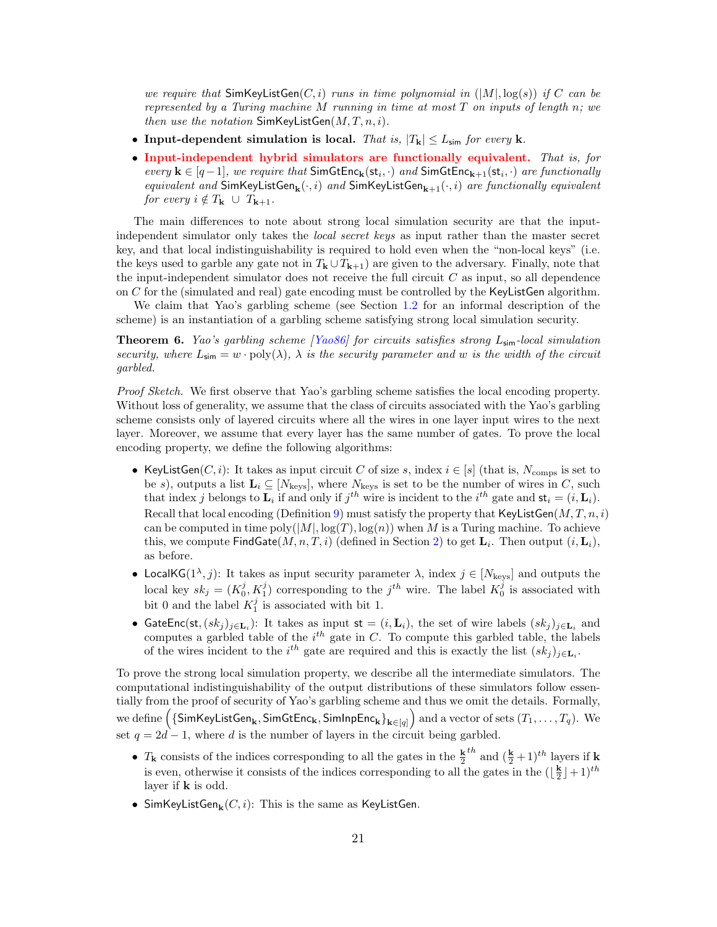we require that  $\mathsf{SimKeyListGen}(C, i)$  runs in time polynomial in  $(|M|, \log(s))$  if C can be represented by a Turing machine M running in time at most  $T$  on inputs of length  $n$ ; we then use the notation  $SimKeyListGen(M, T, n, i)$ .

- Input-dependent simulation is local. That is,  $|T_{\mathbf{k}}| \leq L_{\text{sim}}$  for every k.
- Input-independent hybrid simulators are functionally equivalent. That is, for every  $\mathbf{k} \in [q-1]$ , we require that  $\mathsf{SimGtEnc}_{\mathbf{k}}(\mathsf{st}_i, \cdot)$  and  $\mathsf{SimGtEnc}_{\mathbf{k+1}}(\mathsf{st}_i, \cdot)$  are functionally equivalent and  $\textsf{SimKeyListGen}_{\mathbf{k}}(\cdot,i)$  and  $\textsf{SimKeyListGen}_{\mathbf{k+1}}(\cdot,i)$  are functionally equivalent for every  $i \notin T_{\mathbf{k}} \cup T_{\mathbf{k}+1}$ .

The main differences to note about strong local simulation security are that the inputindependent simulator only takes the local secret keys as input rather than the master secret key, and that local indistinguishability is required to hold even when the "non-local keys" (i.e. the keys used to garble any gate not in  $T_k \cup T_{k+1}$  are given to the adversary. Finally, note that the input-independent simulator does not receive the full circuit  $C$  as input, so all dependence on C for the (simulated and real) gate encoding must be controlled by the KeyListGen algorithm.

We claim that Yao's garbling scheme (see Section [1.2](#page-5-0) for an informal description of the scheme) is an instantiation of a garbling scheme satisfying strong local simulation security.

<span id="page-20-0"></span>**Theorem 6.** Yao's garbling scheme [\[Yao86\]](#page-49-6) for circuits satisfies strong  $L_{sim}$ -local simulation security, where  $L_{\text{sim}} = w \cdot \text{poly}(\lambda)$ ,  $\lambda$  is the security parameter and w is the width of the circuit garbled.

Proof Sketch. We first observe that Yao's garbling scheme satisfies the local encoding property. Without loss of generality, we assume that the class of circuits associated with the Yao's garbling scheme consists only of layered circuits where all the wires in one layer input wires to the next layer. Moreover, we assume that every layer has the same number of gates. To prove the local encoding property, we define the following algorithms:

- KeyListGen $(C, i)$ : It takes as input circuit C of size s, index  $i \in [s]$  (that is,  $N_{\text{comps}}$  is set to be s), outputs a list  $\mathbf{L}_i \subseteq [N_{\text{keys}}]$ , where  $N_{\text{keys}}$  is set to be the number of wires in C, such that index j belongs to  $\mathbf{L}_i$  if and only if  $j^{th}$  wire is incident to the  $i^{th}$  gate and  $\mathbf{st}_i = (i, \mathbf{L}_i)$ . Recall that local encoding (Definition [9\)](#page-18-1) must satisfy the property that KeyListGen $(M, T, n, i)$ can be computed in time  $poly(|M|, \log(T), \log(n))$  when M is a Turing machine. To achieve this, we compute  $\mathsf{FindGate}(M, n, T, i)$  (defined in Section [2\)](#page-11-0) to get  $\mathbf{L}_i$ . Then output  $(i, \mathbf{L}_i)$ , as before.
- LocalKG( $1^{\lambda}, j$ ): It takes as input security parameter  $\lambda$ , index  $j \in [N_{\text{keys}}]$  and outputs the local key  $sk_j = (K_0^j, K_1^j)$  corresponding to the  $j^{th}$  wire. The label  $K_0^j$  is associated with bit 0 and the label  $K_1^j$  is associated with bit 1.
- GateEnc(st,  $(sk_j)_{j \in L_i}$ ): It takes as input st =  $(i, L_i)$ , the set of wire labels  $(sk_j)_{j \in L_i}$  and computes a garbled table of the  $i^{th}$  gate in C. To compute this garbled table, the labels of the wires incident to the  $i^{th}$  gate are required and this is exactly the list  $(sk_j)_{j\in\mathbf{L}_i}$ .

To prove the strong local simulation property, we describe all the intermediate simulators. The computational indistinguishability of the output distributions of these simulators follow essentially from the proof of security of Yao's garbling scheme and thus we omit the details. Formally, we define  $\Big(\{\mathsf{SimKeyListGen}_{\mathbf{k}},\mathsf{SimGetEnc}_{\mathbf{k}},\mathsf{SimInpEnc}_{\mathbf{k}}\}_{\mathbf{k}\in[q]}\Big)$  and a vector of sets  $(T_1,\ldots,T_q).$  We set  $q = 2d - 1$ , where d is the number of layers in the circuit being garbled.

- $T_{\mathbf{k}}$  consists of the indices corresponding to all the gates in the  $\frac{\mathbf{k}}{2}^{th}$  and  $(\frac{\mathbf{k}}{2}+1)^{th}$  layers if **k** is even, otherwise it consists of the indices corresponding to all the gates in the  $(\lfloor \frac{\mathbf{k}}{2} \rfloor + 1)^{th}$ layer if  $k$  is odd.
- $\bullet$  SimKeyListGen $_{\mathbf{k}}(C,i)$ : This is the same as KeyListGen.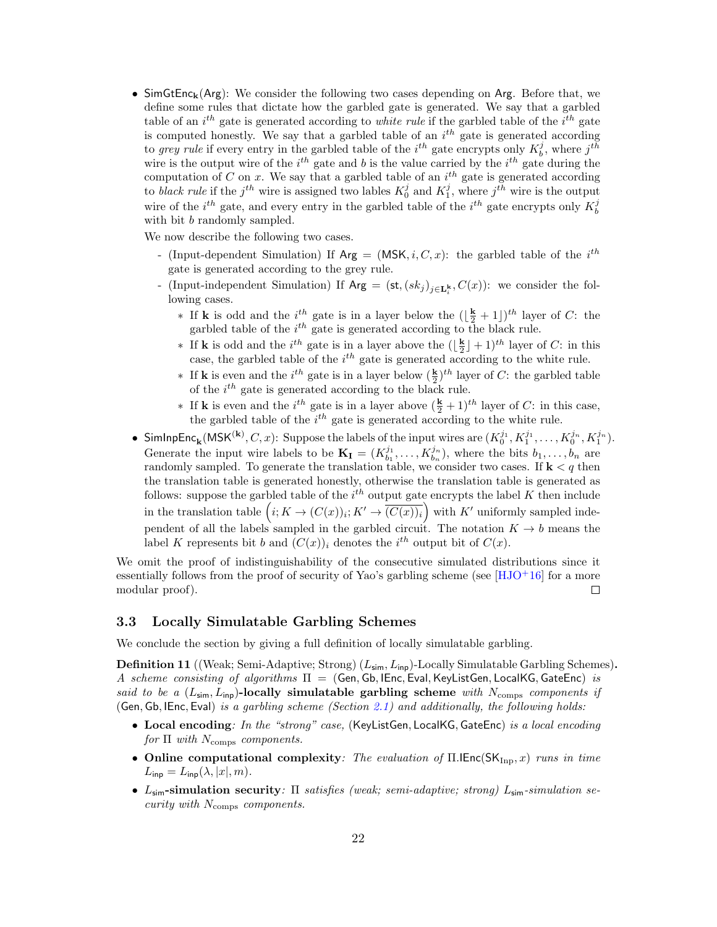• SimGtEnc<sub>k</sub>(Arg): We consider the following two cases depending on Arg. Before that, we define some rules that dictate how the garbled gate is generated. We say that a garbled table of an  $i^{th}$  gate is generated according to *white rule* if the garbled table of the  $i^{th}$  gate is computed honestly. We say that a garbled table of an  $i<sup>th</sup>$  gate is generated according to grey rule if every entry in the garbled table of the  $i^{th}$  gate encrypts only  $K_b^j$ , where  $j^{th}$ wire is the output wire of the  $i^{th}$  gate and b is the value carried by the  $i^{th}$  gate during the computation of C on x. We say that a garbled table of an  $i^{th}$  gate is generated according to black rule if the j<sup>th</sup> wire is assigned two lables  $K_0^j$  and  $K_1^j$ , where j<sup>th</sup> wire is the output wire of the  $i^{th}$  gate, and every entry in the garbled table of the  $i^{th}$  gate encrypts only  $K_b^j$ with bit b randomly sampled.

We now describe the following two cases.

- (Input-dependent Simulation) If  $Arg = (MSK, i, C, x)$ : the garbled table of the i<sup>th</sup> gate is generated according to the grey rule.
- (Input-independent Simulation) If  $Arg = (\mathsf{st}, (sk_j)_{j \in \mathbf{L}_i^k}, C(x))$ : we consider the following cases.
	- ∗ If **k** is odd and the  $i^{th}$  gate is in a layer below the  $(\frac{k}{2} + 1)^{th}$  layer of *C*: the garbled table of the  $i^{th}$  gate is generated according to the black rule.
	- ∗ If **k** is odd and the *i*<sup>th</sup> gate is in a layer above the  $(\lfloor \frac{k}{2} \rfloor + 1)^{th}$  layer of *C*: in this case, the garbled table of the  $i^{th}$  gate is generated according to the white rule.
	- ∗ If **k** is even and the *i*<sup>th</sup> gate is in a layer below  $(\frac{k}{2})$ <sup>th</sup> layer of *C*: the garbled table of the  $i^{th}$  gate is generated according to the black rule.
	- ∗ If **k** is even and the *i*<sup>th</sup> gate is in a layer above  $(\frac{k}{2} + 1)$ <sup>th</sup> layer of *C*: in this case, the garbled table of the  $i^{th}$  gate is generated according to the white rule.
- SimInpEnc<sub>k</sub>(MSK<sup>(k)</sup>, *C*, *x*): Suppose the labels of the input wires are  $(K_0^{j_1}, K_1^{j_1}, \ldots, K_0^{j_n}, K_1^{j_n})$ . Generate the input wire labels to be  $\mathbf{K}_{\mathbf{I}} = (K_{b_1}^{j_1}, \ldots, K_{b_n}^{j_n}),$  where the bits  $b_1, \ldots, b_n$  are randomly sampled. To generate the translation table, we consider two cases. If  $\mathbf{k} < q$  then the translation table is generated honestly, otherwise the translation table is generated as follows: suppose the garbled table of the  $i^{th}$  output gate encrypts the label K then include in the translation table  $(i; K \to (C(x))_i; K' \to \overline{(C(x))_i}$  with K' uniformly sampled independent of all the labels sampled in the garbled circuit. The notation  $K \to b$  means the label K represents bit b and  $(C(x))_i$  denotes the i<sup>th</sup> output bit of  $C(x)$ .

We omit the proof of indistinguishability of the consecutive simulated distributions since it essentially follows from the proof of security of Yao's garbling scheme (see  $[HJO<sup>+</sup>16]$  $[HJO<sup>+</sup>16]$  for a more modular proof).  $\Box$ 

#### <span id="page-21-0"></span>3.3 Locally Simulatable Garbling Schemes

We conclude the section by giving a full definition of locally simulatable garbling.

**Definition 11** ((Weak; Semi-Adaptive; Strong)  $(L_{\text{sim}}, L_{\text{inp}})$ -Locally Simulatable Garbling Schemes). A scheme consisting of algorithms  $\Pi = (Gen, Gh, IEnc, Eval, KeyListGen, LocalKG, GateEnc)$  is said to be a ( $L_{\text{sim}}$ ,  $L_{\text{inp}}$ )-locally simulatable garbling scheme with  $N_{\text{comps}}$  components if (Gen, Gb, IEnc, Eval) is a garbling scheme (Section [2.1\)](#page-12-0) and additionally, the following holds:

- Local encoding: In the "strong" case, (KeyListGen, LocalKG, GateEnc) is a local encoding for  $\Pi$  with  $N_{\text{comps}}$  components.
- Online computational complexity: The evaluation of  $\Pi$ .IEnc( $SK_{\text{Inp}}, x$ ) runs in time  $L_{\sf inp}=L_{\sf inp}(\lambda,|x|,m).$
- L<sub>sim</sub>-simulation security: Π satisfies (weak; semi-adaptive; strong) L<sub>sim</sub>-simulation security with  $N_{\text{comps}}$  components.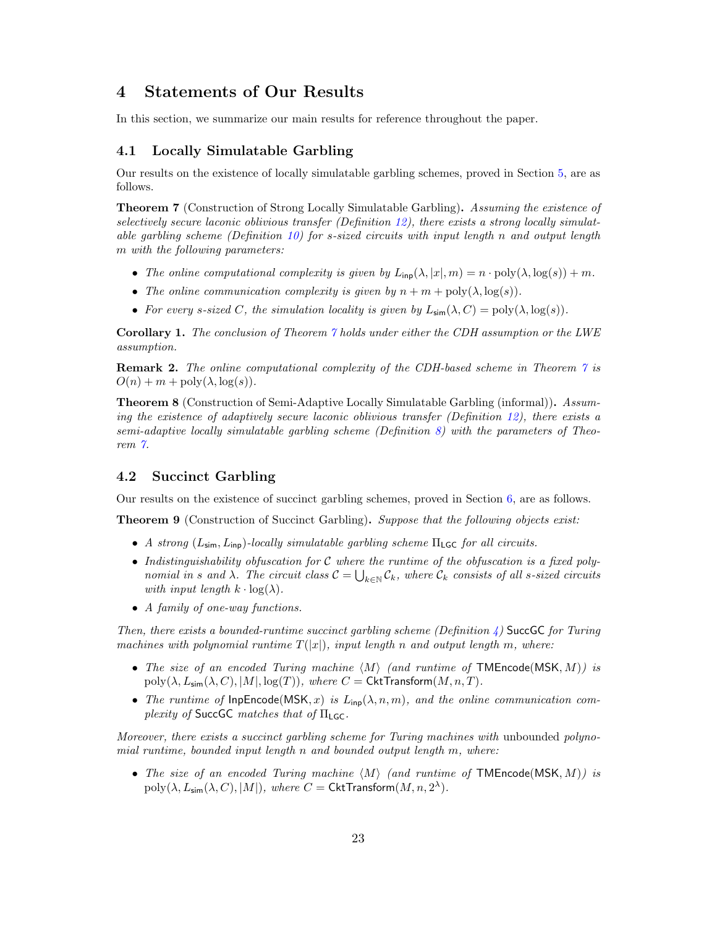## <span id="page-22-0"></span>4 Statements of Our Results

In this section, we summarize our main results for reference throughout the paper.

#### <span id="page-22-1"></span>4.1 Locally Simulatable Garbling

Our results on the existence of locally simulatable garbling schemes, proved in Section [5,](#page-23-1) are as follows.

<span id="page-22-3"></span>Theorem 7 (Construction of Strong Locally Simulatable Garbling). Assuming the existence of selectively secure laconic oblivious transfer (Definition [12\)](#page-23-2), there exists a strong locally simulatable garbling scheme (Definition [10\)](#page-19-0) for s-sized circuits with input length n and output length m with the following parameters:

- The online computational complexity is given by  $L_{\text{inp}}(\lambda, |x|, m) = n \cdot \text{poly}(\lambda, \log(s)) + m$ .
- The online communication complexity is given by  $n + m + \text{poly}(\lambda, \log(s))$ .
- For every s-sized C, the simulation locality is given by  $L_{\text{sim}}(\lambda, C) = \text{poly}(\lambda, \log(s)).$

Corollary 1. The conclusion of Theorem [7](#page-22-3) holds under either the CDH assumption or the LWE assumption.

Remark 2. The online computational complexity of the CDH-based scheme in Theorem [7](#page-22-3) is  $O(n) + m + \text{poly}(\lambda, \log(s)).$ 

Theorem 8 (Construction of Semi-Adaptive Locally Simulatable Garbling (informal)). Assuming the existence of adaptively secure laconic oblivious transfer (Definition [12\)](#page-23-2), there exists a semi-adaptive locally simulatable garbling scheme (Definition [8\)](#page-17-1) with the parameters of Theorem [7.](#page-22-3)

#### <span id="page-22-2"></span>4.2 Succinct Garbling

Our results on the existence of succinct garbling schemes, proved in Section [6,](#page-32-1) are as follows.

<span id="page-22-4"></span>Theorem 9 (Construction of Succinct Garbling). Suppose that the following objects exist:

- A strong  $(L_{\text{sim}}, L_{\text{in}})$ -locally simulatable garbling scheme  $\Pi_{\text{LGC}}$  for all circuits.
- Indistinguishability obfuscation for C where the runtime of the obfuscation is a fixed polynomial in s and  $\lambda$ . The circuit class  $C = \bigcup_{k \in \mathbb{N}} C_k$ , where  $C_k$  consists of all s-sized circuits with input length  $k \cdot \log(\lambda)$ .
- A family of one-way functions.

Then, there exists a bounded-runtime succinct garbling scheme (Definition  $\downarrow$ ) SuccGC for Turing machines with polynomial runtime  $T(|x|)$ , input length n and output length m, where:

- The size of an encoded Turing machine  $\langle M \rangle$  (and runtime of TMEncode(MSK, M)) is  $poly(\lambda, L_{\text{sim}}(\lambda, C), |M|, log(T)),$  where  $C = \text{CktTransform}(M, n, T)$ .
- The runtime of  $InpEncode(MSK, x)$  is  $L_{inp}(\lambda, n, m)$ , and the online communication complexity of SuccGC matches that of  $\Pi_{\mathsf{LGC}}$ .

Moreover, there exists a succinct garbling scheme for Turing machines with unbounded polynomial runtime, bounded input length n and bounded output length m, where:

• The size of an encoded Turing machine  $\langle M \rangle$  (and runtime of TMEncode(MSK, M)) is  $\text{poly}(\lambda, L_{\text{sim}}(\lambda, C), |M|)$ , where  $C = \textsf{CktTransform}(M, n, 2^{\lambda}).$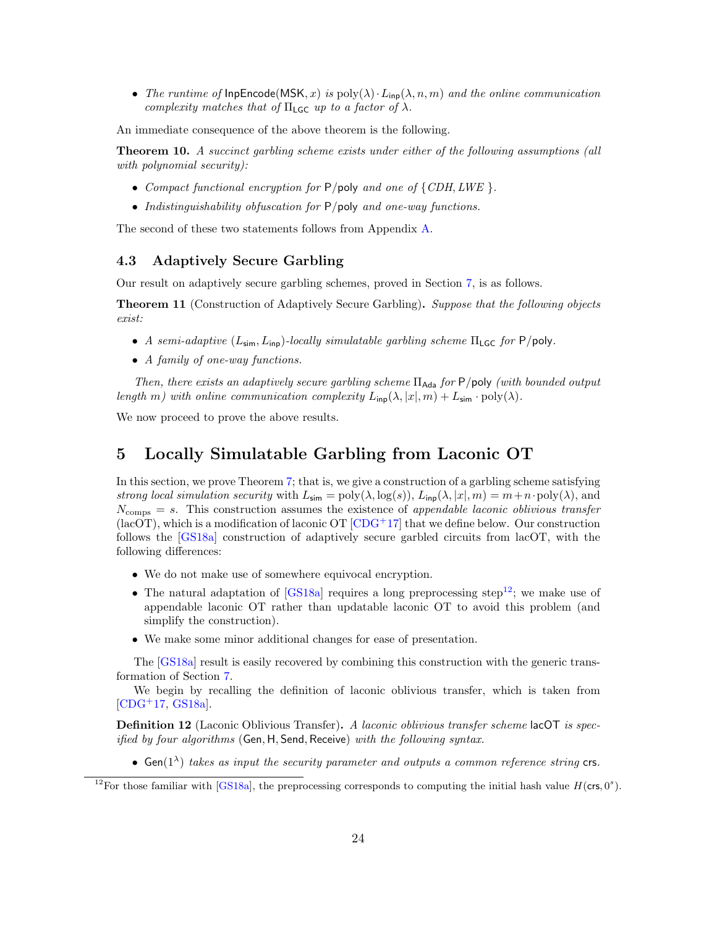• The runtime of InpEncode(MSK, x) is  $poly(\lambda) \cdot L_{inp}(\lambda, n, m)$  and the online communication complexity matches that of  $\Pi$ <sub>LGC</sub> up to a factor of  $\lambda$ .

An immediate consequence of the above theorem is the following.

**Theorem 10.** A succinct garbling scheme exists under either of the following assumptions (all with polynomial security):

- Compact functional encryption for  $P$ /poly and one of  $\{CDH, LWE\}$ .
- Indistinguishability obfuscation for  $P$ /poly and one-way functions.

The second of these two statements follows from Appendix [A.](#page-49-0)

#### <span id="page-23-0"></span>4.3 Adaptively Secure Garbling

<span id="page-23-3"></span>Our result on adaptively secure garbling schemes, proved in Section [7,](#page-43-1) is as follows.

Theorem 11 (Construction of Adaptively Secure Garbling). Suppose that the following objects exist:

- A semi-adaptive  $(L_{\text{sim}}, L_{\text{inp}})$ -locally simulatable garbling scheme  $\Pi_{\text{LGC}}$  for P/poly.
- A family of one-way functions.

Then, there exists an adaptively secure garbling scheme  $\Pi_\mathsf{Ada}$  for  $\mathsf{P}/\mathsf{poly}$  (with bounded output length m) with online communication complexity  $L_{\text{inp}}(\lambda, |x|, m) + L_{\text{sim}} \cdot \text{poly}(\lambda)$ .

We now proceed to prove the above results.

## <span id="page-23-1"></span>5 Locally Simulatable Garbling from Laconic OT

In this section, we prove Theorem [7;](#page-22-3) that is, we give a construction of a garbling scheme satisfying strong local simulation security with  $L_{\text{sim}} = \text{poly}(\lambda, \log(s)), L_{\text{inp}}(\lambda, |x|, m) = m + n \cdot \text{poly}(\lambda)$ , and  $N_{\text{comps}} = s$ . This construction assumes the existence of appendable laconic oblivious transfer  $(lacOT)$ , which is a modification of laconic OT  $[CDG+17]$  $[CDG+17]$  that we define below. Our construction follows the [\[GS18a\]](#page-48-11) construction of adaptively secure garbled circuits from lacOT, with the following differences:

- We do not make use of somewhere equivocal encryption.
- The natural adaptation of  $[GS18a]$  requires a long preprocessing step<sup>[12](#page-0-0)</sup>; we make use of appendable laconic OT rather than updatable laconic OT to avoid this problem (and simplify the construction).
- We make some minor additional changes for ease of presentation.

The [\[GS18a\]](#page-48-11) result is easily recovered by combining this construction with the generic transformation of Section [7.](#page-43-1)

We begin by recalling the definition of laconic oblivious transfer, which is taken from  $[CDG+17, GS18a]$  $[CDG+17, GS18a]$  $[CDG+17, GS18a]$ .

<span id="page-23-2"></span>**Definition 12** (Laconic Oblivious Transfer). A laconic oblivious transfer scheme lacOT is specified by four algorithms (Gen, H, Send, Receive) with the following syntax.

• Gen( $1^{\lambda}$ ) takes as input the security parameter and outputs a common reference string crs.

<sup>&</sup>lt;sup>12</sup>For those familiar with [\[GS18a\]](#page-48-11), the preprocessing corresponds to computing the initial hash value  $H(\text{crs}, 0^s)$ .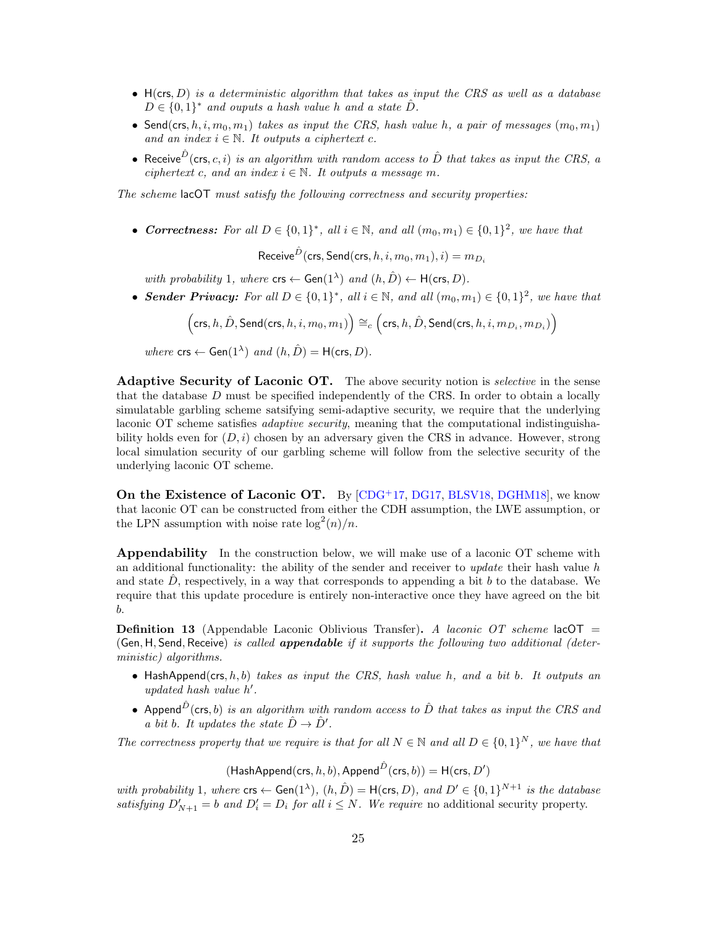- $\bullet$   $H(crs, D)$  is a deterministic algorithm that takes as input the CRS as well as a database  $D \in \{0,1\}^*$  and ouputs a hash value h and a state  $\hat{D}$ .
- Send(crs,  $h, i, m_0, m_1$ ) takes as input the CRS, hash value h, a pair of messages  $(m_0, m_1)$ and an index  $i \in \mathbb{N}$ . It outputs a ciphertext c.
- Receive  $\hat{D}$  (crs, c, i) is an algorithm with random access to  $\hat{D}$  that takes as input the CRS, a ciphertext c, and an index  $i \in \mathbb{N}$ . It outputs a message m.

The scheme lacOT must satisfy the following correctness and security properties:

• Correctness: For all  $D \in \{0,1\}^*$ , all  $i \in \mathbb{N}$ , and all  $(m_0, m_1) \in \{0,1\}^2$ , we have that

Receive $^{\hat{D}}$ (crs, Send(crs,  $h, i, m_0, m_1), i) = m_{D_i}$ 

with probability 1, where  $\mathsf{crs} \leftarrow \mathsf{Gen}(1^{\lambda})$  and  $(h, \hat{D}) \leftarrow \mathsf{H}(\mathsf{crs}, D)$ .

• Sender Privacy: For all  $D \in \{0,1\}^*$ , all  $i \in \mathbb{N}$ , and all  $(m_0, m_1) \in \{0,1\}^2$ , we have that

$$
\Bigl(\mathsf{crs},h,\hat{D},\mathsf{Send}(\mathsf{crs},h,i,m_0,m_1)\Bigr)\cong_c\Bigl(\mathsf{crs},h,\hat{D},\mathsf{Send}(\mathsf{crs},h,i,m_{D_i},m_{D_i})\Bigr)
$$

where  $\textsf{crs} \leftarrow \textsf{Gen}(1^{\lambda})$  and  $(h, \hat{D}) = \textsf{H}(\textsf{crs}, D)$ .

Adaptive Security of Laconic OT. The above security notion is *selective* in the sense that the database D must be specified independently of the CRS. In order to obtain a locally simulatable garbling scheme satsifying semi-adaptive security, we require that the underlying laconic OT scheme satisfies adaptive security, meaning that the computational indistinguishability holds even for  $(D, i)$  chosen by an adversary given the CRS in advance. However, strong local simulation security of our garbling scheme will follow from the selective security of the underlying laconic OT scheme.

On the Existence of Laconic OT. By [\[CDG](#page-47-14)+17, [DG17,](#page-47-2) [BLSV18,](#page-47-3) [DGHM18\]](#page-48-7), we know that laconic OT can be constructed from either the CDH assumption, the LWE assumption, or the LPN assumption with noise rate  $\log^2(n)/n$ .

**Appendability** In the construction below, we will make use of a laconic OT scheme with an additional functionality: the ability of the sender and receiver to *update* their hash value h and state  $D$ , respectively, in a way that corresponds to appending a bit  $b$  to the database. We require that this update procedure is entirely non-interactive once they have agreed on the bit b.

**Definition 13** (Appendable Laconic Oblivious Transfer). A laconic OT scheme lacOT = (Gen, H, Send, Receive) is called appendable if it supports the following two additional (deterministic) algorithms.

- HashAppend(crs,  $h, b$ ) takes as input the CRS, hash value h, and a bit b. It outputs an updated hash value  $h'$ .
- Append $\hat{D}$ (crs, b) is an algorithm with random access to  $\hat{D}$  that takes as input the CRS and a bit b. It updates the state  $\hat{D} \rightarrow \hat{D}'$ .

The correctness property that we require is that for all  $N \in \mathbb{N}$  and all  $D \in \{0,1\}^N$ , we have that

 $($ HashAppend $($ crs,  $h, b)$ , Append $\hat{D}$  $($ crs,  $b)$  $) = H$ (crs,  $D'$ )

with probability 1, where  $\mathsf{crs} \leftarrow \mathsf{Gen}(1^{\lambda}), (h, \hat{D}) = \mathsf{H}(\mathsf{crs}, D),$  and  $D' \in \{0, 1\}^{N+1}$  is the database satisfying  $D'_{N+1} = b$  and  $D'_{i} = D_{i}$  for all  $i \leq N$ . We require no additional security property.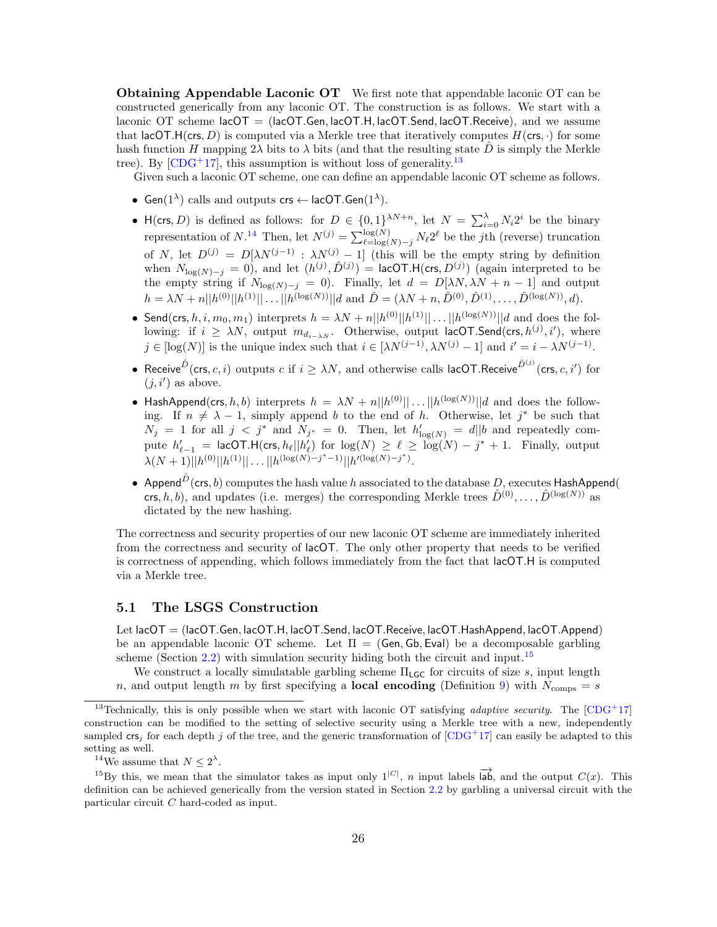**Obtaining Appendable Laconic OT** We first note that appendable laconic OT can be constructed generically from any laconic OT. The construction is as follows. We start with a laconic OT scheme  $|a\text{corr}| = |a\text{corr}|\text{Gen}, |a\text{corr}|\text{H}, |a\text{corr}|\text{Send}, |a\text{corr}|\text{Receive}|$ , and we assume that lacOT.H(crs, D) is computed via a Merkle tree that iteratively computes  $H(\mathsf{crs},\cdot)$  for some hash function H mapping 2 $\lambda$  bits to  $\lambda$  bits (and that the resulting state  $\ddot{D}$  is simply the Merkle tree). By  $[CDG<sup>+</sup>17]$  $[CDG<sup>+</sup>17]$ , this assumption is without loss of generality.<sup>[13](#page-0-0)</sup>

Given such a laconic OT scheme, one can define an appendable laconic OT scheme as follows.

- Gen( $1^{\lambda}$ ) calls and outputs crs  $\leftarrow$  lacOT.Gen( $1^{\lambda}$ ).
- H(crs, D) is defined as follows: for  $D \in \{0,1\}^{\lambda N+n}$ , let  $N = \sum_{i=0}^{\lambda} N_i 2^i$  be the binary representation of  $N^{14}$  $N^{14}$  $N^{14}$  Then, let  $N^{(j)} = \sum_{\ell=\log(N)-j}^{\log(N)} N_{\ell} 2^{\ell}$  be the jth (reverse) truncation of N, let  $D^{(j)} = D[\lambda N^{(j-1)} : \lambda N^{(j)} - 1]$  (this will be the empty string by definition when  $N_{\log(N)-j} = 0$ , and let  $(h^{(j)}, \hat{D}^{(j)}) =$  lacOT.H(crs,  $D^{(j)}$ ) (again interpreted to be the empty string if  $N_{\log(N)-j} = 0$ . Finally, let  $d = D[\lambda N, \lambda N + n - 1]$  and output  $h = \lambda N + n||h^{(0)}||h^{(1)}|| \dots ||h^{(\log(N))}||d$  and  $\hat{D} = (\lambda N + n, \hat{D}^{(0)}, \hat{D}^{(1)}, \dots, \hat{D}^{(\log(N))}, d)$ .
- Send(crs,  $h, i, m_0, m_1$ ) interprets  $h = \lambda N + n||h^{(0)}||h^{(1)}|| \dots ||h^{(\log(N))}||d$  and does the following: if  $i \geq \lambda N$ , output  $m_{d_{i-\lambda}N}$ . Otherwise, output lacOT.Send(crs,  $h^{(j)}, i'$ ), where  $j \in [\log(N)]$  is the unique index such that  $i \in [\lambda N^{(j-1)}, \lambda N^{(j)} - 1]$  and  $i' = i - \lambda N^{(j-1)}$ .
- Receive  $\hat{D}(\textsf{crs},c,i)$  outputs  $c$  if  $i \geq \lambda N$ , and otherwise calls lacOT.Receive  $\hat{D}^{(j)}(\textsf{crs},c,i')$  for  $(j, i')$  as above.
- HashAppend(crs, h, b) interprets  $h = \lambda N + n||h^{(0)}|| \dots ||h^{(\log(N))}||d$  and does the following. If  $n \neq \lambda - 1$ , simply append b to the end of h. Otherwise, let j<sup>\*</sup> be such that  $N_j = 1$  for all  $j < j^*$  and  $N_{j^*} = 0$ . Then, let  $h'_{log(N)} = d||b$  and repeatedly compute  $h'_{\ell-1}$  = lacOT.H(crs,  $h_{\ell}||h'_{\ell}$ ) for  $\log(N) \geq \ell \geq \log(N) - j^* + 1$ . Finally, output  $\lambda(N+1)||h^{(0)}||h^{(1)}||\ldots||h^{(\log(N)-j^*-1)}||h'^{(\log(N)-j^*)}.$
- Append $\hat{D}$  (crs, b) computes the hash value h associated to the database D, executes HashAppend( crs, h, b), and updates (i.e. merges) the corresponding Merkle trees  $\hat{D}^{(0)}, \ldots, \hat{D}^{(\log(N))}$  as dictated by the new hashing.

The correctness and security properties of our new laconic OT scheme are immediately inherited from the correctness and security of lacOT. The only other property that needs to be verified is correctness of appending, which follows immediately from the fact that lacOT.H is computed via a Merkle tree.

#### <span id="page-25-0"></span>5.1 The LSGS Construction

Let lacOT = (lacOT.Gen, lacOT.H, lacOT.Send, lacOT.Receive, lacOT.HashAppend, lacOT.Append) be an appendable laconic OT scheme. Let  $\Pi = (Gen, Gh, Eval)$  be a decomposable garbling scheme (Section [2.2\)](#page-13-0) with simulation security hiding both the circuit and input.<sup>[15](#page-0-0)</sup>

We construct a locally simulatable garbling scheme  $\Pi_{\mathsf{LGC}}$  for circuits of size s, input length n, and output length m by first specifying a **local encoding** (Definition [9\)](#page-18-1) with  $N_{\text{comps}} = s$ 

<sup>14</sup>We assume that  $N \leq 2^{\lambda}$ .

<sup>&</sup>lt;sup>13</sup>Technically, this is only possible when we start with laconic OT satisfying *adaptive security*. The  $[CDG^+17]$  $[CDG^+17]$ construction can be modified to the setting of selective security using a Merkle tree with a new, independently sampled crs<sub>i</sub> for each depth j of the tree, and the generic transformation of  $\left[CDG+17\right]$  $\left[CDG+17\right]$  $\left[CDG+17\right]$  can easily be adapted to this setting as well.

<sup>&</sup>lt;sup>15</sup>By this, we mean that the simulator takes as input only  $1^{|C|}$ , *n* input labels  $\overrightarrow{ab}$ , and the output  $C(x)$ . This definition can be achieved generically from the version stated in Section [2.2](#page-13-0) by garbling a universal circuit with the particular circuit C hard-coded as input.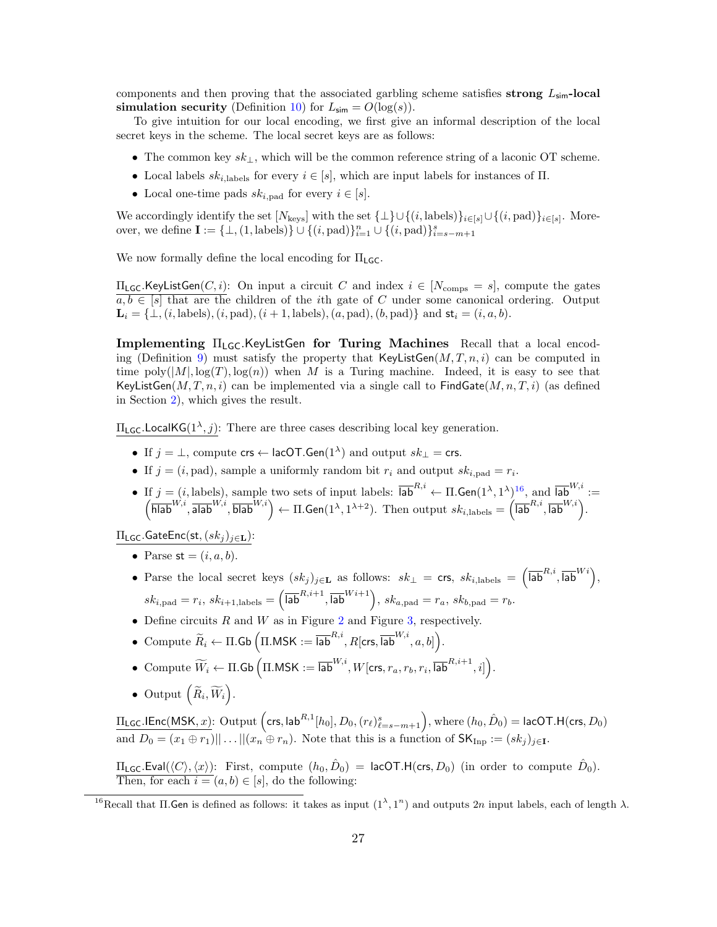components and then proving that the associated garbling scheme satisfies strong  $L_{\text{sim}}$ -local simulation security (Definition [10\)](#page-19-0) for  $L_{\text{sim}} = O(\log(s)).$ 

To give intuition for our local encoding, we first give an informal description of the local secret keys in the scheme. The local secret keys are as follows:

- The common key  $sk_{\perp}$ , which will be the common reference string of a laconic OT scheme.
- Local labels  $sk_{i,\text{labels}}$  for every  $i \in [s]$ , which are input labels for instances of  $\Pi$ .
- Local one-time pads  $sk_{i,\text{pad}}$  for every  $i \in [s]$ .

We accordingly identify the set  $[N_{\text{keys}}]$  with the set  $\{\perp\} \cup \{(i, \text{label})\}_{i \in [s]} \cup \{(i, \text{pad})\}_{i \in [s]}$ . Moreover, we define  $I := \{\bot, (1, \text{labels})\} \cup \{(i, \text{pad})\}_{i=1}^n \cup \{(i, \text{pad})\}_{i=s-m+1}^s$ 

We now formally define the local encoding for  $\Pi_{\mathsf{LGC}}$ .

 $\Pi_{\mathsf{LGC}}$ .KeyListGen $(C, i)$ : On input a circuit C and index  $i \in [N_{\text{comps}} = s]$ , compute the gates  $a, b \in [s]$  that are the children of the *i*th gate of C under some canonical ordering. Output  $\mathbf{L}_i = \{\perp, (i, \text{labels}), (i, \text{pad}), (i + 1, \text{labels}), (a, \text{pad}), (b, \text{pad})\}\$ and  $\mathsf{st}_i = (i, a, b)$ .

Implementing  $\Pi_{LG}$ . KeyListGen for Turing Machines Recall that a local encod-ing (Definition [9\)](#page-18-1) must satisfy the property that  $KeyListGen(M, T, n, i)$  can be computed in time  $\text{poly}(|M|, \log(T), \log(n))$  when M is a Turing machine. Indeed, it is easy to see that KeyListGen $(M, T, n, i)$  can be implemented via a single call to FindGate $(M, n, T, i)$  (as defined in Section [2\)](#page-11-0), which gives the result.

 $\Pi_{\mathsf{LGC}}$ .LocalKG( $1^{\lambda}, j$ ): There are three cases describing local key generation.

- If  $j = \perp$ , compute  $\mathsf{crs} \leftarrow \mathsf{lacOT}.\mathsf{Gen}(1^{\lambda})$  and output  $sk_{\perp} = \mathsf{crs}.$
- If  $j = (i, pad)$ , sample a uniformly random bit  $r_i$  and output  $sk_{i, pad} = r_i$ .
- If  $j = (i, \text{labels})$ , sample two sets of input labels:  $\overline{\mathsf{lab}}^{R,i} \leftarrow \Pi$ . Gen $(1^\lambda, 1^\lambda)^{16}$  $(1^\lambda, 1^\lambda)^{16}$  $(1^\lambda, 1^\lambda)^{16}$ , and  $\overline{\mathsf{lab}}^{W,i}$ :  $\left(\overline{\text{hlab}}^{W,i}, \overline{\text{alab}}^{W,i}, \overline{\text{blab}}^{W,i}\right) \leftarrow \Pi.\text{Gen}(1^{\lambda}, 1^{\lambda+2}).$  Then output  $sk_{i,\text{labels}} = \left(\overline{\text{lab}}^{R,i}, \overline{\text{lab}}^{W,i}\right).$

 $\Pi_{\mathsf{LGC}}$ .GateEnc(st,  $(sk_j)_{j \in \mathbf{L}}$ ):

- Parse  $st = (i, a, b)$ .
- Parse the local secret keys  $(sk_j)_{j\in\mathbf{L}}$  as follows:  $sk_{\perp} = \text{crs}, sk_{i,\text{labels}} = (\overline{\text{lab}}^{R,i}, \overline{\text{lab}}^{Wi}),$  $sk_{i,\text{pad}} = r_i$ ,  $sk_{i+1,\text{labels}} = (\overline{\mathsf{lab}}^{R,i+1}, \overline{\mathsf{lab}}^{Wi+1}),$   $sk_{a,\text{pad}} = r_a$ ,  $sk_{b,\text{pad}} = r_b$ .
- Define circuits  $R$  and  $W$  as in Figure [2](#page-27-0) and Figure [3,](#page-27-1) respectively.
- Compute  $\widetilde{R}_i \leftarrow \Pi.\mathsf{Gb}\left(\Pi.\mathsf{MSK}:=\overline{\mathsf{lab}}^{R,i}, R[\mathsf{crs},\overline{\mathsf{lab}}^{W,i},a,b]\right)\!.$
- Compute  $\widetilde{W}_i$  ← Π.Gb  $($ Π.MSK :=  $\overline{\mathsf{lab}}^{W,i}, W[\mathsf{crs}, r_a, r_b, r_i, \overline{\mathsf{lab}}^{R,i+1}, i]$  $).$
- Output  $\left(\widetilde{R}_i, \widetilde{W}_i\right)$ .

 $\Pi_{\mathsf{LGC}}$ .IEnc(MSK, $x$ ): Output  $\Big({\sf crs, lab}^{R,1}[h_0], D_0, (r_\ell)_{\ell=s-m+1}^s\Big),$  where  $(h_0, \hat{D}_0) = {\sf lacOT.H}({\sf crs, D_0})$ and  $D_0 = (x_1 \oplus r_1) \dots ||(x_n \oplus r_n)$ . Note that this is a function of  $\mathsf{SK}_{\text{Imp}} := (sk_j)_{j \in \mathbf{I}}$ .

 $\Pi_{\mathsf{LGC}}.\mathsf{Eval}(\langle C \rangle, \langle x \rangle)$ : First, compute  $(h_0, \hat{D}_0)$  = lacOT.H(crs, $D_0)$  (in order to compute  $\hat{D}_0$ ). Then, for each  $i = (a, b) \in [s]$ , do the following:

<sup>&</sup>lt;sup>16</sup>Recall that  $\Pi$ . Gen is defined as follows: it takes as input  $(1^{\lambda}, 1^n)$  and outputs 2n input labels, each of length  $\lambda$ .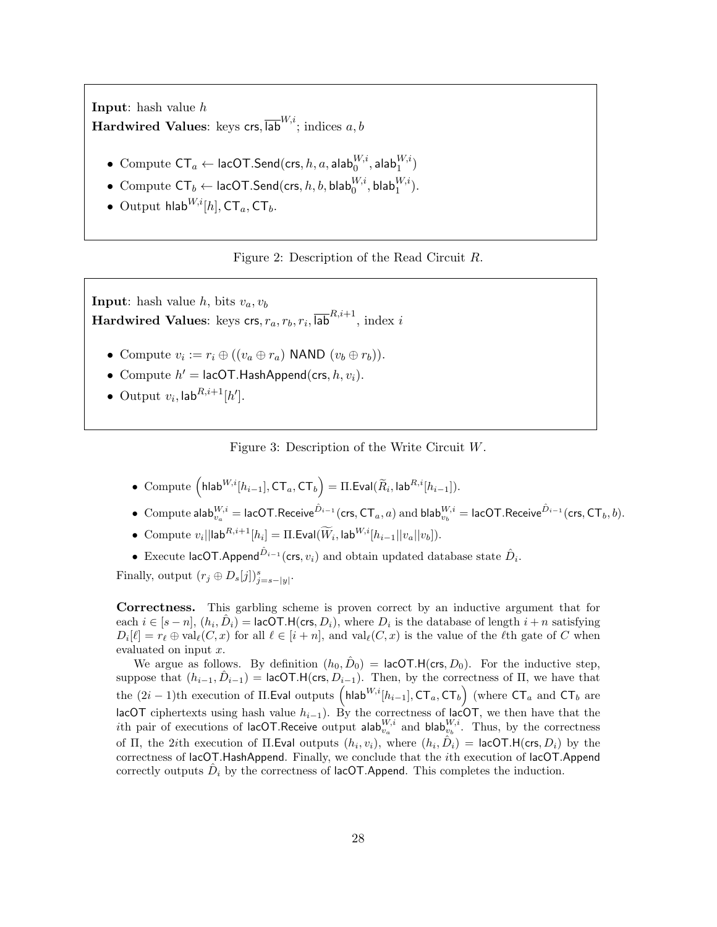Input: hash value h Hardwired Values: keys crs,  $\overline{{\mathsf{lab}}}^{W,i}$ ; indices  $a, b$ 

- Compute  $\mathsf{CT}_a \leftarrow \mathsf{lacOT}.\mathsf{Send}(\mathsf{crs}, h, a, \mathsf{alab}^{W,i}_0, \mathsf{alab}^{W,i}_1)$
- Compute  $\mathsf{CT}_b \leftarrow \mathsf{lacOT}.\mathsf{Send}(\mathsf{crs},h,b,\mathsf{blab}_0^{W,i},\mathsf{blab}_1^{W,i}).$
- Output hlab<sup>W,i</sup>[h],  $CT_a$ ,  $CT_b$ .

<span id="page-27-0"></span>

**Input:** hash value h, bits  $v_a, v_b$  $\textbf{Hardwired Values: } \text{keys }\textsf{crs}, r_a, r_b, r_i, \overline{\textsf{lab}}^{R,i+1}, \text{ index } i$ 

- Compute  $v_i := r_i \oplus ((v_a \oplus r_a) \text{ NAND } (v_b \oplus r_b)).$
- Compute  $h' = \text{lacOT.HashAppend}(\text{crs}, h, v_i)$ .
- Output  $v_i$ ,  $\mathsf{lab}^{R,i+1}[h']$ .

<span id="page-27-1"></span>Figure 3: Description of the Write Circuit W.

- $\bullet \ \ \text{Compute} \ \Big(\mathsf{hlab}^{W,i}[h_{i-1}],\mathsf{CT}_a,\mathsf{CT}_b \Big) = \Pi.\mathsf{Eval}(\widetilde{R}_i,\mathsf{lab}^{R,i}[h_{i-1}]).$
- $\bullet \,\,$   $\mathsf{Compute} \,\, \mathsf{alab}^{W,i}_{v_a} = \mathsf{lacOT}.\mathsf{Receive}^{\hat{D}_{i-1}}(\mathsf{crs},\mathsf{CT}_a,a) \,\, \mathsf{and} \,\, \mathsf{blab}^{W,i}_{v_b} = \mathsf{lacOT}.\mathsf{Receive}^{\hat{D}_{i-1}}(\mathsf{crs},\mathsf{CT}_b,b).$
- Compute  $v_i||\mathsf{lab}^{R,i+1}[h_i] = \Pi.\mathsf{Eval}(\widetilde{W}_i, \mathsf{lab}^{W,i}[h_{i-1}||v_a||v_b]).$
- Execute lacOT.Append $\hat{D}_{i-1}$  (crs,  $v_i$ ) and obtain updated database state  $\hat{D}_i$ .

Finally, output  $(r_j \oplus D_s[j])_{j=s-|y|}^s$ .

Correctness. This garbling scheme is proven correct by an inductive argument that for each  $i \in [s-n]$ ,  $(h_i, \hat{D}_i) = \text{lacOT.H}(\text{crs}, D_i)$ , where  $D_i$  is the database of length  $i+n$  satisfying  $D_i[\ell] = r_\ell \oplus \text{val}_{\ell}(C, x)$  for all  $\ell \in [i + n]$ , and  $\text{val}_{\ell}(C, x)$  is the value of the  $\ell$ th gate of C when evaluated on input x.

We argue as follows. By definition  $(h_0, \hat{D}_0) = \text{lacOT.H}(\text{crs}, D_0)$ . For the inductive step, suppose that  $(h_{i-1}, \hat{D}_{i-1}) =$  lacOT.H(crs,  $D_{i-1}$ ). Then, by the correctness of  $\Pi$ , we have that the  $(2i-1)$ th execution of II. Eval outputs  $\left(h\text{lab}^{W,i}[h_{i-1}],\text{CT}_a,\text{CT}_b\right)$  (where  $\text{CT}_a$  and  $\text{CT}_b$  are lacOT ciphertexts using hash value  $h_{i-1}$ ). By the correctness of lacOT, we then have that the ith pair of executions of lacOT.Receive output alab $_{v_a}^{W,i}$  and blab $_{v_b}^{W,i}$ . Thus, by the correctness of  $\Pi$ , the 2*i*th execution of  $\Pi$ . Eval outputs  $(h_i, v_i)$ , where  $(h_i, \hat{D}_i)$  = lacOT. H(crs,  $D_i$ ) by the correctness of lacOT.HashAppend. Finally, we conclude that the ith execution of lacOT.Append correctly outputs  $\hat{D}_i$  by the correctness of lacOT.Append. This completes the induction.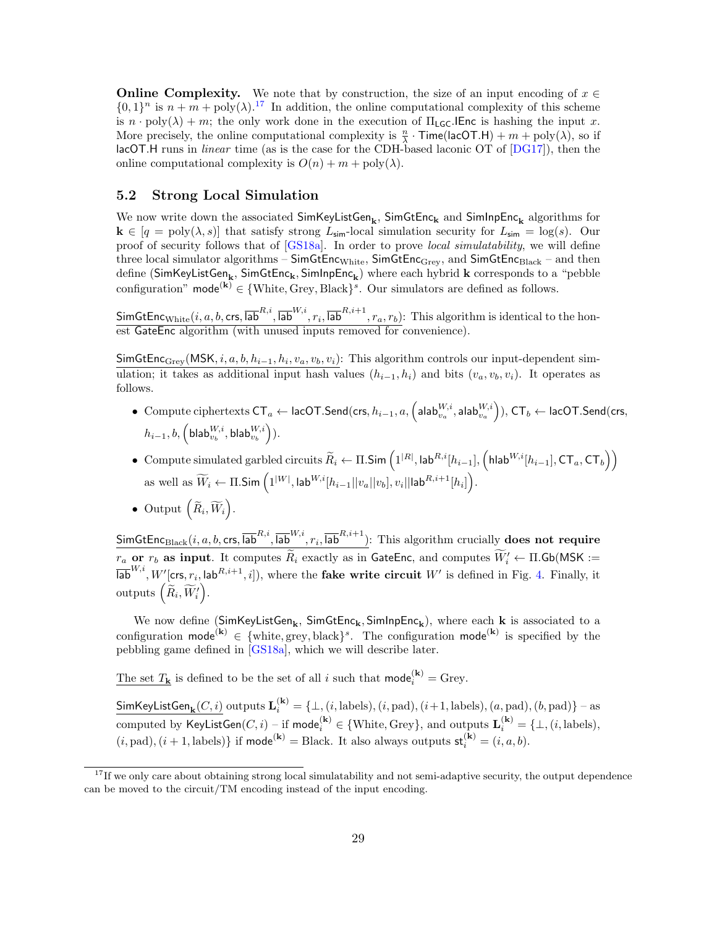**Online Complexity.** We note that by construction, the size of an input encoding of  $x \in \mathbb{R}$  $\{0,1\}^n$  is  $n + m + \text{poly}(\lambda)$ .<sup>[17](#page-0-0)</sup> In addition, the online computational complexity of this scheme is  $n \cdot \text{poly}(\lambda) + m$ ; the only work done in the execution of  $\Pi_{\text{LG}}$ . IEnc is hashing the input x. More precisely, the online computational complexity is  $\frac{n}{\lambda} \cdot \text{Time}(\text{lacOT.H}) + m + \text{poly}(\lambda)$ , so if lacOT.H runs in linear time (as is the case for the CDH-based laconic OT of [\[DG17\]](#page-47-2)), then the online computational complexity is  $O(n) + m + \text{poly}(\lambda)$ .

#### <span id="page-28-0"></span>5.2 Strong Local Simulation

We now write down the associated  $\sf SimKeyListGen_k, \sf SimGtEnc_k$  and  $\sf SimInpEnc_k$  algorithms for  $\mathbf{k} \in [q = \text{poly}(\lambda, s)]$  that satisfy strong  $L_{\text{sim}}$ -local simulation security for  $L_{\text{sim}} = \log(s)$ . Our proof of security follows that of [\[GS18a\]](#page-48-11). In order to prove local simulatability, we will define three local simulator algorithms –  $SimGtEnc<sub>White</sub>$ ,  $SimGtEnc<sub>Gre</sub>$ , and  $SimGtEnc<sub>Black</sub>$  – and then define (SimKeyListGen<sub>k</sub>, SimGtEnc<sub>k</sub>, SimInpEnc<sub>k</sub>) where each hybrid **k** corresponds to a "pebble configuration" mode<sup>(k)</sup>  $\in \{White, Grey, Black\}^s$ . Our simulators are defined as follows.

SimGtEnc $_{\text{White}}(i, a, b, \textsf{crs}, \overline{\textsf{lab}}^{R,i}, \overline{\textsf{lab}}^{W,i}, r_i, \overline{\textsf{lab}}^{R,i+1}, r_a, r_b)$ : This algorithm is identical to the honest GateEnc algorithm (with unused inputs removed for convenience).

SimGtEnc<sub>Grey</sub>(MSK, *i*, *a*, *b*,  $h_{i-1}$ ,  $h_i$ ,  $v_a$ ,  $v_b$ ,  $v_i$ ): This algorithm controls our input-dependent simulation; it takes as additional input hash values  $(h_{i-1}, h_i)$  and bits  $(v_a, v_b, v_i)$ . It operates as follows.

- $\bullet \ \ \text{Compute ciphertexts } \mathsf{CT}_a \leftarrow \mathsf{lacOT}.\mathsf{Send}(\mathsf{crs}, h_{i-1}, a, \left(\mathsf{alab}_{v_a}^{W,i}, \mathsf{alab}_{v_a}^{W,i}\right)), \mathsf{CT}_b \leftarrow \mathsf{lacOT}.\mathsf{Send}(\mathsf{crs}, h_{i-1}, a, \left(\mathsf{alab}_{v_a}^{W,i}, \mathsf{alab}_{v_a}^{W,i}\right)), \mathsf{CT}_b \leftarrow \mathsf{lacOT}.\mathsf{Send}(\mathsf{crs}, h_{i-1}, a, \left(\mathsf{alab}_{v_a}^{W,i}, \mathsf{alab}_{v_a}^{W,i}\$  $h_{i-1}, b, \left( \mathsf{blab}_{v_{b}}^{W,i}, \mathsf{blab}_{v_{b}}^{W,i} \right) ).$
- $\bullet$  Compute simulated garbled circuits  $\widetilde{R}_i ← \Pi.\mathsf{Sim}\left(1^{|R|}, \mathsf{lab}^{R,i}[h_{i-1}], \left(\mathsf{hlab}^{W,i}[h_{i-1}], \mathsf{CT}_a, \mathsf{CT}_b\right)\right)$ as well as  $\widetilde{W}_i \leftarrow \Pi.\mathsf{Sim}\left(1^{|W|}, \mathsf{lab}^{W,i}[h_{i-1}||v_a||v_b], v_i||\mathsf{lab}^{R,i+1}[h_i]\right).$
- Output  $\left(\widetilde{R}_i, \widetilde{W}_i\right)$ .

SimGtEnc $_{\rm Black}(i,a,b,\mathsf{crs},\overline{\mathsf{lab}}^{R,i},\overline{\mathsf{lab}}^{W,i},r_i,\overline{\mathsf{lab}}^{R,i+1})$ : This algorithm crucially **does not require**  $r_a$  or  $r_b$  as input. It computes  $R_i$  exactly as in GateEnc, and computes  $W_i' \leftarrow \Pi$ .Gb(MSK :=  $\overline{\mathsf{lab}}^{W,i}, W'[\mathsf{crs}, r_i, \mathsf{lab}^{R,i+1}, i]),$  where the **fake write circuit**  $W'$  is defined in Fig. [4.](#page-29-0) Finally, it  $\mathrm{outputs}\left(\widetilde{R}_i, \widetilde{W}_i'\right).$ 

We now define (SimKeyListGen<sub>k</sub>, SimGtEnc<sub>k</sub>, SimInpEnc<sub>k</sub>), where each **k** is associated to a configuration mode<sup>(k)</sup>  $\in \{\text{white}, \text{grey}, \text{black}\}^s$ . The configuration mode<sup>(k)</sup> is specified by the pebbling game defined in [\[GS18a\]](#page-48-11), which we will describe later.

The set  $T_{\mathbf{k}}$  is defined to be the set of all i such that  $\text{mode}_{i}^{(\mathbf{k})} = \text{Grey}$ .

 ${\sf SimKeyListGen}_{\bf k}(C,i)$  outputs  ${\bf L}^{({\bf k})}_i=\{\bot, (i,{\rm labels}), (i,{\rm pad}), (i+1,{\rm labels}), (a,{\rm pad}), (b,{\rm pad})\}$  – as computed by  $\mathsf{KeyListGen}(C,i) - \text{if }\mathsf{mode}_i^{(\mathbf{k})} \in \{\text{White}, \text{Grey}\}, \text{ and outputs } \mathbf{L}_i^{(\mathbf{k})} = \{\bot, (i,\text{labels}),$  $(i, pad), (i + 1, labels)$  if mode<sup>(k)</sup> = Black. It also always outputs  $\mathsf{st}_i^{(k)} = (i, a, b)$ .

 $17$ If we only care about obtaining strong local simulatability and not semi-adaptive security, the output dependence can be moved to the circuit/TM encoding instead of the input encoding.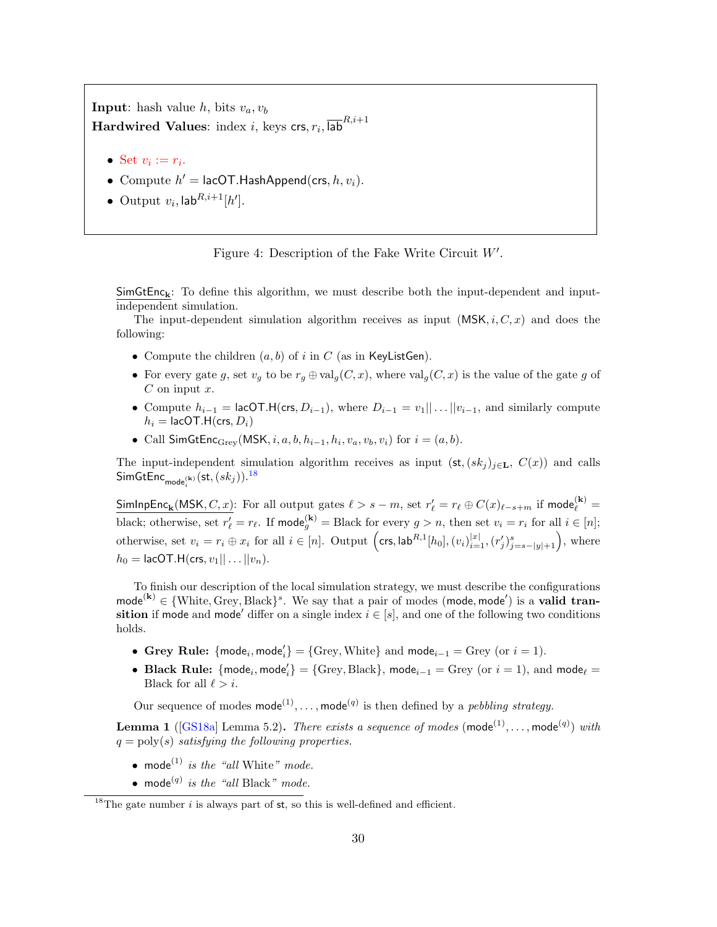**Input:** hash value h, bits  $v_a, v_b$  $\bm{\text{Hardwired Values: index} } i, \text{ keys }\textsf{crs}, r_i, \overline{\textsf{lab}}^{R,i+1}$ 

- Set  $v_i := r_i$ .
- Compute  $h' = \text{lacOT.HashAppend}(\text{crs}, h, v_i)$ .
- Output  $v_i$ ,  $\mathsf{lab}^{R,i+1}[h']$ .

<span id="page-29-0"></span>Figure 4: Description of the Fake Write Circuit  $W'$ .

 $SimGtEnc_{\mathbf{k}}$ : To define this algorithm, we must describe both the input-dependent and inputindependent simulation.

The input-dependent simulation algorithm receives as input  $(MSK, i, C, x)$  and does the following:

- Compute the children  $(a, b)$  of i in C (as in KeyListGen).
- For every gate g, set  $v_q$  to be  $r_q \oplus \text{val}_q(C, x)$ , where  $\text{val}_q(C, x)$  is the value of the gate g of  $C$  on input  $x$ .
- Compute  $h_{i-1} =$  lacOT.H(crs,  $D_{i-1}$ ), where  $D_{i-1} = v_1 || \dots || v_{i-1}$ , and similarly compute  $h_i =$  lacOT.H(crs,  $D_i$ )
- Call SimGtEnc<sub>Grey</sub>(MSK, *i*, *a*, *b*,  $h_{i-1}$ ,  $h_i$ ,  $v_a$ ,  $v_b$ ,  $v_i$ ) for  $i = (a, b)$ .

The input-independent simulation algorithm receives as input  $(\mathsf{st},(sk_j)_{j\in\mathbf{L}}, C(x))$  and calls  $\mathsf{SimGtEnc}_{\mathsf{mode}_i^{(\mathbf{k})}}(\mathsf{st},(sk_j)).^{18}$  $\mathsf{SimGtEnc}_{\mathsf{mode}_i^{(\mathbf{k})}}(\mathsf{st},(sk_j)).^{18}$  $\mathsf{SimGtEnc}_{\mathsf{mode}_i^{(\mathbf{k})}}(\mathsf{st},(sk_j)).^{18}$ 

SimInpEnc<sub>k</sub>(MSK, C, x): For all output gates  $\ell > s - m$ , set  $r'_\ell = r_\ell \oplus C(x)_{\ell-s+m}$  if mode $\binom{k}{\ell}$ black; otherwise, set  $r'_\ell = r_\ell$ . If mode<sup>(k)</sup> = Black for every  $g > n$ , then set  $v_i = r_i$  for all  $i \in [n]$ ; otherwise, set  $v_i = r_i \oplus x_i$  for all  $i \in [n]$ . Output  $(\text{crs, lab}^{R,1}[h_0], (v_i)_{i=1}^{|x|}, (r'_j)_{j=s-|y|+1}^s),$  where  $h_0 = \text{lacOT.H}(\text{crs}, v_1 || \dots || v_n).$ 

To finish our description of the local simulation strategy, we must describe the configurations mode<sup>(k)</sup>  $\in \{\text{White}, \text{Grey}, \text{Black}\}^s$ . We say that a pair of modes (mode, mode') is a **valid tran**sition if mode and mode' differ on a single index  $i \in [s]$ , and one of the following two conditions holds.

- Grey Rule:  ${mode_i, mode'_i} = {Grey, White}$  and  $mode_{i-1} = Grey$  (or  $i = 1$ ).
- Black Rule:  ${mode_i, mode'_i} = {Grey, Black}, mode_{i-1} = Grey (or i = 1), and mode_{\ell} =$ Black for all  $\ell > i$ .

Our sequence of modes  $\text{mode}^{(1)}, \ldots, \text{mode}^{(q)}$  is then defined by a *pebbling strategy*.

<span id="page-29-1"></span>**Lemma 1** ([\[GS18a\]](#page-48-11) Lemma 5.2). There exists a sequence of modes (mode<sup>(1)</sup>,..., mode<sup>(q)</sup>) with  $q = \text{poly}(s)$  satisfying the following properties.

- mode<sup>(1)</sup> is the "all White" mode.
- mode<sup>(q)</sup> is the "all Black" mode.

<sup>&</sup>lt;sup>18</sup>The gate number i is always part of  $st$ , so this is well-defined and efficient.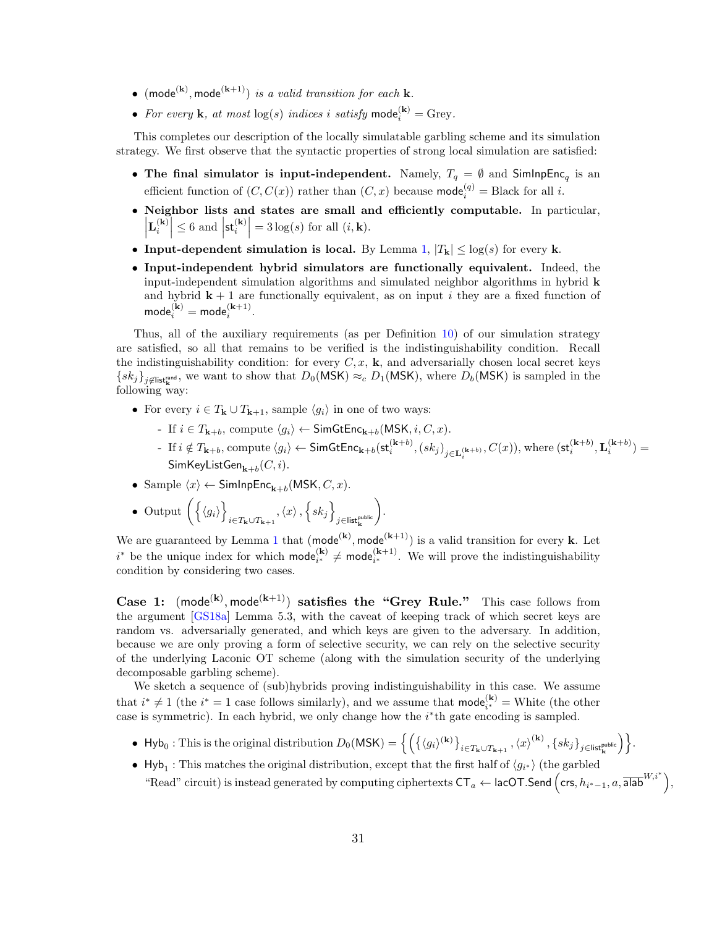- (mode<sup>(k)</sup>, mode<sup>(k+1)</sup>) is a valid transition for each **k**.
- For every **k**, at most  $log(s)$  indices i satisfy mode<sub>i</sub><sup>(k)</sup> = Grey.

This completes our description of the locally simulatable garbling scheme and its simulation strategy. We first observe that the syntactic properties of strong local simulation are satisfied:

- The final simulator is input-independent. Namely,  $T_q = \emptyset$  and SimInpEnc<sub>q</sub> is an efficient function of  $(C, C(x))$  rather than  $(C, x)$  because mode<sub>i</sub><sup>(q)</sup> = Black for all *i*.
- Neighbor lists and states are small and efficiently computable. In particular,  $\left| \mathbf{L}_i^{(\mathbf{k})} \right| \leq 6$  and  $\left| \mathbf{s} \mathbf{t}_i^{(\mathbf{k})} \right| = 3 \log(s)$  for all  $(i, \mathbf{k})$ .
- Input-dependent simulation is local. By Lemma [1,](#page-29-1)  $|T_{\mathbf{k}}| \leq \log(s)$  for every k.
- Input-independent hybrid simulators are functionally equivalent. Indeed, the input-independent simulation algorithms and simulated neighbor algorithms in hybrid k and hybrid  $k + 1$  are functionally equivalent, as on input i they are a fixed function of  $\textsf{mode}_i^{(\mathbf{k})} = \textsf{mode}_i^{(\mathbf{k}+1)}.$

Thus, all of the auxiliary requirements (as per Definition [10\)](#page-19-0) of our simulation strategy are satisfied, so all that remains to be verified is the indistinguishability condition. Recall the indistinguishability condition: for every  $C, x$ ,  $\bf{k}$ , and adversarially chosen local secret keys  $\{sk_j\}_{j\notin\mathsf{list}_{\mathbf{k}}^{\text{rand}}}$ , we want to show that  $D_0(MSK) \approx_c D_1(MSK)$ , where  $D_b(MSK)$  is sampled in the following way:

- For every  $i \in T_{\mathbf{k}} \cup T_{\mathbf{k}+1}$ , sample  $\langle g_i \rangle$  in one of two ways:
	- If  $i \in T_{\mathbf{k}+b}$ , compute  $\langle g_i \rangle \leftarrow \mathsf{SimGtEnc}_{\mathbf{k}+b}(\mathsf{MSK}, i, C, x)$ .
	- If  $i \notin T_{\mathbf{k}+b}$ , compute  $\langle g_i \rangle$  ← SimGtEnc<sub>k+b</sub>(st<sub>i</sub><sup>(k+b)</sup>, (sk<sub>j</sub>)<sub>j∈L{</sub><sub>k+b)</sub>,  $C(x)$ ), where (st<sub>i</sub><sup>(k+b)</sup>, L<sub>i</sub><sup>(k+b)</sup>) =  $\mathsf{SimKeyListGen}_{\mathbf{k}+b}(C,i).$
- Sample  $\langle x \rangle \leftarrow$  SimInpEnc<sub>k+b</sub>(MSK, C, x).
- Output  $\left\{ \left\langle g_{i}\right\rangle \right\}$  $_{i\in T_{\mathbf{k}}\cup T_{\mathbf{k}+1}},\left\langle x\right\rangle ,\left\{ sk_{j}\right\}$  $j$ ∈list $_{\mathbf{k}}^{\mathsf{public}}$ .

We are guaranteed by Lemma [1](#page-29-1) that  $(\text{mode}^{(k)}, \text{mode}^{(k+1)})$  is a valid transition for every k. Let  $i^*$  be the unique index for which  $\text{mode}_{i^*}^{(k)} \neq \text{mode}_{i^*}^{(k+1)}$ . We will prove the indistinguishability condition by considering two cases.

Case 1:  $(\text{mode}^{(k)}, \text{mode}^{(k+1)})$  satisfies the "Grey Rule." This case follows from the argument [\[GS18a\]](#page-48-11) Lemma 5.3, with the caveat of keeping track of which secret keys are random vs. adversarially generated, and which keys are given to the adversary. In addition, because we are only proving a form of selective security, we can rely on the selective security of the underlying Laconic OT scheme (along with the simulation security of the underlying decomposable garbling scheme).

We sketch a sequence of (sub)hybrids proving indistinguishability in this case. We assume that  $i^* \neq 1$  (the  $i^* = 1$  case follows similarly), and we assume that  $\text{mode}_{i^*}^{(k)} =$  White (the other case is symmetric). In each hybrid, we only change how the  $i^*$ th gate encoding is sampled.

- $Hyb_0:$  This is the original distribution  $D_0({\sf MSK}) = \left\{\left(\left\{\langle g_i\rangle^{(\bf k)}\right\}_{i\in T_{\bf k}\cup T_{\bf k+1}},\left\langle x\right\rangle^{(\bf k)},\left\{sk_j\right\}_{j\in {\sf list}^{\sf public}_{\bf k}}\right)\right\}.$
- Hyb<sub>1</sub>: This matches the original distribution, except that the first half of  $\langle g_{i^*} \rangle$  (the garbled "Read" circuit) is instead generated by computing ciphertexts  $CT_a \leftarrow \text{lacOT.Send}$   $\left(\text{crs}, h_{i^*-1}, a, \overline{\text{alab}}^{W,i^*}\right)$ ,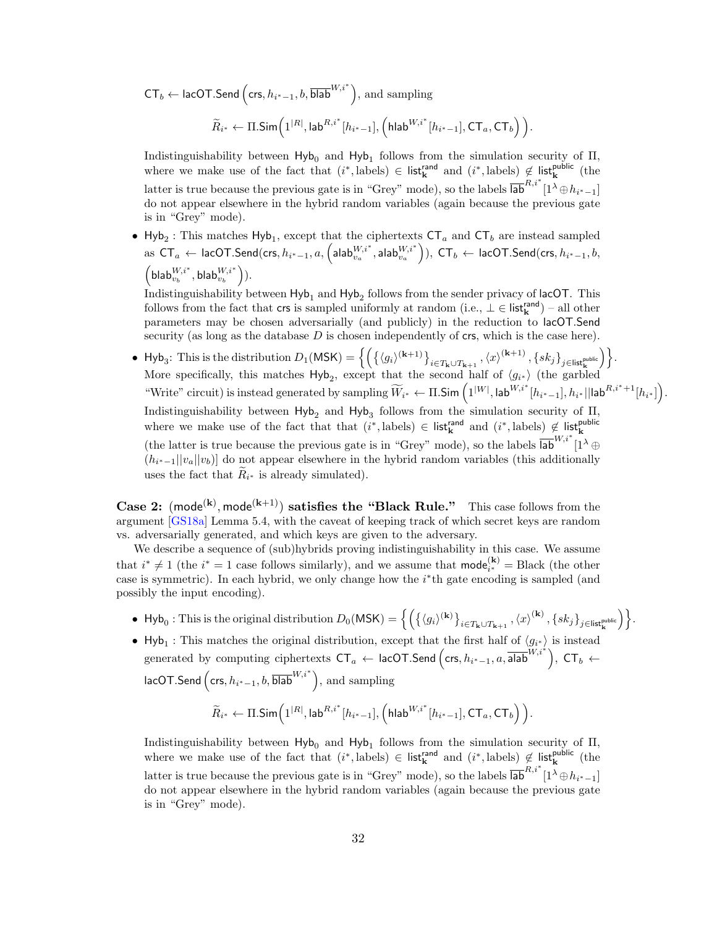$\mathsf{CT}_b \leftarrow \mathsf{lacOT}.\mathsf{Send}\left(\mathsf{crs}, h_{i^*-1}, b, \overline{\mathsf{blab}}^{W,i^*}\right), \text{ and sampling}$ 

 $\widetilde{R}_{i^*}\leftarrow \Pi.\mathsf{Sim}\Big(1^{|R|},\mathsf{lab}^{R,i^*}[h_{i^*-1}],\Big(\mathsf{hlab}^{W,i^*}[h_{i^*-1}],\mathsf{CT}_a,\mathsf{CT}_b\Big)\,\Big).$ 

Indistinguishability between  $Hyb<sub>0</sub>$  and  $Hyb<sub>1</sub>$  follows from the simulation security of  $\Pi$ , where we make use of the fact that  $(i^*, \text{labels}) \in \text{list}_{\mathbf{k}}^{\text{rand}}$  and  $(i^*, \text{labels}) \notin \text{list}_{\mathbf{k}}^{\text{public}}$  (the latter is true because the previous gate is in "Grey" mode), so the labels  $\overline{lab}^{R,i^*}[1^{\lambda} \oplus h_{i^*-1}]$ do not appear elsewhere in the hybrid random variables (again because the previous gate is in "Grey" mode).

• Hyb<sub>2</sub>: This matches Hyb<sub>1</sub>, except that the ciphertexts  $CT_a$  and  $CT_b$  are instead sampled  ${\sf as}\,\, \mathsf{CT}_a\,\leftarrow\, {\sf lacOT}.\mathsf{Send}(\mathsf{crs},h_{i^*-1},a,\left(\mathsf{alab}_{v_a}^{W,i^*},\mathsf{alab}_{v_a}^{W,i^*}\right)),\,\, \mathsf{CT}_b\,\leftarrow\, {\sf lacOT}.\mathsf{Send}(\mathsf{crs},h_{i^*-1},b,\left(\mathsf{alab}_{v_a}^{W,i^*},\mathsf{alab}_{v_a}^{W,i^*}\right)),$  $\left( \mathsf{blab}_{v_b}^{W,i^\ast}, \mathsf{blab}_{v_b}^{W,i^\ast} \right)$ ).

Indistinguishability between  $\mathsf{Hyb}_1$  and  $\mathsf{Hyb}_2$  follows from the sender privacy of  $\mathsf{lacOT}$ . This follows from the fact that crs is sampled uniformly at random  $(i.e., \perp \in \mathsf{list}_{k}^{\mathsf{rand}})$  – all other parameters may be chosen adversarially (and publicly) in the reduction to lacOT.Send security (as long as the database  $D$  is chosen independently of  $crs$ , which is the case here).

• Hyb<sub>3</sub>: This is the distribution  $D_1(\mathsf{MSK}) = \left\{ \left( \left\{ \langle g_i \rangle^{(\mathbf{k}+1)} \right\}_{i \in T_{\mathbf{k}} \cup T_{\mathbf{k}+1}}, \langle x \rangle^{(\mathbf{k}+1)}, \{sk_j\}_{j \in \mathsf{list}_{\mathbf{k}}^{\mathsf{public}}}\right) \right\}$ . More specifically, this matches  $\mathsf{Hyb}_2$ , except that the second half of  $\langle g_{i*} \rangle$  (the garbled "Write" circuit) is instead generated by sampling  $\widetilde{W}_{i^*} \leftarrow \Pi.\mathsf{Sim}\left(1^{|W|}, \mathsf{lab}^{W,i^*}[h_{i^*-1}], h_{i^*}||\mathsf{lab}^{R,i^*+1}[h_{i^*}]\right).$ Indistinguishability between  $Hyb<sub>2</sub>$  and  $Hyb<sub>3</sub>$  follows from the simulation security of  $\Pi$ , where we make use of the fact that that  $(i^*, \text{labels}) \in \text{list}_{\mathbf{k}}^{\text{rand}}$  and  $(i^*, \text{labels}) \notin \text{list}_{\mathbf{k}}^{\text{public}}$ (the latter is true because the previous gate is in "Grey" mode), so the labels  $\overline{lab}^{W,i^*}$   $\overline{1}^{\lambda}$   $\oplus$  $(h_{i^*-1}||v_a||v_b)$  do not appear elsewhere in the hybrid random variables (this additionally uses the fact that  $R_{i^*}$  is already simulated).

**Case 2:** (mode<sup>(k)</sup>, mode<sup>(k+1)</sup>) satisfies the "Black Rule." This case follows from the argument [\[GS18a\]](#page-48-11) Lemma 5.4, with the caveat of keeping track of which secret keys are random vs. adversarially generated, and which keys are given to the adversary.

We describe a sequence of (sub)hybrids proving indistinguishability in this case. We assume that  $i^* \neq 1$  (the  $i^* = 1$  case follows similarly), and we assume that  $\text{mode}_{i^*}^{(k)} = \text{Black}$  (the other case is symmetric). In each hybrid, we only change how the  $i^*$ th gate encoding is sampled (and possibly the input encoding).

●  $Hyb_0:$  This is the original distribution  $D_0({\sf MSK}) = \left\{\left(\left\{\langle g_i\rangle^{(\bf k)}\right\}_{i\in T_{\bf k}\cup T_{\bf k+1}},\left\langle x\right\rangle^{(\bf k)},\left\{sk_j\right\}_{j\in {\sf list}^{\sf public}_{\bf k}}\right)\right\}.$ 

• Hyb<sub>1</sub>: This matches the original distribution, except that the first half of  $\langle g_{i^*} \rangle$  is instead generated by computing ciphertexts  $CT_a \leftarrow \text{lacOT.Send} \left(\text{crs}, h_{i^*-1}, a, \overline{\text{alab}}^{W, i^*}\right), \text{CT}_b \leftarrow$ lacOT.Send  $\left( \textsf{crs}, h_{i^*-1}, b, \overline{\textsf{blab}}^{W,i^*} \right)$ , and sampling

$$
\widetilde{R}_{i^*}\leftarrow \Pi.\mathsf{Sim}\Big(1^{|R|},\mathsf{lab}^{R,i^*}[h_{i^*-1}],\Big(\mathsf{hlab}^{W,i^*}[h_{i^*-1}],\mathsf{CT}_a,\mathsf{CT}_b\Big)\,\Big).
$$

Indistinguishability between  $Hyb<sub>0</sub>$  and  $Hyb<sub>1</sub>$  follows from the simulation security of  $\Pi$ , where we make use of the fact that  $(i^*, \text{labels}) \in \text{list}_{\mathbf{k}}^{\text{rand}}$  and  $(i^*, \text{labels}) \notin \text{list}_{\mathbf{k}}^{\text{public}}$  (the latter is true because the previous gate is in "Grey" mode), so the labels  $\overline{lab}^{R,i^*}[1^{\lambda} \oplus h_{i^*-1}]$ do not appear elsewhere in the hybrid random variables (again because the previous gate is in "Grey" mode).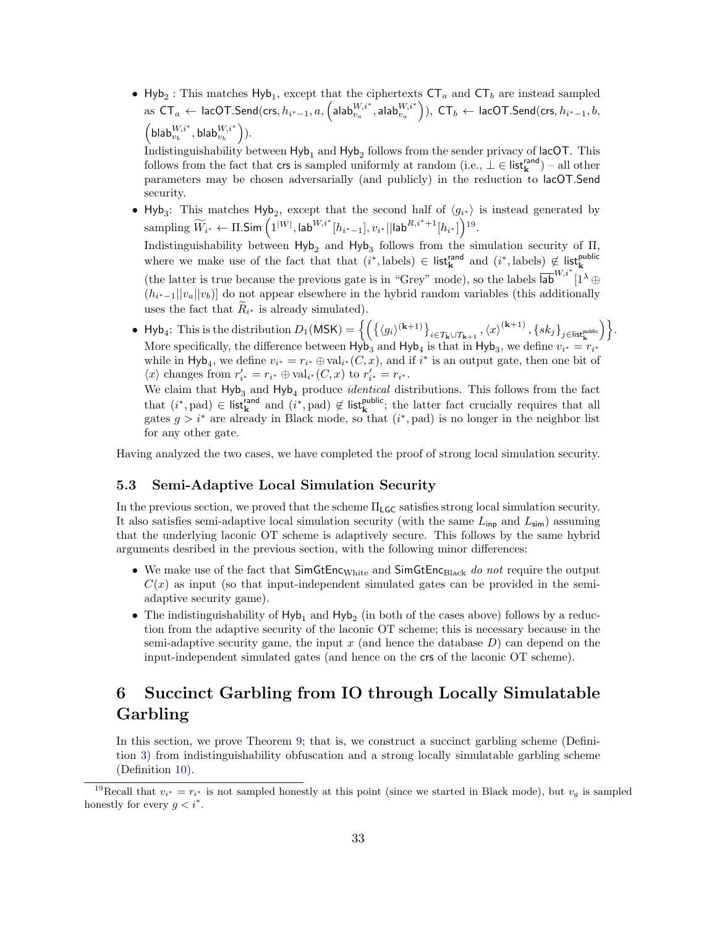• Hyb<sub>2</sub>: This matches Hyb<sub>1</sub>, except that the ciphertexts  $CT_a$  and  $CT_b$  are instead sampled  ${\sf as}\,\, \mathsf{CT}_a\,\leftarrow\, {\sf lacOT}.\mathsf{Send}(\mathsf{crs}, h_{i^*-1},a,\left(\mathsf{alab}_{v_a}^{W,i^*},\mathsf{alab}_{v_a}^{W,i^*}\right)),\,\, \mathsf{CT}_b\,\leftarrow\, {\sf lacOT}.\mathsf{Send}(\mathsf{crs}, h_{i^*-1},b,\left(\mathsf{alab}_{v_a}^{W,i^*},\mathsf{alab}_{v_a}^{W,i^*}\right)),$  $\left( \mathsf{blab}_{v_b}^{W,i^\ast}, \mathsf{blab}_{v_b}^{W,i^\ast} \right)$ ).

Indistinguishability between  $\mathsf{Hyb}_1$  and  $\mathsf{Hyb}_2$  follows from the sender privacy of lacOT. This follows from the fact that crs is sampled uniformly at random  $(i.e., \perp \in \mathsf{list}_{k}^{\mathsf{rand}})$  – all other parameters may be chosen adversarially (and publicly) in the reduction to lacOT.Send security.

• Hyb<sub>3</sub>: This matches Hyb<sub>2</sub>, except that the second half of  $\langle g_{i*} \rangle$  is instead generated by  $\mathrm{sampling} \ \widetilde{W}_{i^*} \gets \Pi.\mathsf{Sim}\left(1^{|W|}, \mathsf{lab}^{W,i^*}[h_{i^*-1}], v_{i^*} || \mathsf{lab}^{R,i^*+1}[h_{i^*}]\right)$ [19](#page-0-0). Indistinguishability between  $Hyb<sub>2</sub>$  and  $Hyb<sub>3</sub>$  follows from the simulation security of  $\Pi$ , where we make use of the fact that that  $(i^*, \text{labels}) \in \text{list}_{\mathbf{k}}^{\text{rand}}$  and  $(i^*, \text{labels}) \notin \text{list}_{\mathbf{k}}^{\text{public}}$ (the latter is true because the previous gate is in "Grey" mode), so the labels  $\overline{lab}^{W,i^*}$   $\overline{1}^{\lambda}$   $\oplus$ 

 $(h_{i^*-1}||v_a||v_b)$  do not appear elsewhere in the hybrid random variables (this additionally uses the fact that  $R_{i^*}$  is already simulated).

• Hyb<sub>4</sub>: This is the distribution  $D_1(\mathsf{MSK}) = \left\{ \left( \left\{ \langle g_i \rangle^{(\mathbf{k}+1)} \right\}_{i \in T_\mathbf{k} \cup T_{\mathbf{k}+1}}, \langle x \rangle^{(\mathbf{k}+1)}, \{sk_j\}_{j \in \mathsf{list}_\mathbf{k}^{\text{public}}}\right) \right\}$ . More specifically, the difference between  $Hyb<sub>3</sub>$  and  $Hyb<sub>4</sub>$  is that in  $Hyb<sub>3</sub>$ , we define  $v_{i^*} = r_{i^*}$ while in Hyb<sub>4</sub>, we define  $v_{i^*} = r_{i^*} \oplus \text{val}_{i^*}(C, x)$ , and if  $i^*$  is an output gate, then one bit of  $\langle x \rangle$  changes from  $r'_{i^*} = r_{i^*} \oplus \text{val}_{i^*}(C, x)$  to  $r'_{i^*} = r_{i^*}.$ 

We claim that  $Hyb_3$  and  $Hyb_4$  produce *identical* distributions. This follows from the fact that  $(i^*, pad) \in \mathsf{list}_{\mathbf{k}}^{\mathsf{rand}}$  and  $(i^*, pad) \notin \mathsf{list}_{\mathbf{k}}^{\mathsf{public}}$ ; the latter fact crucially requires that all gates  $g > i^*$  are already in Black mode, so that  $(i^*, pad)$  is no longer in the neighbor list for any other gate.

Having analyzed the two cases, we have completed the proof of strong local simulation security.

#### <span id="page-32-0"></span>5.3 Semi-Adaptive Local Simulation Security

In the previous section, we proved that the scheme  $\Pi_{\mathsf{LGC}}$  satisfies strong local simulation security. It also satisfies semi-adaptive local simulation security (with the same  $L_{\text{inp}}$  and  $L_{\text{sim}}$ ) assuming that the underlying laconic OT scheme is adaptively secure. This follows by the same hybrid arguments desribed in the previous section, with the following minor differences:

- We make use of the fact that  $SimGtEnc<sub>White</sub>$  and  $SimGtEnc<sub>Black</sub>$  do not require the output  $C(x)$  as input (so that input-independent simulated gates can be provided in the semiadaptive security game).
- The indistinguishability of  $Hyb_1$  and  $Hyb_2$  (in both of the cases above) follows by a reduction from the adaptive security of the laconic OT scheme; this is necessary because in the semi-adaptive security game, the input  $x$  (and hence the database  $D$ ) can depend on the input-independent simulated gates (and hence on the crs of the laconic OT scheme).

## <span id="page-32-1"></span>6 Succinct Garbling from IO through Locally Simulatable Garbling

In this section, we prove Theorem [9;](#page-22-4) that is, we construct a succinct garbling scheme (Definition [3\)](#page-14-2) from indistinguishability obfuscation and a strong locally simulatable garbling scheme (Definition [10\)](#page-19-0).

<sup>&</sup>lt;sup>19</sup>Recall that  $v_{i^*} = r_{i^*}$  is not sampled honestly at this point (since we started in Black mode), but  $v_g$  is sampled honestly for every  $g < i^*$ .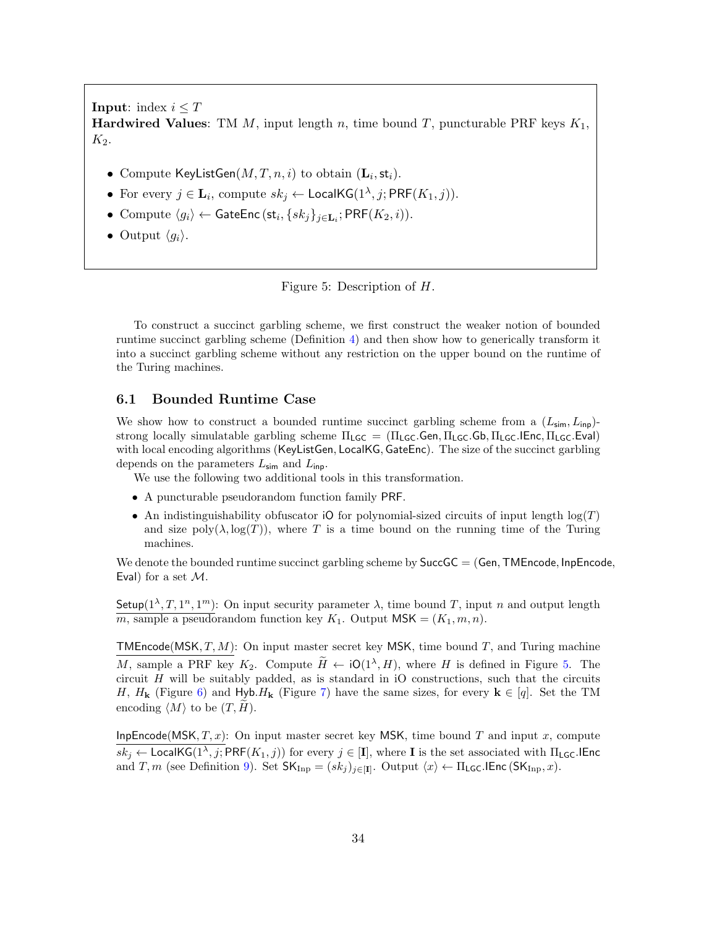**Input:** index  $i \leq T$ **Hardwired Values:** TM M, input length n, time bound T, puncturable PRF keys  $K_1$ ,  $K_2$ .

- Compute KeyListGen $(M, T, n, i)$  to obtain  $(\mathbf{L}_i, \mathsf{st}_i)$ .
- For every  $j \in \mathbf{L}_i$ , compute  $sk_j \leftarrow \mathsf{LocalKG}(1^{\lambda}, j; \mathsf{PRF}(K_1, j)).$
- Compute  $\langle g_i \rangle \leftarrow$  GateEnc  $(\mathsf{st}_i, \{sk_j\}_{j \in \mathbf{L}_i}; \mathsf{PRF}(K_2, i)).$
- Output  $\langle q_i \rangle$ .

<span id="page-33-1"></span>Figure 5: Description of H.

To construct a succinct garbling scheme, we first construct the weaker notion of bounded runtime succinct garbling scheme (Definition [4\)](#page-14-1) and then show how to generically transform it into a succinct garbling scheme without any restriction on the upper bound on the runtime of the Turing machines.

#### <span id="page-33-0"></span>6.1 Bounded Runtime Case

We show how to construct a bounded runtime succinct garbling scheme from a  $(L_{\text{sim}}, L_{\text{inp}})$ strong locally simulatable garbling scheme  $\Pi_{LGC} = (\Pi_{LGC}$ .Gen,  $\Pi_{LGC}$ .Gb,  $\Pi_{LGC}$ .IEnc,  $\Pi_{LGC}$ .Eval) with local encoding algorithms (KeyListGen, LocalKG, GateEnc). The size of the succinct garbling depends on the parameters  $L_{\text{sim}}$  and  $L_{\text{inp}}$ .

We use the following two additional tools in this transformation.

- A puncturable pseudorandom function family PRF.
- An indistinguishability obfuscator iO for polynomial-sized circuits of input length  $log(T)$ and size  $\text{poly}(\lambda, \log(T))$ , where T is a time bound on the running time of the Turing machines.

We denote the bounded runtime succinct garbling scheme by  $SuccGC = (Gen, TMEncode, InpEncode)$ Eval) for a set  $\mathcal{M}$ .

Setup( $1^{\lambda}, T, 1^n, 1^m$ ): On input security parameter  $\lambda$ , time bound T, input n and output length  $m$ , sample a pseudorandom function key  $K_1$ . Output MSK =  $(K_1, m, n)$ .

**TMEncode**(MSK,  $T, M$ ): On input master secret key MSK, time bound  $T$ , and Turing machine M, sample a PRF key  $K_2$ . Compute  $\widetilde{H} \leftarrow \text{IO}(1^{\lambda}, H)$ , where H is defined in Figure [5.](#page-33-1) The circuit  $H$  will be suitably padded, as is standard in iO constructions, such that the circuits H,  $H_k$  (Figure [6\)](#page-36-0) and Hyb. $H_k$  (Figure [7\)](#page-37-0) have the same sizes, for every  $k \in [q]$ . Set the TM encoding  $\langle M \rangle$  to be  $(T, H)$ .

InpEncode(MSK,  $T, x$ ): On input master secret key MSK, time bound T and input x, compute  $sk_j \leftarrow$  LocalKG( $1^{\lambda}, j$ ; PRF( $K_1, j$ )) for every  $j \in [\mathbf{I}]$ , where **I** is the set associated with  $\Pi_{\mathsf{LGC}}$ . IEnc and T, m (see Definition [9\)](#page-18-1). Set  $\mathsf{SK_{Inp}} = (sk_j)_{j \in [\mathbf{I}]}$ . Output  $\langle x \rangle \leftarrow \Pi_{\mathsf{LGC}}.\mathsf{IEnc}\left(\mathsf{SK_{Inp}}, x\right)$ .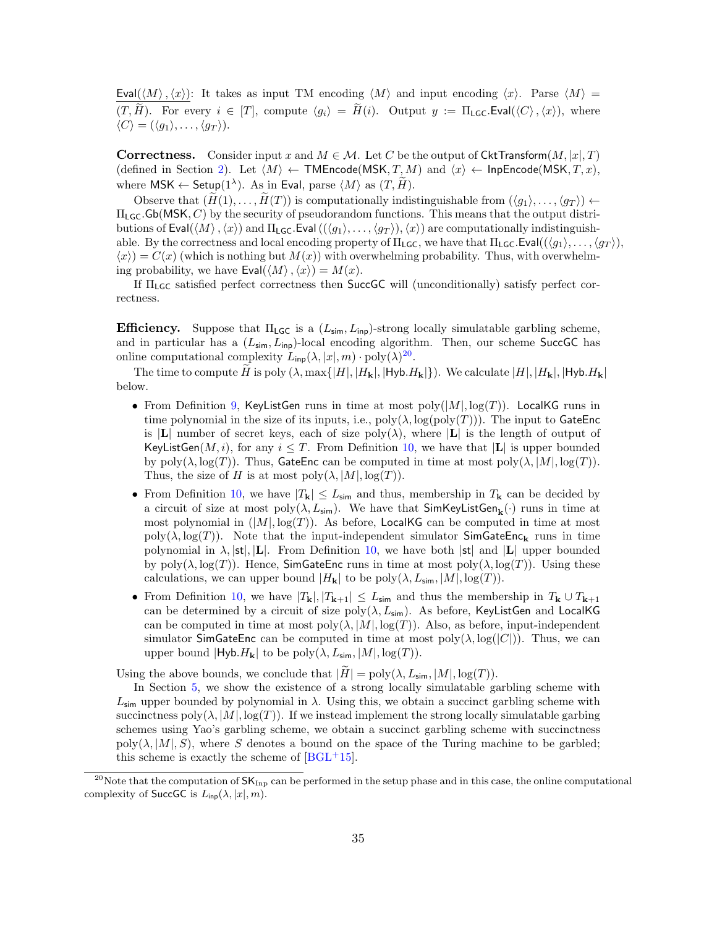Eval $(\langle M \rangle, \langle x \rangle)$ : It takes as input TM encoding  $\langle M \rangle$  and input encoding  $\langle x \rangle$ . Parse  $\langle M \rangle =$  $(T, \widetilde{H})$ . For every  $i \in [T]$ , compute  $\langle g_i \rangle = \widetilde{H}(i)$ . Output  $y := \Pi_{\text{LGC}}.\text{Eval}(\langle C \rangle, \langle x \rangle)$ , where  $\langle C \rangle = (\langle g_1 \rangle, \ldots, \langle g_T \rangle).$ 

**Correctness.** Consider input x and  $M \in \mathcal{M}$ . Let C be the output of CktTransform $(M, |x|, T)$ (defined in Section [2\)](#page-11-0). Let  $\langle M \rangle \leftarrow \textsf{TMEncode}(MSK, T, M)$  and  $\langle x \rangle \leftarrow \textsf{InpEncode}(MSK, T, x),$ where  $\mathsf{MSK} \leftarrow \mathsf{Setup}(1^{\lambda})$ . As in Eval, parse  $\langle M \rangle$  as  $(T, \tilde{H})$ .

Observe that  $(\widetilde{H}(1), \ldots, \widetilde{H}(T))$  is computationally indistinguishable from  $(\langle q_1 \rangle, \ldots, \langle q_T \rangle) \leftarrow$  $\Pi_{LGC}$ . Gb(MSK, C) by the security of pseudorandom functions. This means that the output distributions of Eval( $\langle M \rangle$ ,  $\langle x \rangle$ ) and  $\Pi_{\text{LG}}$ . Eval  $((\langle g_1 \rangle, \ldots, \langle g_T \rangle), \langle x \rangle)$  are computationally indistinguishable. By the correctness and local encoding property of  $\Pi_{\mathsf{LGC}}$ , we have that  $\Pi_{\mathsf{LGC}}$ .Eval $((\langle g_1 \rangle, \ldots, \langle g_T \rangle),$  $\langle x \rangle$  =  $C(x)$  (which is nothing but  $M(x)$ ) with overwhelming probability. Thus, with overwhelming probability, we have  $Eval(\langle M \rangle, \langle x \rangle) = M(x)$ .

If ΠLGC satisfied perfect correctness then SuccGC will (unconditionally) satisfy perfect correctness.

**Efficiency.** Suppose that  $\Pi_{\text{LGC}}$  is a  $(L_{\text{sim}}, L_{\text{inp}})$ -strong locally simulatable garbling scheme, and in particular has a  $(L_{\text{sim}}, L_{\text{inp}})$ -local encoding algorithm. Then, our scheme SuccGC has online computational complexity  $L_{\mathsf{inp}}(\lambda, |x|, m) \cdot \text{poly}(\lambda)^{20}$  $L_{\mathsf{inp}}(\lambda, |x|, m) \cdot \text{poly}(\lambda)^{20}$  $L_{\mathsf{inp}}(\lambda, |x|, m) \cdot \text{poly}(\lambda)^{20}$ .

The time to compute H is poly  $(\lambda, \max\{|H|, |H_{\mathbf{k}}|, |\mathsf{Hyb.}H_{\mathbf{k}}|\})$ . We calculate  $|H|, |H_{\mathbf{k}}|, |\mathsf{Hyb.}H_{\mathbf{k}}|$ below.

- From Definition [9,](#page-18-1) KeyListGen runs in time at most  $poly(|M|, \log(T))$ . LocalKG runs in time polynomial in the size of its inputs, i.e.,  $poly(\lambda, log(poly(T)))$ . The input to GateEnc is |L| number of secret keys, each of size  $poly(\lambda)$ , where  $|L|$  is the length of output of KeyListGen $(M, i)$ , for any  $i \leq T$ . From Definition [10,](#page-19-0) we have that  $|L|$  is upper bounded by  $\text{poly}(\lambda, \log(T))$ . Thus, GateEnc can be computed in time at most  $\text{poly}(\lambda, |M|, \log(T))$ . Thus, the size of H is at most  $poly(\lambda, |M|, log(T)).$
- From Definition [10,](#page-19-0) we have  $|T_{\mathbf{k}}| \leq L_{\text{sim}}$  and thus, membership in  $T_{\mathbf{k}}$  can be decided by a circuit of size at most  $\text{poly}(\lambda, L_{\text{sim}})$ . We have that  $\textsf{SimKeyListGen}_{\mathbf{k}}(\cdot)$  runs in time at most polynomial in  $(|M|, \log(T))$ . As before, LocalKG can be computed in time at most  $poly(\lambda, \log(T))$ . Note that the input-independent simulator SimGateEnc<sub>k</sub> runs in time polynomial in  $\lambda$ ,  $|st|$ ,  $|L|$ . From Definition [10,](#page-19-0) we have both  $|st|$  and  $|L|$  upper bounded by  $poly(\lambda, \log(T))$ . Hence, SimGateEnc runs in time at most  $poly(\lambda, \log(T))$ . Using these calculations, we can upper bound  $|H_{\mathbf{k}}|$  to be  $\text{poly}(\lambda, L_{\text{sim}}, |M|, \log(T)).$
- From Definition [10,](#page-19-0) we have  $|T_{\mathbf{k}}|, |T_{\mathbf{k}+1}| \leq L_{\text{sim}}$  and thus the membership in  $T_{\mathbf{k}} \cup T_{\mathbf{k}+1}$ can be determined by a circuit of size  $poly(\lambda, L_{sim})$ . As before, KeyListGen and LocalKG can be computed in time at most  $\text{poly}(\lambda, |M|, \log(T))$ . Also, as before, input-independent simulator SimGateEnc can be computed in time at most  $\text{poly}(\lambda, \log(|C|))$ . Thus, we can upper bound  $|Hy\mathbf{b}.H_{\mathbf{k}}|$  to be  $poly(\lambda, L_{\mathsf{sim}}, |M|, \log(T)).$

Using the above bounds, we conclude that  $|\tilde{H}| = \text{poly}(\lambda, L_{\text{sim}}, |M|, \log(T)).$ 

In Section [5,](#page-23-1) we show the existence of a strong locally simulatable garbling scheme with  $L_{\text{sim}}$  upper bounded by polynomial in  $\lambda$ . Using this, we obtain a succinct garbling scheme with succinctness  $poly(\lambda, |M|, log(T))$ . If we instead implement the strong locally simulatable garbing schemes using Yao's garbling scheme, we obtain a succinct garbling scheme with succinctness  $poly(\lambda, |M|, S)$ , where S denotes a bound on the space of the Turing machine to be garbled; this scheme is exactly the scheme of  $[BGL^+15]$  $[BGL^+15]$ .

<sup>&</sup>lt;sup>20</sup>Note that the computation of  $SK_{\text{Inp}}$  can be performed in the setup phase and in this case, the online computational complexity of SuccGC is  $L_{\text{inp}}(\lambda, |x|, m)$ .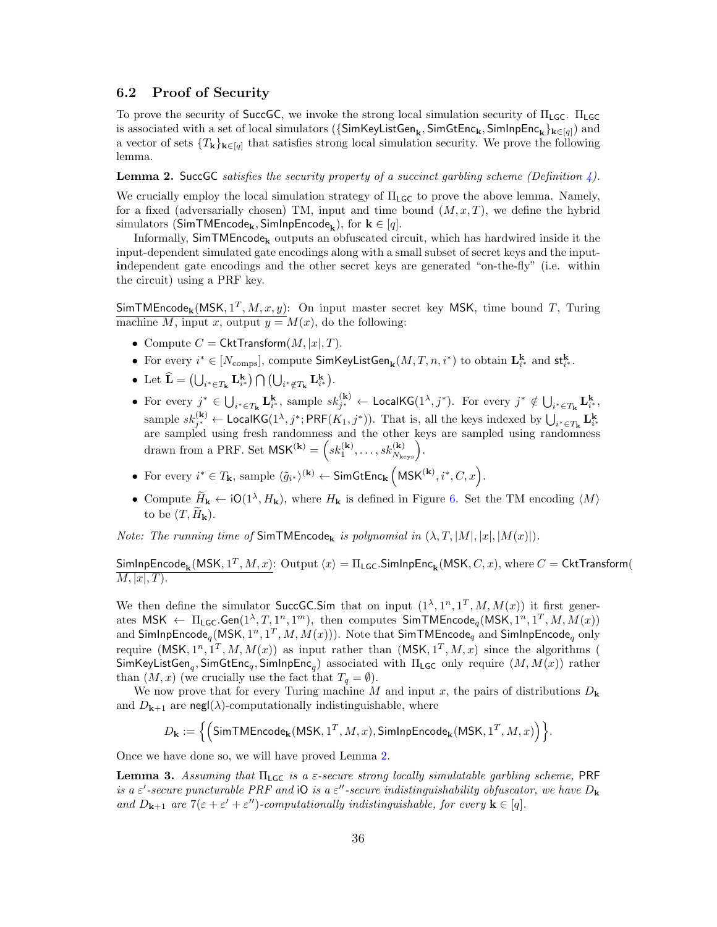#### <span id="page-35-0"></span>6.2 Proof of Security

To prove the security of SuccGC, we invoke the strong local simulation security of  $\Pi_{\text{LGC}}$ .  $\Pi_{\text{LGC}}$ is associated with a set of local simulators ( $\{\mathsf{SimKeyListGen}_{\mathbf{k}}, \mathsf{SimGetEnc}_{\mathbf{k}}, \mathsf{SimInpEnc}_{\mathbf{k}}\}_{\mathbf{k}\in[q]})$  and a vector of sets  $\{T_k\}_{k\in [q]}$  that satisfies strong local simulation security. We prove the following lemma.

<span id="page-35-1"></span>**Lemma 2.** SuccGC satisfies the security property of a succinct garbling scheme (Definition  $\downarrow$ ).

We crucially employ the local simulation strategy of  $\Pi_{\text{LGC}}$  to prove the above lemma. Namely, for a fixed (adversarially chosen) TM, input and time bound  $(M, x, T)$ , we define the hybrid simulators (SimTMEncode<sub>k</sub>, SimInpEncode<sub>k</sub>), for  $\mathbf{k} \in [q]$ .

Informally,  $SimTMEncode_k$  outputs an obfuscated circuit, which has hardwired inside it the input-dependent simulated gate encodings along with a small subset of secret keys and the inputindependent gate encodings and the other secret keys are generated "on-the-fly" (i.e. within the circuit) using a PRF key.

SimTMEncode<sub>k</sub>(MSK,  $1^T$ , M, x, y): On input master secret key MSK, time bound T, Turing machine M, input x, output  $y = M(x)$ , do the following:

- Compute  $C = \mathsf{CktTransform}(M, |x|, T)$ .
- For every  $i^* \in [N_{\text{comps}}]$ , compute  $\text{SimKeyListGen}_{\mathbf{k}}(M, T, n, i^*)$  to obtain  $\mathbf{L}_{i^*}^{\mathbf{k}}$  and  $\mathsf{st}_{i^*}^{\mathbf{k}}$ .
- Let  $\hat{\mathbf{L}} = (\bigcup_{i^* \in T_{\mathbf{k}}} \mathbf{L}_{i^*}^{\mathbf{k}}) \bigcap (\bigcup_{i^* \notin T_{\mathbf{k}}} \mathbf{L}_{i^*}^{\mathbf{k}}).$
- For every  $j^* \in \bigcup_{i^* \in T_{\mathbf{k}}} \mathbf{L}_{i^*}^{\mathbf{k}},$  sample  $sk_{j^*}^{(\mathbf{k})} \leftarrow \text{LocalKG}(1^{\lambda}, j^*)$ . For every  $j^* \notin \bigcup_{i^* \in T_{\mathbf{k}}} \mathbf{L}_{i^*}^{\mathbf{k}},$ sample  $sk_j^{(k)} \leftarrow$  LocalKG( $1^{\lambda}, j^*$ ; PRF( $K_1, j^*$ )). That is, all the keys indexed by  $\bigcup_{i^* \in T_k} L_i^k$  are sampled using fresh randomness and the other keys are sampled using randomness drawn from a PRF. Set  $\mathsf{MSK}^{(\mathbf{k})} = \left( s k_1^{(\mathbf{k})}, \ldots, s k_{N_{\text{keys}}}^{(\mathbf{k})} \right)$ .
- For every  $i^* \in T_{\mathbf{k}}$ , sample  $\langle \tilde{g}_{i^*} \rangle^{(\mathbf{k})} \leftarrow \mathsf{SimGtEnc}_{\mathbf{k}} \left( \mathsf{MSK}^{(\mathbf{k})}, i^*, C, x \right)$ .
- Compute  $H_{\mathbf{k}} \leftarrow \text{iO}(1^{\lambda}, H_{\mathbf{k}})$ , where  $H_{\mathbf{k}}$  is defined in Figure [6.](#page-36-0) Set the TM encoding  $\langle M \rangle$ to be  $(T, H_{\mathbf{k}})$ .

*Note: The running time of*  $SimTIMEencode_k$  is polynomial in  $(\lambda, T, |M|, |x|, |M(x)|)$ .

 ${\sf SimInpEncoder}_{\bf k}({\sf MSK},1^T,M,x){:~} {\sf Output} \left\langle x \right\rangle = \Pi_{\sf LGC}. {\sf SimInpEnc}_{\bf k}({\sf MSK},C,x),$  where  $C = {\sf CktTransform}($  $\overline{M, |x|, T}.$ 

We then define the simulator SuccGC.Sim that on input  $(1^{\lambda}, 1^n, 1^T, M, M(x))$  it first generates  $MSK \leftarrow \Pi_{LGC}$ . Gen $(1^{\lambda}, T, 1^n, 1^m)$ , then computes  $SimTMEncode_q(MSK, 1^n, 1^T, M, M(x))$ and  $\mathsf{SimInpEncode}_q(\mathsf{MSK},1^n,1^T,\allowbreak M,\allowbreak M(x)))$ . Note that  $\mathsf{SimTIMEencode}_q$  and  $\mathsf{SimInpEncode}_q$  only require  $(MSK, 1^n, 1^T, M, M(x))$  as input rather than  $(MSK, 1^T, M, x)$  since the algorithms ( SimKeyListGen<sub>q</sub>, SimGtEnc<sub>q</sub>, SimInpEnc<sub>q</sub>) associated with  $\Pi_{\mathsf{LGC}}$  only require  $(M, M(x))$  rather than  $(M, x)$  (we crucially use the fact that  $T_q = \emptyset$ ).

We now prove that for every Turing machine M and input x, the pairs of distributions  $D_{\mathbf{k}}$ and  $D_{k+1}$  are negl( $\lambda$ )-computationally indistinguishable, where

$$
D_{\mathbf{k}} := \Big\{ \Big(\textsf{SimTIMEncode}_{\mathbf{k}}(\textsf{MSK},1^T,M,x), \textsf{SimInpEncode}_{\mathbf{k}}(\textsf{MSK},1^T,M,x) \Big) \Big\}.
$$

Once we have done so, we will have proved Lemma [2.](#page-35-1)

Lemma 3. Assuming that  $\Pi_{\mathsf{LGC}}$  is a  $\varepsilon$ -secure strong locally simulatable garbling scheme, PRF is a  $\varepsilon'$ -secure puncturable PRF and iO is a  $\varepsilon''$ -secure indistinguishability obfuscator, we have  $D_{\bf k}$ and  $D_{k+1}$  are  $7(\varepsilon + \varepsilon' + \varepsilon'')$ -computationally indistinguishable, for every  $k \in [q]$ .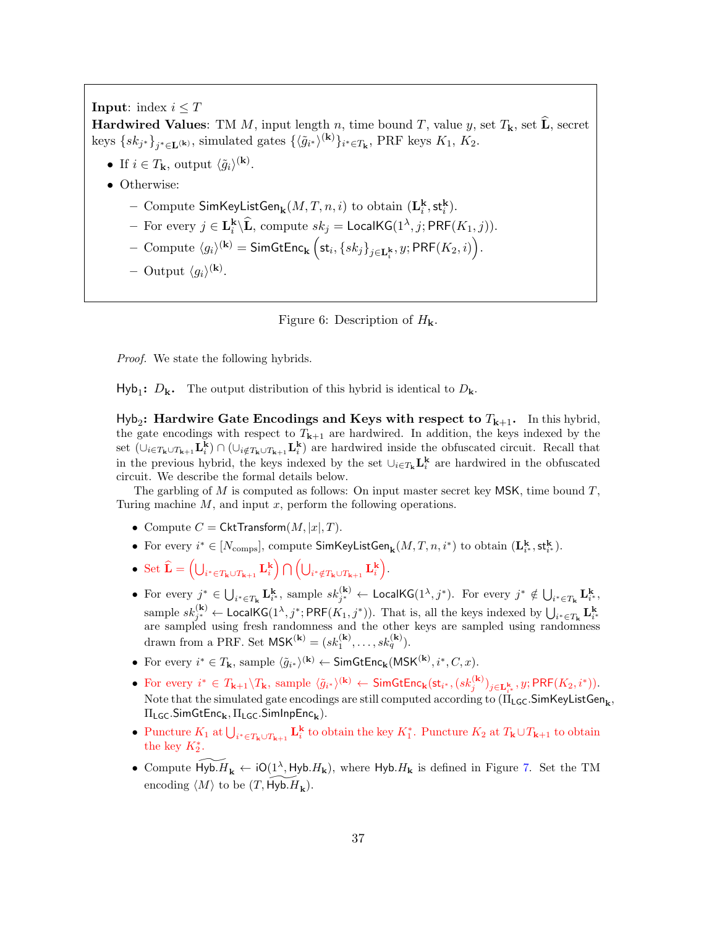**Input:** index  $i \leq T$ **Hardwired Values:** TM M, input length n, time bound T, value y, set  $T_k$ , set  $\hat{\mathbf{L}}$ , secret keys  $\{sk_{j^*}\}_{j^*\in\mathbf{L}^{(\mathbf{k})}}$ , simulated gates  $\{\langle \tilde{g}_{i^*}\rangle^{(\mathbf{k})}\}_{i^*\in T_{\mathbf{k}}},$  PRF keys  $K_1$ ,  $K_2$ .

- If  $i \in T_{\mathbf{k}}$ , output  $\langle \tilde{g}_i \rangle^{(\mathbf{k})}$ .
- Otherwise:
	- Compute  $\mathsf{SimKeyListGen}_{\mathbf k}(M,T,n,i)$  to obtain  $(\mathbf{L}^{\mathbf k}_i, \mathsf{st}^{\mathbf k}_i).$
	- For every  $j \in \mathbf{L}_i^{\mathbf{k}} \backslash \widehat{\mathbf{L}}$ , compute  $sk_j = \mathsf{LocalKG}(1^\lambda, j; \mathsf{PRF}(K_1, j)).$
	- $\text{ Compute } \langle g_i \rangle^{(\mathbf{k})} = \textsf{SimGtEnc}_{\mathbf{k}} \left( \mathsf{st}_i, \{sk_j\}_{j \in \mathbf{L}^\mathbf{k}_i}, y; \mathsf{PRF}(K_2, i) \right) .$
	- Output  $\langle g_i \rangle^{(\mathbf{k})}$ .

<span id="page-36-0"></span>Figure 6: Description of  $H_{\mathbf{k}}$ .

Proof. We state the following hybrids.

 $\mathsf{Hyb}_1$ :  $D_k$ . The output distribution of this hybrid is identical to  $D_k$ .

 $Hyb<sub>2</sub>$ : Hardwire Gate Encodings and Keys with respect to  $T<sub>k+1</sub>$ . In this hybrid, the gate encodings with respect to  $T_{k+1}$  are hardwired. In addition, the keys indexed by the set  $(\cup_{i\in T_{k}\cup T_{k+1}} L_{i}^{k}) \cap (\cup_{i\notin T_{k}\cup T_{k+1}} L_{i}^{k})$  are hardwired inside the obfuscated circuit. Recall that in the previous hybrid, the keys indexed by the set  $\cup_{i\in T_{k}} L_{i}^{k}$  are hardwired in the obfuscated circuit. We describe the formal details below.

The garbling of M is computed as follows: On input master secret key MSK, time bound  $T$ , Turing machine  $M$ , and input  $x$ , perform the following operations.

- Compute  $C = \mathsf{CktTransform}(M, |x|, T)$ .
- For every  $i^* \in [N_{\text{comps}}]$ , compute  $\textsf{SimKeyListGen}_{\mathbf{k}}(M,T,n,i^*)$  to obtain  $(\mathbf{L}^{\mathbf{k}}_{i^*}, \mathsf{st}^{\mathbf{k}}_{i^*}).$
- Set  $\widehat{\mathbf{L}} = \left( \bigcup_{i^* \in T_{\mathbf{k}} \cup T_{\mathbf{k+1}}} \mathbf{L}_i^{\mathbf{k}} \right) \bigcap \left( \bigcup_{i^* \notin T_{\mathbf{k}} \cup T_{\mathbf{k+1}}} \mathbf{L}_i^{\mathbf{k}} \right)$ .
- For every  $j^* \in \bigcup_{i^* \in T_{\mathbf{k}}} \mathbf{L}_{i^*}^{\mathbf{k}},$  sample  $sk_{j^*}^{(\mathbf{k})} \leftarrow \text{LocalKG}(1^{\lambda}, j^*)$ . For every  $j^* \notin \bigcup_{i^* \in T_{\mathbf{k}}} \mathbf{L}_{i^*}^{\mathbf{k}},$ sample  $sk_j^{(k)} \leftarrow$  LocalKG( $1^{\lambda}, j^*$ ; PRF( $K_1, j^*$ )). That is, all the keys indexed by  $\bigcup_{i^* \in T_k} L_i^k$  are sampled using fresh randomness and the other keys are sampled using randomness drawn from a PRF. Set  $\mathsf{MSK}^{(\mathbf{k})} = (sk_1^{(\mathbf{k})}, \dots, sk_q^{(\mathbf{k})}).$
- For every  $i^* \in T_{\mathbf{k}}$ , sample  $\langle \tilde{g}_{i^*} \rangle^{(\mathbf{k})} \leftarrow \mathsf{SimGtEnc}_{\mathbf{k}}(\mathsf{MSK}^{(\mathbf{k})}, i^*, C, x)$ .
- For every  $i^* \in T_{k+1} \backslash T_k$ , sample  $\langle \tilde{g}_{i^*} \rangle^{(k)} \leftarrow \textsf{SimGtEnc}_{k}(\textsf{st}_{i^*}, (sk_j^{(k)})_{j \in \mathbf{L}_{i^*}^k}, y; \textsf{PRF}(K_2, i^*)\text{)}.$ Note that the simulated gate encodings are still computed according to  $(\Pi_{\mathsf{LGC}}.\mathsf{SimKeyListGen}_{\mathbf{k}},$  $\Pi_{\mathsf{LGC}}.\mathsf{SimGtEnc}_{\mathbf{k}}, \Pi_{\mathsf{LGC}}.\mathsf{SimInpEnc}_{\mathbf{k}}).$
- Puncture  $K_1$  at  $\bigcup_{i^* \in T_{\mathbf{k}} \cup T_{\mathbf{k+1}}} \mathbf{L}_i^{\mathbf{k}}$  to obtain the key  $K_1^*$ . Puncture  $K_2$  at  $T_{\mathbf{k}} \cup T_{\mathbf{k+1}}$  to obtain the key  $K_2^*$ .
- Compute  $\widetilde{H_{\mathbf{y}}\mathbf{b}}\leftarrow \mathbf{i}O(1^{\lambda}, H_{\mathbf{y}}\mathbf{b}, H_{\mathbf{k}}),$  where  $H_{\mathbf{y}}\mathbf{b}, H_{\mathbf{k}}$  is defined in Figure [7.](#page-37-0) Set the TM encoding  $\langle M \rangle$  to be  $(T, \widetilde{Hyb} \cdot H_k)$ .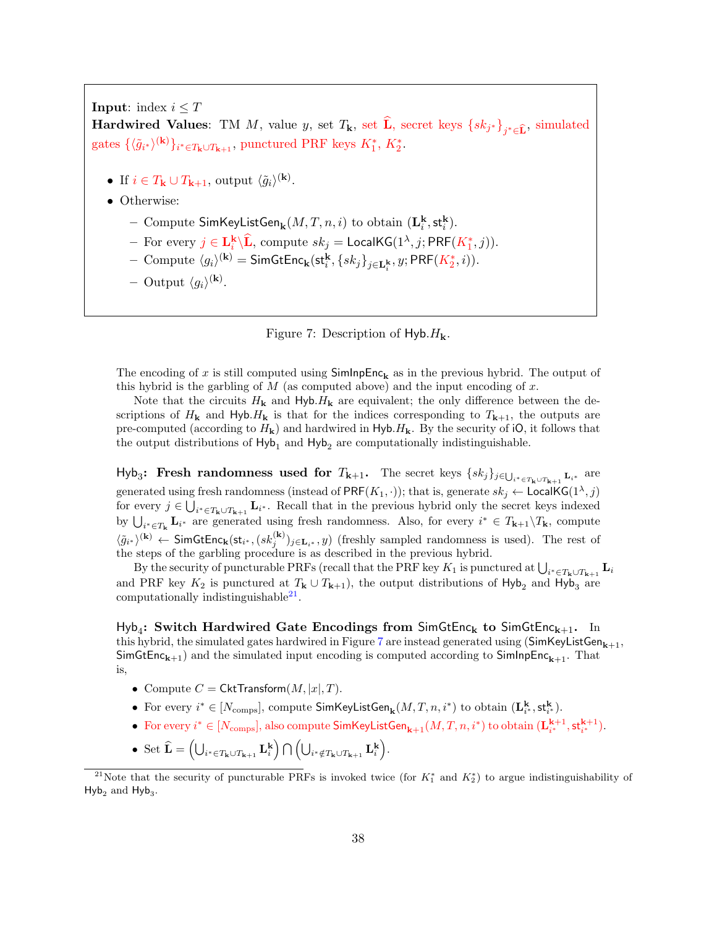**Input:** index  $i \leq T$ 

Hardwired Values: TM M, value y, set  $T_k$ , set L, secret keys  $\{sk_{j^*}\}_{j^*\in \widehat{\mathbf{L}}}$ , simulated gates  $\{\langle \tilde{g}_{i^*}\rangle^{(\mathbf{k})}\}_{i^*\in T_{\mathbf{k}}\cup T_{\mathbf{k}+1}}$ , punctured PRF keys  $K_1^*, K_2^*$ .

- If  $i \in T_{\mathbf{k}} \cup T_{\mathbf{k}+1}$ , output  $\langle \tilde{g}_i \rangle^{(\mathbf{k})}$ .
- Otherwise:
	- Compute  $\mathsf{SimKeyListGen}_{\mathbf k}(M,T,n,i)$  to obtain  $(\mathbf{L}^{\mathbf k}_i, \mathsf{st}^{\mathbf k}_i).$
	- For every  $j \in \mathbf{L}^{\mathbf{k}}_i \backslash \widehat{\mathbf{L}}$ , compute  $sk_j = \mathsf{LocalKG}(1^\lambda, j; \mathsf{PRF}(K_1^*, j)).$
	- $-$  Compute  $\langle g_i \rangle^{(k)}$  = SimGtEnc<sub>k</sub>(st<sup>k</sup><sub>i</sub></sub>, {sk<sub>j</sub>}<sub>j∈L</sub><sub>k</sub>, y; PRF(K<sup>\*</sup><sub>2</sub>, *i*)).
	- Output  $\langle g_i \rangle^{(\mathbf{k})}$ .

<span id="page-37-0"></span>

The encoding of x is still computed using  $SimInpEnc_{k}$  as in the previous hybrid. The output of this hybrid is the garbling of  $M$  (as computed above) and the input encoding of  $x$ .

Note that the circuits  $H_{\mathbf{k}}$  and  $H_{\mathbf{y}}$  are equivalent; the only difference between the descriptions of  $H_{\mathbf{k}}$  and  $H_{\mathbf{y}}$  is that for the indices corresponding to  $T_{\mathbf{k}+1}$ , the outputs are pre-computed (according to  $H_{\mathbf{k}}$ ) and hardwired in Hyb. $H_{\mathbf{k}}$ . By the security of iO, it follows that the output distributions of  $Hyb_1$  and  $Hyb_2$  are computationally indistinguishable.

 $Hyb_3$ : Fresh randomness used for  $T_{k+1}$ . The secret keys  $\{sk_j\}_{j\in\bigcup_{i^*\in T_k\cup T_{k+1}} L_{i^*}}$  are generated using fresh randomness (instead of  $\mathsf{PRF}(K_1, \cdot)$ ); that is, generate  $sk_j \leftarrow \mathsf{LocalKG}(1^{\lambda}, j)$ for every  $j \in \bigcup_{i^* \in T_k \cup T_{k+1}} \mathbf{L}_{i^*}$ . Recall that in the previous hybrid only the secret keys indexed by  $\bigcup_{i^* \in T_{\mathbf{k}}} \mathbf{L}_{i^*}$  are generated using fresh randomness. Also, for every  $i^* \in T_{\mathbf{k}+1} \backslash T_{\mathbf{k}}$ , compute  $\langle \tilde{g}_{i^*}\rangle^{(k)} \leftarrow \mathsf{SimGtEnc}_{k}(\mathsf{st}_{i^*},(sk_j^{(k)})_{j\in\mathbf{L}_{i^*}},y)$  (freshly sampled randomness is used). The rest of the steps of the garbling procedure is as described in the previous hybrid.

By the security of puncturable PRFs (recall that the PRF key  $K_1$  is punctured at  $\bigcup_{i^*\in T_k\cup T_{k+1}} \mathbf{L}_i$ and PRF key  $K_2$  is punctured at  $T_{\mathbf{k}} \cup T_{\mathbf{k}+1}$ , the output distributions of Hyb<sub>2</sub> and Hyb<sub>3</sub> are computationally indistinguishable $^{21}$  $^{21}$  $^{21}$ .

 ${\sf Hyb}_4$ : Switch Hardwired Gate Encodings from SimGtEnc<sub>k</sub> to SimGtEnc<sub>k+1</sub>. In this hybrid, the simulated gates hardwired in Figure [7](#page-37-0) are instead generated using  $(SimKeyListGen_{k+1},$ SimGtEnc<sub>k+1</sub>) and the simulated input encoding is computed according to SimInpEnc<sub>k+1</sub>. That is,

- Compute  $C = \mathsf{CktTransform}(M, |x|, T)$ .
- For every  $i^* \in [N_{\text{comps}}]$ , compute  $\textsf{SimKeyListGen}_{\mathbf{k}}(M,T,n,i^*)$  to obtain  $(\mathbf{L^k_i}, \textsf{st^k_i}).$
- For every  $i^* \in [N_{\text{comps}}]$ , also compute  $\textsf{SimKeyListGen}_{k+1}(M,T,n,i^*)$  to obtain  $(\mathbf{L}_{i^*}^{k+1},\mathsf{st}_{i^*}^{k+1})$ .
- Set  $\widehat{\mathbf{L}} = \left( \bigcup_{i^* \in T_{\mathbf{k}} \cup T_{\mathbf{k+1}}} \mathbf{L}_i^{\mathbf{k}} \right) \bigcap \left( \bigcup_{i^* \notin T_{\mathbf{k}} \cup T_{\mathbf{k+1}}} \mathbf{L}_i^{\mathbf{k}} \right)$ .

<sup>&</sup>lt;sup>21</sup>Note that the security of puncturable PRFs is invoked twice (for  $K_1^*$  and  $K_2^*$ ) to argue indistinguishability of  $Hyb_2$  and  $Hyb_3$ .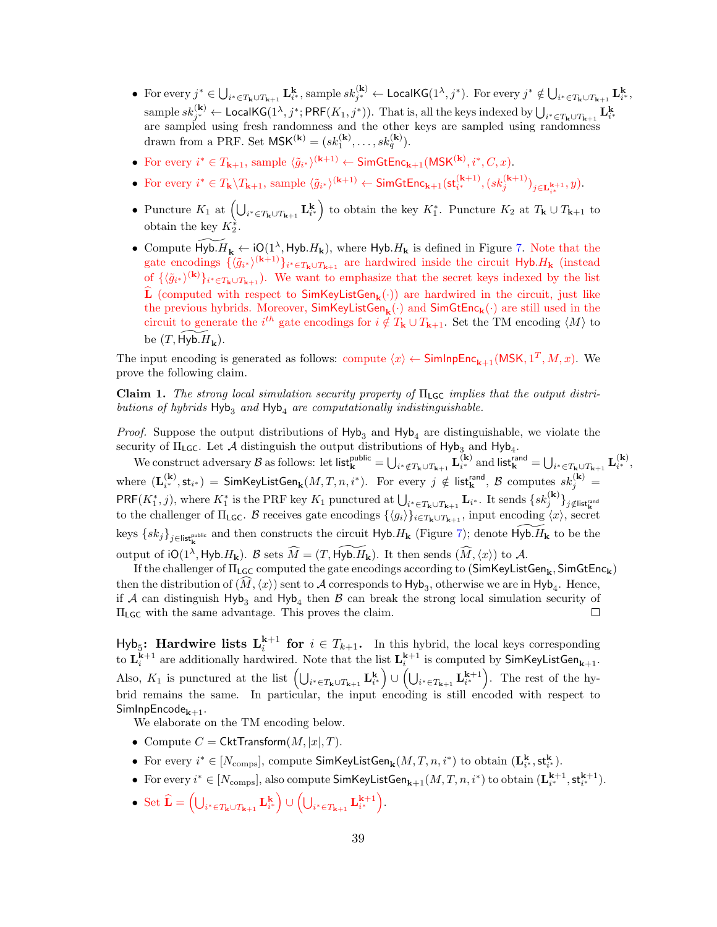- For every  $j^* \in \bigcup_{i^* \in T_{\mathbf{k}} \cup T_{\mathbf{k+1}}} \mathbf{L}_{i^*}^{\mathbf{k}},$  sample  $sk_{j^*}^{(\mathbf{k})} \leftarrow$  LocalKG $(1^{\lambda}, j^*)$ . For every  $j^* \notin \bigcup_{i^* \in T_{\mathbf{k}} \cup T_{\mathbf{k+1}}} \mathbf{L}_{i^*}^{\mathbf{k}},$  $\text{sample } sk_{j^*}^{(\mathbf{k})} \gets \textsf{LocalKG}(1^\lambda, j^*; \textsf{PRF}(K_1, j^*))\text{. That is, all the keys indexed by } \bigcup_{i^* \in T_{\mathbf{k}} \cup T_{\mathbf{k+1}}} \mathbf{L}_{i^*}^{\mathbf{k}}$ are sampled using fresh randomness and the other keys are sampled using randomness drawn from a PRF. Set  $\mathsf{MSK}^{(\mathbf{k})} = (sk_1^{(\mathbf{k})}, \dots, sk_q^{(\mathbf{k})}).$
- For every  $i^* \in T_{k+1}$ , sample  $\langle \tilde{g}_{i^*} \rangle^{(k+1)} \leftarrow \mathsf{SimGtEnc}_{k+1}(\mathsf{MSK}^{(k)}, i^*, C, x)$ .
- For every  $i^* \in T_{\mathbf{k}} \setminus T_{\mathbf{k}+1}$ , sample  $\langle \tilde{g}_{i^*} \rangle^{(\mathbf{k}+1)} \leftarrow \textsf{SimGtEnc}_{\mathbf{k}+1}(\mathsf{st}_{i^*}^{(\mathbf{k}+1)}, (sk_j^{(\mathbf{k}+1)})_{j \in \mathbf{L}_{i^*}^{\mathbf{k}+1}}, y).$
- Puncture  $K_1$  at  $\left(\bigcup_{i^* \in T_{\mathbf{k}} \cup T_{\mathbf{k+1}}} \mathbf{L}_{i^*}^{\mathbf{k}}\right)$  to obtain the key  $K_1^*$ . Puncture  $K_2$  at  $T_{\mathbf{k}} \cup T_{\mathbf{k+1}}$  to obtain the key  $K_2^*$ .
- Compute  $\widetilde{Hyb} \cdot H_k \leftarrow iO(1^{\lambda}, Hyb \cdot H_k)$ , where  $Hyb \cdot H_k$  is defined in Figure [7.](#page-37-0) Note that the gate encodings  $\{\langle \tilde{g}_{i^*}\rangle^{(k+1)}\}_{i^*\in T_k\cup T_{k+1}}$  are hardwired inside the circuit  $H_yb.H_k$  (instead of  $\{\langle \tilde{g}_{i^*}\rangle^{(k)}\}_{i^*\in T_k\cup T_{k+1}}$ ). We want to emphasize that the secret keys indexed by the list **L** (computed with respect to  $\textsf{SimKeyListGen}_{k}(\cdot)$ ) are hardwired in the circuit, just like the previous hybrids. Moreover,  $SimKeyListGen_{\mathbf{k}}(\cdot)$  and  $SimGetEnc_{\mathbf{k}}(\cdot)$  are still used in the circuit to generate the  $i^{th}$  gate encodings for  $i \notin T_{\mathbf{k}} \cup T_{\mathbf{k+1}}$ . Set the TM encoding  $\langle M \rangle$  to be  $(T, \widetilde{Hyb. H}_{k}).$

The input encoding is generated as follows: compute  $\langle x \rangle \leftarrow$  SimInpEnc<sub>k+1</sub>(MSK, 1<sup>T</sup>, M, x). We prove the following claim.

Claim 1. The strong local simulation security property of  $\Pi_{\text{LGC}}$  implies that the output distributions of hybrids  $Hyb<sub>3</sub>$  and  $Hyb<sub>4</sub>$  are computationally indistinguishable.

*Proof.* Suppose the output distributions of  $Hyb<sub>3</sub>$  and  $Hyb<sub>4</sub>$  are distinguishable, we violate the security of  $\Pi_{\mathsf{LGC}}$ . Let A distinguish the output distributions of  $\mathsf{Hyb}_3$  and  $\mathsf{Hyb}_4$ .

We construct adversary  $\mathcal{B}$  as follows: let list $\mathbf{t}_{\mathbf{k}}^{\text{public}} = \bigcup_{i^* \notin T_{\mathbf{k}} \cup T_{\mathbf{k}+1}} \mathbf{L}_{i^*}^{(\mathbf{k})}$  and list $\mathbf{t}_{\mathbf{k}}^{\text{rand}} = \bigcup_{i^* \in T_{\mathbf{k}} \cup T_{\mathbf{k}+1}} \mathbf{L}_{i^*}^{(\mathbf{k})}$ where  $(\mathbf{L}_{i^*}^{(\mathbf{k})},\mathsf{st}_{i^*}) = \mathsf{SimKeyListGen}_{\mathbf{k}}(M,T,n,i^*).$  For every  $j \notin \mathsf{list}_{\mathbf{k}}^{\mathsf{rand}},$   $\mathcal B$  computes  $sk_j^{(\mathbf{k})} = \mathcal A$  $\mathsf{PRF}(K_1^*, j)$ , where  $K_1^*$  is the PRF key  $K_1$  punctured at  $\bigcup_{i^* \in T_{\mathbf{k}} \cup T_{\mathbf{k}+1}} \mathbf{L}_{i^*}$ . It sends  $\{sk_j^{(\mathbf{k})}\}_{j \notin \mathsf{list}_{\mathbf{k}}^{\mathsf{train}}}$ to the challenger of  $\Pi_{\text{LGC}}$ . B receives gate encodings  $\{\langle g_i \rangle\}_{i \in T_{\mathbf{k}} \cup T_{\mathbf{k}+1}}$ , input encoding  $\langle x \rangle$ , secret keys  $\{sk_j\}_{j\in\text{list}_{\mathbf{k}}^{\text{public}}}$  and then constructs the circuit  $\text{Hyb}.H_{\mathbf{k}}$  (Figure [7\)](#page-37-0); denote  $\widetilde{\text{Hyb}.H_{\mathbf{k}}}$  to be the output of  $i\mathsf{O}(1^{\lambda},\mathsf{Hyb}.H_{\mathbf{k}})$ . B sets  $\widehat{M} = (T,\widetilde{\mathsf{Hyb}.H_{\mathbf{k}}})$ . It then sends  $(\widehat{M}, \langle x \rangle)$  to A.

If the challenger of  $\Pi_{\mathsf{LGC}}$  computed the gate encodings according to  $(\mathsf{SimKeyListGen}_{\mathbf{k}}, \mathsf{SimGetEnc}_{\mathbf{k}})$ then the distribution of  $(M, \langle x \rangle)$  sent to A corresponds to  $Hy_{\alpha}$ , otherwise we are in  $Hy_{\alpha}$ . Hence, if A can distinguish  $Hyb_3$  and  $Hyb_4$  then B can break the strong local simulation security of ΠLGC with the same advantage. This proves the claim.  $\Box$ 

Hyb<sub>5</sub>: **Hardwire lists L**<sup>k+1</sup> for  $i \in T_{k+1}$ . In this hybrid, the local keys corresponding to  $\mathbf{L}_{i}^{\mathbf{k}+1}$  are additionally hardwired. Note that the list  $\mathbf{L}_{i}^{\mathbf{k}+1}$  is computed by SimKeyListGen<sub>k+1</sub>. Also,  $K_1$  is punctured at the list  $\left(\bigcup_{i^*\in T_{k}\cup T_{k+1}} \mathbf{L}^{\mathbf{k}}_{i^*}\right) \cup \left(\bigcup_{i^*\in T_{k+1}} \mathbf{L}^{\mathbf{k+1}}_{i^*}\right)$ . The rest of the hybrid remains the same. In particular, the input encoding is still encoded with respect to  $SimInpEncode_{k+1}$ .

We elaborate on the TM encoding below.

- Compute  $C = \mathsf{CktTransform}(M, |x|, T)$ .
- For every  $i^* \in [N_{\text{comps}}]$ , compute  $\textsf{SimKeyListGen}_{\mathbf{k}}(M,T,n,i^*)$  to obtain  $(\mathbf{L}^{\mathbf{k}}_{i^*}, \mathsf{st}^{\mathbf{k}}_{i^*}).$
- For every  $i^* \in [N_{\text{comps}}]$ , also compute  $\textsf{SimKeyListGen}_{k+1}(M, T, n, i^*)$  to obtain  $(\mathbf{L}_{i^*}^{k+1}, \mathsf{st}_{i^*}^{k+1})$ .
- Set  $\widehat{\mathbf{L}} = \left( \bigcup_{i^* \in T_{\mathbf{k}} \cup T_{\mathbf{k+1}}} \mathbf{L}_{i^*}^{\mathbf{k}} \right) \cup \left( \bigcup_{i^* \in T_{\mathbf{k+1}}} \mathbf{L}_{i^*}^{\mathbf{k+1}} \right)$ .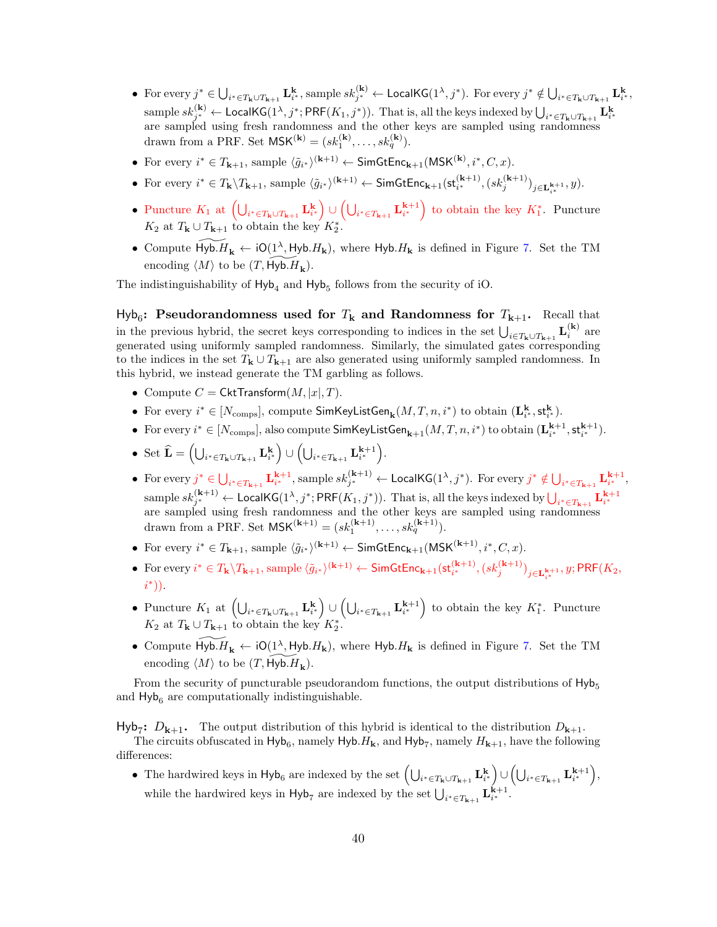- For every  $j^* \in \bigcup_{i^* \in T_{\mathbf{k}} \cup T_{\mathbf{k+1}}} \mathbf{L}_{i^*}^{\mathbf{k}},$  sample  $sk_{j^*}^{(\mathbf{k})} \leftarrow$  LocalKG $(1^{\lambda}, j^*)$ . For every  $j^* \notin \bigcup_{i^* \in T_{\mathbf{k}} \cup T_{\mathbf{k+1}}} \mathbf{L}_{i^*}^{\mathbf{k}},$  $\text{sample } sk_{j^*}^{(\mathbf{k})} \gets \textsf{LocalKG}(1^\lambda, j^*; \textsf{PRF}(K_1, j^*))\text{. That is, all the keys indexed by } \bigcup_{i^* \in T_{\mathbf{k}} \cup T_{\mathbf{k+1}}} \mathbf{L}_{i^*}^{\mathbf{k}}$ are sampled using fresh randomness and the other keys are sampled using randomness drawn from a PRF. Set  $\mathsf{MSK}^{(\mathbf{k})} = (sk_1^{(\mathbf{k})}, \dots, sk_q^{(\mathbf{k})}).$
- For every  $i^* \in T_{k+1}$ , sample  $\langle \tilde{g}_{i^*} \rangle^{(k+1)} \leftarrow \mathsf{SimGtEnc}_{k+1}(\mathsf{MSK}^{(k)}, i^*, C, x)$ .
- For every  $i^* \in T_{\mathbf{k}} \setminus T_{\mathbf{k}+1}$ , sample  $\langle \tilde{g}_{i^*} \rangle^{(\mathbf{k}+1)} \leftarrow \mathsf{SimGtEnc}_{\mathbf{k}+1}(\mathsf{st}_{i^*}^{(\mathbf{k}+1)}, (sk_j^{(\mathbf{k}+1)})_{j \in \mathbf{L}_{i^*}^{\mathbf{k}+1}}, y).$
- Puncture  $K_1$  at  $\left(\bigcup_{i^* \in T_{\mathbf{k}} \cup T_{\mathbf{k+1}}} \mathbf{L}_{i^*}^{\mathbf{k}}\right) \cup \left(\bigcup_{i^* \in T_{\mathbf{k+1}}} \mathbf{L}_{i^*}^{\mathbf{k+1}}\right)$  to obtain the key  $K_1^*$ . Puncture  $K_2$  at  $T_{\mathbf{k}} \cup T_{\mathbf{k}+1}$  to obtain the key  $K_2^*$ .
- Compute  $\widetilde{H_{\mathbf{y}}\mathbf{b}}\leftarrow \mathbf{i}O(1^{\lambda}, H_{\mathbf{y}}\mathbf{b}}\mathbf{H_{\mathbf{k}}})$ , where  $H_{\mathbf{y}}\mathbf{b}}\mathbf{H_{\mathbf{k}}}$  is defined in Figure [7.](#page-37-0) Set the TM encoding  $\langle M \rangle$  to be  $(T, \widetilde{Hyb} \cdot H_k)$ .

The indistinguishability of  $Hyb<sub>4</sub>$  and  $Hyb<sub>5</sub>$  follows from the security of iO.

 $Hyb_6$ : Pseudorandomness used for  $T<sub>k</sub>$  and Randomness for  $T<sub>k+1</sub>$ . Recall that in the previous hybrid, the secret keys corresponding to indices in the set  $\bigcup_{i\in T_{k}\cup T_{k+1}} L_i^{(k)}$  are generated using uniformly sampled randomness. Similarly, the simulated gates corresponding to the indices in the set  $T_{\mathbf{k}} \cup T_{\mathbf{k}+1}$  are also generated using uniformly sampled randomness. In this hybrid, we instead generate the TM garbling as follows.

- Compute  $C = \mathsf{CktTransform}(M, |x|, T)$ .
- For every  $i^* \in [N_{\text{comps}}]$ , compute  $\textsf{SimKeyListGen}_{\mathbf{k}}(M,T,n,i^*)$  to obtain  $(\mathbf{L}_i^{\mathbf{k}},\mathsf{st}_i^{\mathbf{k}})$ .
- For every  $i^* \in [N_{\text{comps}}]$ , also compute  $\textsf{SimKeyListGen}_{k+1}(M, T, n, i^*)$  to obtain  $(\mathbf{L}_{i^*}^{k+1}, \mathsf{st}_{i^*}^{k+1})$ .
- Set  $\widehat{\mathbf{L}} = \left( \bigcup_{i^* \in T_{\mathbf{k}} \cup T_{\mathbf{k+1}}} \mathbf{L}_{i^*}^{\mathbf{k}} \right) \cup \left( \bigcup_{i^* \in T_{\mathbf{k+1}}} \mathbf{L}_{i^*}^{\mathbf{k+1}} \right)$ .
- For every  $j^* \in \bigcup_{i^* \in T_{k+1}} \mathbf{L}_{i^*}^{k+1}$ , sample  $sk_{j^*}^{(k+1)} \leftarrow \textsf{LocalKG}(1^\lambda, j^*)$ . For every  $j^* \notin \bigcup_{i^* \in T_{k+1}} \mathbf{L}_{i^*}^{k+1}$ , sample  $sk_{j^*}^{(k+1)} \leftarrow$  LocalKG( $1^{\lambda}, j^*$ ; PRF $(K_1, j^*)$ ). That is, all the keys indexed by  $\bigcup_{i^* \in T_{k+1}} L_{i^*}^{k+1}$ are sampled using fresh randomness and the other keys are sampled using randomness drawn from a PRF. Set  $\mathsf{MSK}^{(k+1)} = (sk_1^{(k+1)}, \dots, sk_q^{(k+1)}).$
- For every  $i^* \in T_{k+1}$ , sample  $\langle \tilde{g}_{i^*} \rangle^{(k+1)} \leftarrow \mathsf{SimGtEnc}_{k+1}(\mathsf{MSK}^{(k+1)}, i^*, C, x)$ .
- For every  $i^* \in T_{\mathbf{k}} \setminus T_{\mathbf{k}+1}$ , sample  $\langle \tilde{g}_{i^*} \rangle^{(\mathbf{k}+1)} \leftarrow \mathsf{SimGtEnc}_{\mathbf{k}+1}(\mathsf{st}_{i^*}^{(\mathbf{k}+1)}, (sk_j^{(\mathbf{k}+1)})_{j \in \mathbf{L}_{i^*}^{\mathbf{k}+1}}, y; \mathsf{PRF}(K_2, \mathsf{st}_{i^*}^{(\mathbf{k}+1)})$ i ∗ )).
- Puncture  $K_1$  at  $\left(\bigcup_{i^* \in T_{\mathbf{k}} \cup T_{\mathbf{k+1}}} \mathbf{L}_{i^*}^{\mathbf{k}}\right) \cup \left(\bigcup_{i^* \in T_{\mathbf{k+1}}} \mathbf{L}_{i^*}^{\mathbf{k+1}}\right)$  to obtain the key  $K_1^*$ . Puncture  $K_2$  at  $T_{\mathbf{k}} \cup T_{\mathbf{k}+1}$  to obtain the key  $K_2^*$ .
- Compute  $\widetilde{H_{\mathbf{y}}\mathbf{b}}\leftarrow \mathbf{i}O(1^{\lambda}, H_{\mathbf{y}}\mathbf{b}, H_{\mathbf{k}}),$  where  $H_{\mathbf{y}}\mathbf{b}, H_{\mathbf{k}}$  is defined in Figure [7.](#page-37-0) Set the TM encoding  $\langle M \rangle$  to be  $(T, \widetilde{Hyb. H_k})$ .

From the security of puncturable pseudorandom functions, the output distributions of  $Hy_{\mathbf{b}_5}$ and  $H_yb_6$  are computationally indistinguishable.

Hyb<sub>7</sub>:  $D_{k+1}$ . The output distribution of this hybrid is identical to the distribution  $D_{k+1}$ .

The circuits obfuscated in  $H_yb_6$ , namely  $H_yb$ .  $H_k$ , and  $H_yb_7$ , namely  $H_{k+1}$ , have the following differences:

• The hardwired keys in  $Hyb_6$  are indexed by the set  $\left(\bigcup_{i^* \in T_{\mathbf{k}} \cup T_{\mathbf{k+1}}} \mathbf{L}_{i^*}^{\mathbf{k}}\right) \cup \left(\bigcup_{i^* \in T_{\mathbf{k+1}}} \mathbf{L}_{i^*}^{\mathbf{k+1}}\right)$ while the hardwired keys in  $\text{Hyb}_7$  are indexed by the set  $\bigcup_{i^* \in T_{k+1}} \mathbf{L}_{i^*}^{k+1}$ .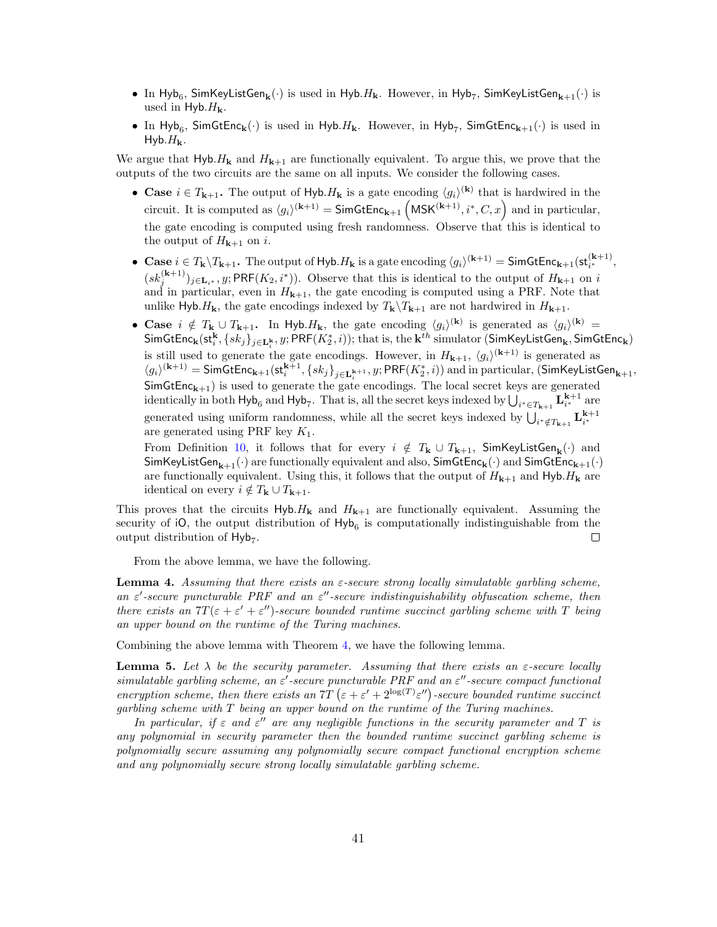- In Hyb<sub>6</sub>, SimKeyListGen<sub>k</sub> $(\cdot)$  is used in Hyb. $H_{\bf k}$ . However, in Hyb<sub>7</sub>, SimKeyListGen<sub>k+1</sub> $(\cdot)$  is used in Hyb. $H_{\mathbf{k}}$ .
- In Hyb<sub>6</sub>, SimGtEnc<sub>k</sub>( $\cdot$ ) is used in Hyb. H<sub>k</sub>. However, in Hyb<sub>7</sub>, SimGtEnc<sub>k+1</sub>( $\cdot$ ) is used in Hyb. $H_{\mathbf{k}}$ .

We argue that  $H_yb$ . H<sub>k</sub> and  $H_{k+1}$  are functionally equivalent. To argue this, we prove that the outputs of the two circuits are the same on all inputs. We consider the following cases.

- Case  $i \in T_{k+1}$ . The output of Hyb.  $H_k$  is a gate encoding  $\langle g_i \rangle^{(k)}$  that is hardwired in the circuit. It is computed as  $\langle g_i \rangle^{(k+1)} = \mathsf{SimGtEnc}_{k+1} \left( \mathsf{MSK}^{(k+1)}, i^*, C, x \right)$  and in particular, the gate encoding is computed using fresh randomness. Observe that this is identical to the output of  $H_{k+1}$  on i.
- Case  $i \in T_{\mathbf{k}} \setminus T_{\mathbf{k}+1}$ . The output of Hyb.  $H_{\mathbf{k}}$  is a gate encoding  $\langle g_i \rangle^{(\mathbf{k}+1)} = \mathsf{SimGtEnc}_{\mathbf{k}+1}(\mathsf{st}_{i^*}^{(\mathbf{k}+1)},$  $(sk_j^{(k+1)})_{j\in\mathbf{L}_{i^*}},y; \mathsf{PRF}(K_2,i^*))$ . Observe that this is identical to the output of  $H_{k+1}$  on i and in particular, even in  $H_{k+1}$ , the gate encoding is computed using a PRF. Note that unlike Hyb. $H_{\mathbf{k}}$ , the gate encodings indexed by  $T_{\mathbf{k}}\backslash T_{\mathbf{k}+1}$  are not hardwired in  $H_{\mathbf{k}+1}$ .
- Case  $i \notin T_{\mathbf{k}} \cup T_{\mathbf{k}+1}$ . In Hyb.  $H_{\mathbf{k}}$ , the gate encoding  $\langle g_i \rangle^{(\mathbf{k})}$  is generated as  $\langle g_i \rangle^{(\mathbf{k})} =$  $\mathsf{SimGtEnc_k}(\mathsf{st}^\mathbf{k}_i, \{sk_j\}_{j\in \mathbf{L}^\mathbf{k}_i}, y; \mathsf{PRF}(K^\ast_2,i)); \text{that is, the } \mathbf{k}^{th} \text{ simulator (SimKeyListGen}_\mathbf{k}, \mathsf{SimGtEnc}_\mathbf{k})$ is still used to generate the gate encodings. However, in  $H_{k+1}$ ,  $\langle g_i \rangle^{(k+1)}$  is generated as  $\langle g_i\rangle^{(\mathbf{k}+1)} = \mathsf{SimGtEnc}_{\mathbf{k}+1}(\mathsf{st}^{\mathbf{k}+1}_i, \{sk_j\}_{j\in \mathbf{L}^{\mathbf{k}+1}_i}, y; \mathsf{PRF}(K^*_2,i))$  and in particular,  $(\mathsf{SimKeyListGen}_{\mathbf{k}+1}, \{sk_j\}_{j\in \mathbf{L}^{\mathbf{k}+1}_i}, y; \mathsf{PRF}(K^*_2,i))$  $\sum_{i=1}^{n}$  SimGtEnc<sub>k+1</sub>) is used to generate the gate encodings. The local secret keys are generated identically in both  $Hyb_6$  and  $Hyb_7$ . That is, all the secret keys indexed by  $\bigcup_{i^* \in T_{k+1}} L_{i^*}^{k+1}$  are generated using uniform randomness, while all the secret keys indexed by  $\bigcup_{i^* \notin T_{k+1}} \mathbf{L}_{i^*}^{k+1}$ are generated using PRF key  $K_1$ .

From Definition [10,](#page-19-0) it follows that for every  $i \notin T_{\mathbf{k}} \cup T_{\mathbf{k}+1}$ , SimKeyListGen<sub>k</sub> $(\cdot)$  and SimKeyListGen<sub>k+1</sub>(·) are functionally equivalent and also, SimGtEnc<sub>k</sub>(·) and SimGtEnc<sub>k+1</sub>(·) are functionally equivalent. Using this, it follows that the output of  $H_{k+1}$  and Hyb. $H_k$  are identical on every  $i \notin T_{\mathbf{k}} \cup T_{\mathbf{k+1}}$ .

This proves that the circuits  $H_y h H_k$  and  $H_{k+1}$  are functionally equivalent. Assuming the security of  $iO$ , the output distribution of  $Hyb_6$  is computationally indistinguishable from the output distribution of  $Hyb_7$ .  $\Box$ 

From the above lemma, we have the following.

**Lemma 4.** Assuming that there exists an  $\varepsilon$ -secure strong locally simulatable garbling scheme, an  $\varepsilon'$ -secure puncturable PRF and an  $\varepsilon''$ -secure indistinguishability obfuscation scheme, then there exists an  $7T(\varepsilon + \varepsilon' + \varepsilon'')$ -secure bounded runtime succinct garbling scheme with T being an upper bound on the runtime of the Turing machines.

Combining the above lemma with Theorem [4,](#page-15-1) we have the following lemma.

<span id="page-40-0"></span>**Lemma 5.** Let  $\lambda$  be the security parameter. Assuming that there exists an  $\varepsilon$ -secure locally  $simulated$  garbling scheme, an  $\varepsilon'$ -secure puncturable PRF and an  $\varepsilon''$ -secure compact functional encryption scheme, then there exists an  $TT (\varepsilon + \varepsilon' + 2^{\log(T)} \varepsilon'')$ -secure bounded runtime succinct garbling scheme with T being an upper bound on the runtime of the Turing machines.

In particular, if  $\varepsilon$  and  $\varepsilon''$  are any negligible functions in the security parameter and T is any polynomial in security parameter then the bounded runtime succinct garbling scheme is polynomially secure assuming any polynomially secure compact functional encryption scheme and any polynomially secure strong locally simulatable garbling scheme.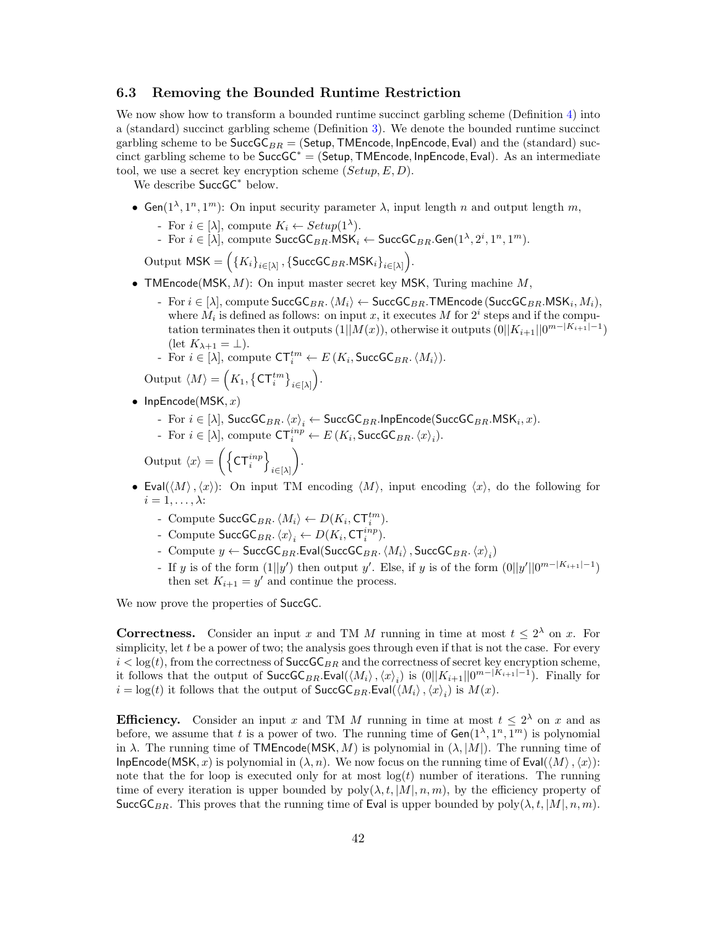#### <span id="page-41-0"></span>6.3 Removing the Bounded Runtime Restriction

We now show how to transform a bounded runtime succinct garbling scheme (Definition [4\)](#page-14-1) into a (standard) succinct garbling scheme (Definition [3\)](#page-14-2). We denote the bounded runtime succinct garbling scheme to be  $SuccGC_{BR} = (Setup, TMEncode, InpEncode,Eval)$  and the (standard) succinct garbling scheme to be  $SuccG$ <sup>\*</sup> = (Setup, TMEncode, InpEncode, Eval). As an intermediate tool, we use a secret key encryption scheme  $(Setup, E, D)$ .

We describe SuccGC<sup>\*</sup> below.

- Gen( $1^{\lambda}, 1^n, 1^m$ ): On input security parameter  $\lambda$ , input length n and output length m,
	- For  $i \in [\lambda]$ , compute  $K_i \leftarrow Setup(1^{\lambda})$ .
	- For  $i \in [\lambda]$ , compute  $\mathsf{SuccGC}_{BR}.\mathsf{MSK}_i \leftarrow \mathsf{SuccGC}_{BR}.\mathsf{Gen}(1^{\lambda}, 2^i, 1^n, 1^m)$ .

Output  $\mathsf{MSK} = \left( \{ K_i \}_{i \in [\lambda]} , \{ \mathsf{SuccGC}_{BR}.\mathsf{MSK}_i \}_{i \in [\lambda]} \right)$ .

- TMEncode(MSK,  $M$ ): On input master secret key MSK, Turing machine  $M$ ,
	- For  $i \in [\lambda]$ , compute SuccGC<sub>BR</sub>.  $\langle M_i \rangle$  ← SuccGC<sub>BR</sub>.TMEncode (SuccGC<sub>BR</sub>.MSK<sub>i</sub>, M<sub>i</sub>), where  $M_i$  is defined as follows: on input x, it executes M for  $2^i$  steps and if the computation terminates then it outputs  $(1||M(x))$ , otherwise it outputs  $(0||K_{i+1}||0^{m-|K_{i+1}|-1})$  $(\text{let } K_{\lambda+1} = \bot).$
	- For  $i \in [\lambda]$ , compute  $\mathsf{CT}_i^{tm} \leftarrow E(K_i, \mathsf{SuccGC}_{BR} \cdot \langle M_i \rangle)$ .

Output  $\langle M \rangle = \left( K_1, \left\{ \mathsf{CT}_i^{tm} \right\}_{i \in [\lambda]} \right)$ .

- InpEncode(MSK,  $x$ )
	- For  $i \in [\lambda]$ , SuccG $\mathsf{C}_{BR}$ .  $\langle x \rangle_i \leftarrow \mathsf{SuccGC}_{BR}$ .InpEncode(SuccG $\mathsf{C}_{BR}$ .MSK $_i, x$ ).
	- For  $i \in [\lambda]$ , compute  $\mathsf{CT}_i^{inp} \leftarrow E(K_i, \mathsf{SuccGC}_{BR} . \langle x \rangle_i)$ .

Output  $\langle x \rangle = \left( \left\{ \mathsf{CT}_i^{inp} \right\} \right)$  $i\in[\lambda]$ .

- Eval $(\langle M \rangle, \langle x \rangle)$ : On input TM encoding  $\langle M \rangle$ , input encoding  $\langle x \rangle$ , do the following for  $i = 1, \ldots, \lambda$ :
	- Compute SuccGC<sub>BR</sub>.  $\langle M_i \rangle \leftarrow D(K_i, \text{CT}_i^{tm})$ .
	- Compute  $\mathsf{SuccGC}_{BR}$ .  $\langle x \rangle_i \leftarrow D(K_i, \mathsf{CT}_i^{inp}).$
	- Compute  $y \leftarrow$  SuccGC<sub>BR</sub>.Eval(SuccGC<sub>BR</sub>. $\langle M_i \rangle$ , SuccGC<sub>BR</sub>. $\langle x \rangle_i$ )
	- If y is of the form  $(1||y')$  then output y'. Else, if y is of the form  $(0||y'||0^{m-|K_{i+1}|-1})$ then set  $K_{i+1} = y'$  and continue the process.

We now prove the properties of SuccGC.

**Correctness.** Consider an input x and TM M running in time at most  $t \leq 2^{\lambda}$  on x. For simplicity, let  $t$  be a power of two; the analysis goes through even if that is not the case. For every  $i < log(t)$ , from the correctness of  $SuccG_{BR}$  and the correctness of secret key encryption scheme, it follows that the output of  $SuccGC_{BR}$ . Eval $(\langle M_i \rangle, \langle x \rangle_i)$  is  $(0||K_{i+1}||0^{m-|K_{i+1}|-1})$ . Finally for  $i = \log(t)$  it follows that the output of  $\mathsf{SuccGC}_{BR}$ . Eval $(\langle M_i \rangle, \langle x \rangle_i)$  is  $M(x)$ .

**Efficiency.** Consider an input x and TM M running in time at most  $t \leq 2^{\lambda}$  on x and as before, we assume that t is a power of two. The running time of  $Gen(1^{\lambda}, 1^n, 1^m)$  is polynomial in  $\lambda$ . The running time of TMEncode(MSK, M) is polynomial in  $(\lambda, |M|)$ . The running time of InpEncode(MSK, x) is polynomial in  $(\lambda, n)$ . We now focus on the running time of Eval( $\langle M \rangle$ ,  $\langle x \rangle$ ): note that the for loop is executed only for at most  $log(t)$  number of iterations. The running time of every iteration is upper bounded by  $poly(\lambda, t, |M|, n, m)$ , by the efficiency property of SuccGC<sub>BR</sub>. This proves that the running time of Eval is upper bounded by  $poly(\lambda, t, |M|, n, m)$ .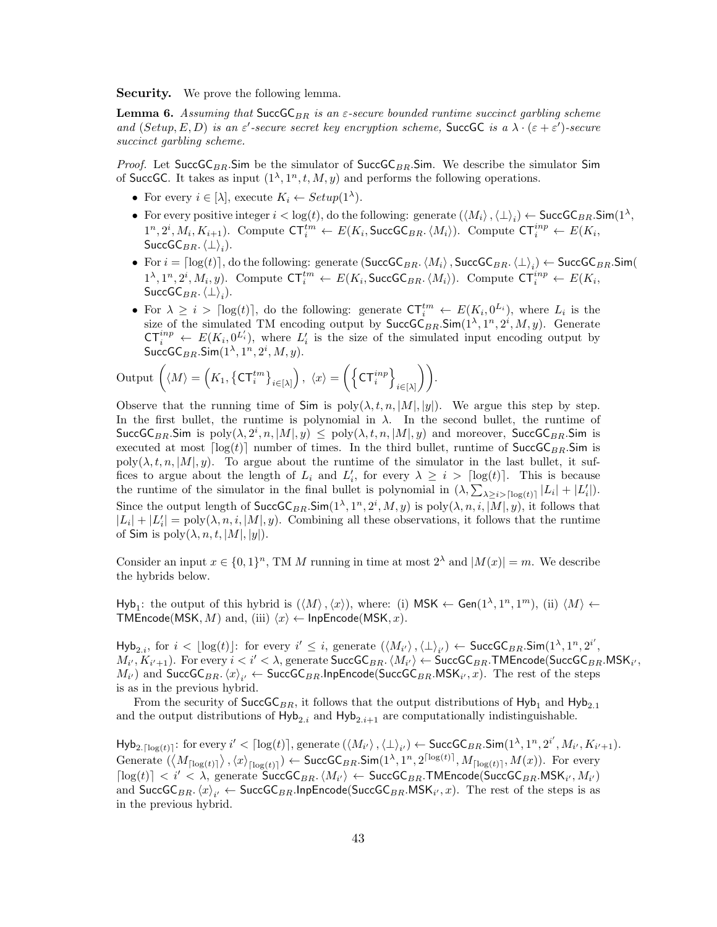Security. We prove the following lemma.

<span id="page-42-0"></span>**Lemma 6.** Assuming that SuccGC<sub>BR</sub> is an  $\epsilon$ -secure bounded runtime succinct garbling scheme and  $(Setup, E, D)$  is an  $\varepsilon'$ -secure secret key encryption scheme, SuccGC is a  $\lambda \cdot (\varepsilon + \varepsilon')$ -secure succinct garbling scheme.

*Proof.* Let SuccGC<sub>BR</sub>.Sim be the simulator of SuccGC<sub>BR</sub>.Sim. We describe the simulator Sim of SuccGC. It takes as input  $(1^{\lambda}, 1^n, t, M, y)$  and performs the following operations.

- For every  $i \in [\lambda]$ , execute  $K_i \leftarrow Setup(1^{\lambda})$ .
- For every positive integer  $i < log(t)$ , do the following: generate  $(\langle M_i \rangle, \langle \perp \rangle_i) \leftarrow$  SuccGC<sub>BR</sub>.Sim $(1^{\lambda}, \mathcal{I})$  $1^n, 2^i, M_i, K_{i+1}$ ). Compute  $\mathsf{CT}_i^{tm} \leftarrow E(K_i, \mathsf{SuccGC}_{BR} \langle M_i \rangle)$ . Compute  $\mathsf{CT}_i^{inp} \leftarrow E(K_i, \mathsf{SuccGC}_{BR} \langle M_i \rangle)$  $\mathsf{SuccGC}_{BR}.\left\langle \perp \right\rangle_i).$
- For  $i = \lceil \log(t) \rceil$ , do the following: generate  $(\mathsf{SuccGC}_{BR} \langle M_i \rangle, \mathsf{SuccGC}_{BR} \langle \perp \rangle_i) \leftarrow \mathsf{SuccGC}_{BR} \mathsf{Sim}(n)$  $1^{\lambda}, 1^n, 2^i, M_i, y$ ). Compute  $\mathsf{CT}_i^{tm} \leftarrow E(K_i, \mathsf{SuccGC}_{BR} \langle M_i \rangle)$ . Compute  $\mathsf{CT}_i^{inp} \leftarrow E(K_i, \mathsf{SuccGC}_{BR} \langle M_i \rangle)$  $\mathsf{SuccGC}_{BR}.\left\langle \perp \right\rangle_i).$
- For  $\lambda \geq i > \lceil \log(t) \rceil$ , do the following: generate  $\mathsf{CT}_i^{tm} \leftarrow E(K_i, 0^{L_i})$ , where  $L_i$  is the size of the simulated TM encoding output by  $\text{SuccGC}_{BR}$ . Sim $(1^{\lambda}, 1^n, 2^i, M, y)$ . Generate  $CT_i^{inp} \leftarrow E(K_i, 0^{L'_i})$ , where  $L'_i$  is the size of the simulated input encoding output by  $\mathsf{SuccGC}_{BR}$ . $\mathsf{Sim}(1^\lambda,1^n,2^i,M,y)$ .

$$
\text{Output } \left( \langle M \rangle = \left( K_1, \left\{ \mathsf{CT}_i^{tm} \right\}_{i \in [\lambda]} \right), \ \langle x \rangle = \left( \left\{ \mathsf{CT}_i^{inp} \right\}_{i \in [\lambda]} \right) \right).
$$

Observe that the running time of Sim is  $poly(\lambda, t, n, |M|, |y|)$ . We argue this step by step. In the first bullet, the runtime is polynomial in  $\lambda$ . In the second bullet, the runtime of SuccGC<sub>BR</sub>.Sim is  $poly(\lambda, 2^i, n, |M|, y) \leq poly(\lambda, t, n, |M|, y)$  and moreover, SuccGC<sub>BR</sub>.Sim is executed at most  $\lceil \log(t) \rceil$  number of times. In the third bullet, runtime of  $\text{SuccGC}_{BR}$ . Sim is poly( $\lambda, t, n, |M|, y$ ). To argue about the runtime of the simulator in the last bullet, it suffices to argue about the length of  $L_i$  and  $L'_i$ , for every  $\lambda \geq i > \lceil \log(t) \rceil$ . This is because the runtime of the simulator in the final bullet is polynomial in  $(\lambda, \sum_{\lambda \geq i > \lceil \log(t) \rceil} |L_i| + |L'_i|)$ . Since the output length of  $\mathsf{SuccGC}_{BR}$ .  $\mathsf{Sim}(1^{\lambda}, 1^n, 2^i, M, y)$  is  $\text{poly}(\lambda, n, i, |M|, y)$ , it follows that  $|L_i| + |L'_i| = \text{poly}(\lambda, n, i, |M|, y)$ . Combining all these observations, it follows that the runtime of Sim is  $poly(\lambda, n, t, |M|, |y|)$ .

Consider an input  $x \in \{0,1\}^n$ , TM M running in time at most  $2^{\lambda}$  and  $|M(x)| = m$ . We describe the hybrids below.

 $Hyb_1$ : the output of this hybrid is  $(\langle M \rangle, \langle x \rangle)$ , where: (i) MSK  $\leftarrow$  Gen $(1^{\lambda}, 1^n, 1^m)$ , (ii)  $\langle M \rangle \leftarrow$ TMEncode(MSK, M) and, (iii)  $\langle x \rangle \leftarrow$  InpEncode(MSK, x).

 $\mathsf{Hyb}_{2,i}$ , for  $i < \lfloor \log(t) \rfloor$ : for every  $i' \leq i$ , generate  $(\langle M_{i'} \rangle, \langle \bot \rangle_{i'}) \leftarrow \mathsf{SuccGC}_{BR}.\mathsf{Sim}(1^{\lambda}, 1^n, 2^{i'}, 1^n)$  $M_{i'}, K_{i'+1}$ ). For every  $i < i' < \lambda$ , generate  $\mathsf{SuccGC}_{BR}$ .  $\langle M_{i'} \rangle \leftarrow \mathsf{SuccGC}_{BR}$ . TMEncode( $\mathsf{SuccGC}_{BR}$ .MSK $_{i'},$  $(M_{i'})$  and  $\mathsf{SuccGC}_{BR}$ .  $\langle x \rangle_{i'} \leftarrow \mathsf{SuccGC}_{BR}$ . InpEncode( $\mathsf{SuccGC}_{BR}$ .MSK $_{i'}, x$ ). The rest of the steps is as in the previous hybrid.

From the security of  $SuccG_{BR}$ , it follows that the output distributions of Hyb<sub>1</sub> and Hyb<sub>2.1</sub> and the output distributions of  $Hy_{2,i}$  and  $Hy_{2,i+1}$  are computationally indistinguishable.

 $\mathsf{Hyb}_{2.\lceil \log(t) \rceil}$ : for every  $i' < \lceil \log(t) \rceil$ , generate  $(\langle M_{i'} \rangle, \langle \bot \rangle_{i'}) \leftarrow \mathsf{SuccGC}_{BR}.\mathsf{Sim}(1^{\lambda},1^n,2^{i'},M_{i'},K_{i'+1}).$ Generate  $(\langle M_{\lceil \log(t) \rceil} \rangle, \langle x \rangle_{\lceil \log(t) \rceil}) \leftarrow \mathsf{SuccGC}_{BR}.\mathsf{Sim}(1^{\lambda}, 1^n, 2^{\lceil \log(t) \rceil}, M_{\lceil \log(t) \rceil}, M(x)).$  For every  $\lceil \log(t) \rceil < i' < \lambda$ , generate  $\overline{\textsf{SuccGC}}_{BR} \langle M_{i'} \rangle \leftarrow \textsf{SuccGC}_{BR}$ . TMEncode( $\textsf{SuccGC}_{BR}$ . MSK<sub>i'</sub>,  $M_{i'}$ ) and  $\mathsf{SuccGC}_{BR}$ .  $\langle x \rangle_{i'} \leftarrow \mathsf{SuccGC}_{BR}$ .InpEncode( $\mathsf{SuccGC}_{BR}$ .MSK $_{i'}, x$ ). The rest of the steps is as in the previous hybrid.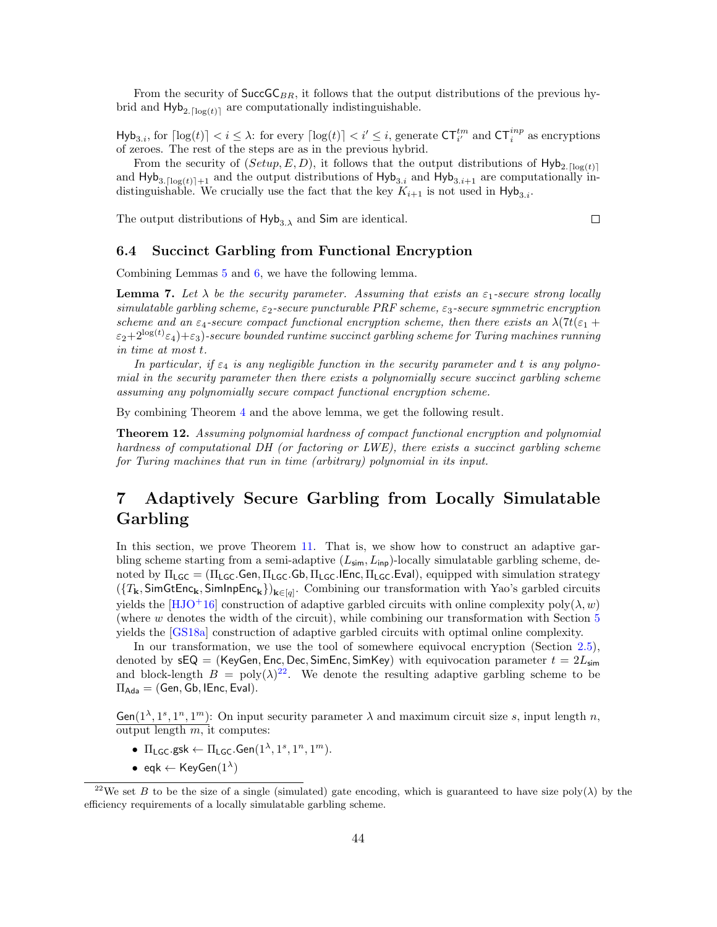From the security of  $SuccG_{BR}$ , it follows that the output distributions of the previous hybrid and  $\text{Hyb}_{2.[\log(t)]}$  are computationally indistinguishable.

 $\text{Hyb}_{3,i}$ , for  $\lceil \log(t) \rceil < i \leq \lambda$ : for every  $\lceil \log(t) \rceil < i' \leq i$ , generate  $\text{CT}_{i'}^{tm}$  and  $\text{CT}_{i}^{inp}$  as encryptions of zeroes. The rest of the steps are as in the previous hybrid.

From the security of  $(Setup, E, D)$ , it follows that the output distributions of  $Hyb_{2,\lceil log(t) \rceil}$ and  $Hyb_{3.0}[\log(t)]+1$  and the output distributions of  $Hyb_{3,i}$  and  $Hyb_{3.0}+1$  are computationally indistinguishable. We crucially use the fact that the key  $K_{i+1}$  is not used in  $Hyb_{3,i}$ .

The output distributions of  $Hy_{3,\lambda}$  and Sim are identical.

 $\Box$ 

#### <span id="page-43-0"></span>6.4 Succinct Garbling from Functional Encryption

Combining Lemmas [5](#page-40-0) and [6,](#page-42-0) we have the following lemma.

**Lemma 7.** Let  $\lambda$  be the security parameter. Assuming that exists an  $\varepsilon_1$ -secure strong locally simulatable garbling scheme,  $\varepsilon_2$ -secure puncturable PRF scheme,  $\varepsilon_3$ -secure symmetric encryption scheme and an  $\varepsilon_4$ -secure compact functional encryption scheme, then there exists an  $\lambda(7t(\varepsilon_1 +$  $\varepsilon_2{+}2^{\log(t)}\varepsilon_4){+}\varepsilon_3)$ -secure bounded runtime succinct garbling scheme for Turing machines running in time at most t.

In particular, if  $\varepsilon_4$  is any negligible function in the security parameter and t is any polynomial in the security parameter then there exists a polynomially secure succinct garbling scheme assuming any polynomially secure compact functional encryption scheme.

By combining Theorem [4](#page-15-1) and the above lemma, we get the following result.

Theorem 12. Assuming polynomial hardness of compact functional encryption and polynomial hardness of computational DH (or factoring or LWE), there exists a succinct garbling scheme for Turing machines that run in time (arbitrary) polynomial in its input.

## <span id="page-43-1"></span>7 Adaptively Secure Garbling from Locally Simulatable Garbling

In this section, we prove Theorem [11.](#page-23-3) That is, we show how to construct an adaptive garbling scheme starting from a semi-adaptive  $(L_{\text{sim}}, L_{\text{inp}})$ -locally simulatable garbling scheme, denoted by  $\Pi_{\text{LGC}} = (\Pi_{\text{LGC}}.\text{Gen}, \Pi_{\text{LGC}}.\text{Gb}, \Pi_{\text{LGC}}.\text{ElEnc}, \Pi_{\text{LGC}}.\text{Eval})$ , equipped with simulation strategy  $(\{T_{\mathbf{k}}, \mathsf{SimGtEnc}_{\mathbf{k}}, \mathsf{SimInpEnc}_{\mathbf{k}})\}_{\mathbf{k}\in[q]}$ . Combining our transformation with Yao's garbled circuits yields the [\[HJO](#page-49-13)<sup>+</sup>16] construction of adaptive garbled circuits with online complexity poly( $\lambda, w$ ) (where w denotes the width of the circuit), while combining our transformation with Section [5](#page-23-1) yields the [\[GS18a\]](#page-48-11) construction of adaptive garbled circuits with optimal online complexity.

In our transformation, we use the tool of somewhere equivocal encryption (Section [2.5\)](#page-15-0), denoted by  $sEQ = (KeyGen, Enc, Dec, SimEnc, SimKey)$  with equivocation parameter  $t = 2L_{sim}$ and block-length  $B = \text{poly}(\lambda)^{22}$  $B = \text{poly}(\lambda)^{22}$  $B = \text{poly}(\lambda)^{22}$ . We denote the resulting adaptive garbling scheme to be  $\Pi_{\text{Ada}} = (\text{Gen}, \text{Gb}, \text{IEnc}, \text{Eval}).$ 

 $Gen(1^{\lambda}, 1^s, 1^n, 1^m)$ : On input security parameter  $\lambda$  and maximum circuit size s, input length n, output length  $m$ , it computes:

- $\Pi_{\mathsf{LGC}}.\mathsf{gsk} \leftarrow \Pi_{\mathsf{LGC}}.\mathsf{Gen}(1^\lambda,1^s,1^n,1^m).$
- eqk  $\leftarrow$  KeyGen $(1^{\lambda})$

<sup>&</sup>lt;sup>22</sup>We set B to be the size of a single (simulated) gate encoding, which is guaranteed to have size poly( $\lambda$ ) by the efficiency requirements of a locally simulatable garbling scheme.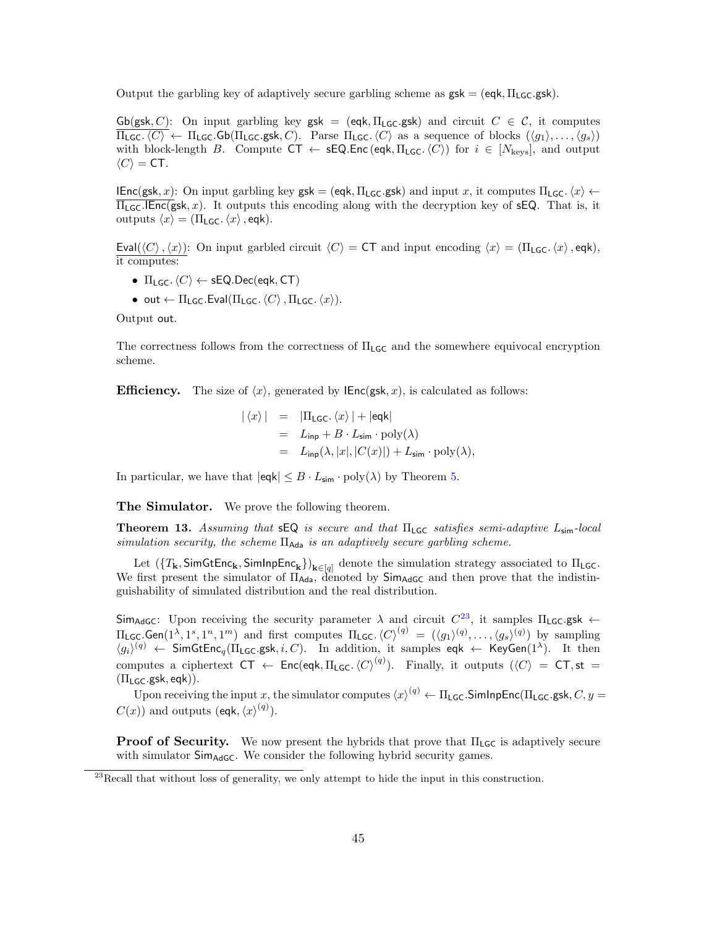Output the garbling key of adaptively secure garbling scheme as  $gsk = (eqk, \Pi_{LG}gsk)$ .

 $Gb(gsk, C)$ : On input garbling key gsk = (eqk,  $\Pi_{LGC}$ gsk) and circuit  $C \in \mathcal{C}$ , it computes  $\overline{\Pi_{\text{LGC}}.\langle C\rangle} \leftarrow \Pi_{\text{LGC}}.\text{Gb}(\Pi_{\text{LGC}}.\text{gsk}, C)$ . Parse  $\Pi_{\text{LGC}}.\langle C\rangle$  as a sequence of blocks  $(\langle g_1 \rangle, \ldots, \langle g_s \rangle)$ with block-length B. Compute  $CT \leftarrow \textsf{sEQ}.\textsf{Enc}(\textsf{eqk}, \Pi_{\textsf{LGC}}.\langle C\rangle)$  for  $i \in [N_{\text{keys}}]$ , and output  $\langle C \rangle = \mathsf{CT}.$ 

IEnc(gsk, x): On input garbling key gsk = (eqk,  $\Pi_{\text{LGC}}$ .gsk) and input x, it computes  $\Pi_{\text{LGC}}$ . $\langle x \rangle \leftarrow$  $\Pi_{LGC}$ . IEnc(gsk, x). It outputs this encoding along with the decryption key of sEQ. That is, it outputs  $\langle x \rangle = (\Pi_{\mathsf{LGC}}.\langle x \rangle, \mathsf{eqk}).$ 

Eval( $\langle C \rangle$ ,  $\langle x \rangle$ ): On input garbled circuit  $\langle C \rangle = C\mathsf{T}$  and input encoding  $\langle x \rangle = (\Pi_{\mathsf{LGC}}.\langle x \rangle, \mathsf{eqk})$ , it computes:

- $\Pi_{\text{LGC}}$ ,  $\langle C \rangle \leftarrow \text{sEQ}$ .Dec(eqk, CT)
- out  $\leftarrow \Pi_1 G_C$ . Eval( $\Pi_1 G_C$ .  $\langle C \rangle$ ,  $\Pi_1 G_C$ .  $\langle x \rangle$ ).

Output out.

The correctness follows from the correctness of  $\Pi_{LG}$  and the somewhere equivocal encryption scheme.

**Efficiency.** The size of  $\langle x \rangle$ , generated by **IEnc(gsk, x)**, is calculated as follows:

$$
\begin{array}{rcl} |\langle x \rangle| & = & |\Pi_{\mathsf{LGC}}.\langle x \rangle| + |\mathsf{eqk}| \\ & = & L_{\mathsf{inp}} + B \cdot L_{\mathsf{sim}} \cdot \mathrm{poly}(\lambda) \\ & = & L_{\mathsf{inp}}(\lambda, |x|, |C(x)|) + L_{\mathsf{sim}} \cdot \mathrm{poly}(\lambda), \end{array}
$$

In particular, we have that  $|eqk| \leq B \cdot L_{\text{sim}} \cdot \text{poly}(\lambda)$  by Theorem [5.](#page-16-2)

The Simulator. We prove the following theorem.

**Theorem 13.** Assuming that  $s\in\mathbb{Q}$  is secure and that  $\Pi_{\mathsf{LGC}}$  satisfies semi-adaptive  $L_{\mathsf{sim}}$ -local simulation security, the scheme  $\Pi_{\text{Ada}}$  is an adaptively secure garbling scheme.

Let  $(\{T_{\mathbf{k}}, \mathsf{SimGtEnc}_{\mathbf{k}}, \mathsf{SimInpEnc}_{\mathbf{k}}\})_{\mathbf{k}\in[q]}$  denote the simulation strategy associated to  $\Pi_{\mathsf{LGC}}$ . We first present the simulator of  $\Pi_{\text{Ada}}$ , denoted by  $\text{Sim}_{\text{AddC}}$  and then prove that the indistinguishability of simulated distribution and the real distribution.

Sim<sub>AdGC</sub>: Upon receiving the security parameter  $\lambda$  and circuit  $C^{23}$  $C^{23}$  $C^{23}$ , it samples  $\Pi_{LG}$ .gsk  $\leftarrow$  $\Pi_{\mathsf{LGC}}.\mathsf{Gen}(1^{\lambda},1^s,1^n,1^m)$  and first computes  $\Pi_{\mathsf{LGC}}.\langle C\rangle^{(q)} \;=\; (\langle g_1\rangle^{(q)},\ldots,\langle g_s\rangle^{(q)})$  by sampling  $\langle g_i \rangle^{(q)} \leftarrow$  SimGtEnc<sub>q</sub>( $\Pi_{\mathsf{LGC}}$ .gsk, *i*, *C*). In addition, it samples eqk  $\leftarrow$  KeyGen(1<sup> $\lambda$ </sup>). It then computes a ciphertext  $CT \leftarrow \text{Enc}(\text{eqk}, \Pi_{\text{LGC}}.\langle C \rangle^{(q)})$ . Finally, it outputs  $(\langle C \rangle = CT, st =$  $(\Pi_{LGC}.gsk, eqk)$ ).

Upon receiving the input  $x$ , the simulator computes  $\langle x \rangle^{(q)} \leftarrow \Pi_{\sf LGC}$ .SimInpEnc( $\Pi_{\sf LGC}$ .gsk,  $C, y =$  $C(x)$  and outputs (eqk,  $\langle x \rangle^{(q)}$ ).

**Proof of Security.** We now present the hybrids that prove that  $\Pi_{\mathsf{LGC}}$  is adaptively secure with simulator Sim<sub>AdGC</sub>. We consider the following hybrid security games.

 $^{23}$ Recall that without loss of generality, we only attempt to hide the input in this construction.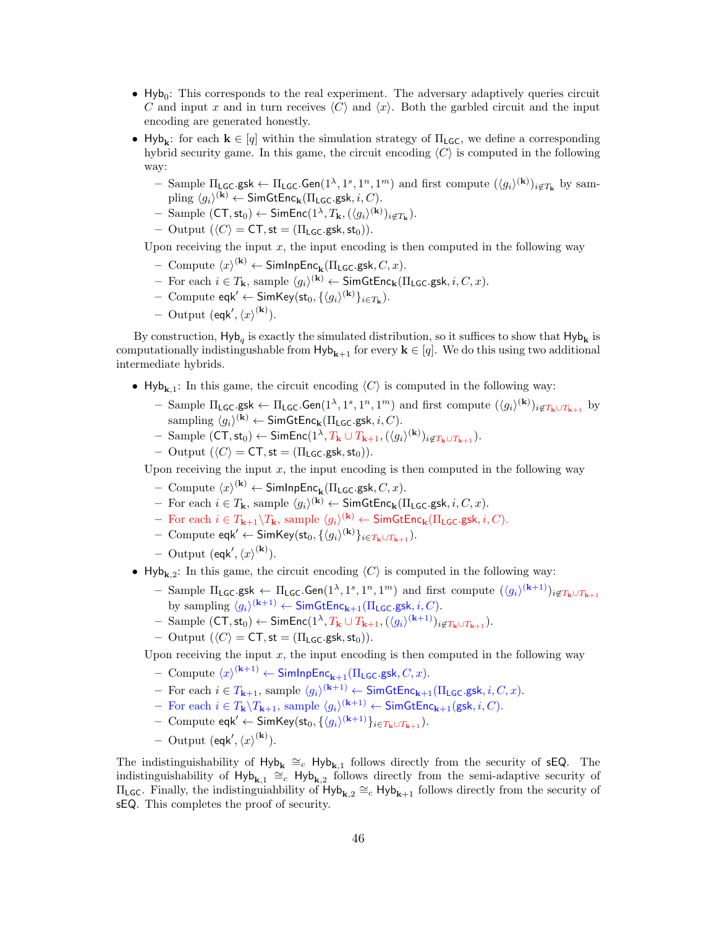- $\bullet$  Hyb<sub>0</sub>: This corresponds to the real experiment. The adversary adaptively queries circuit C and input x and in turn receives  $\langle C \rangle$  and  $\langle x \rangle$ . Both the garbled circuit and the input encoding are generated honestly.
- Hyb<sub>k</sub>: for each  $k \in [q]$  within the simulation strategy of  $\Pi_{LGC}$ , we define a corresponding hybrid security game. In this game, the circuit encoding  $\langle C \rangle$  is computed in the following way:
	- Sample  $\Pi_{\mathsf{LGC}}$ .gsk  $\leftarrow \Pi_{\mathsf{LGC}}$ .Gen $(1^{\lambda}, 1^s, 1^n, 1^m)$  and first compute  $(\langle g_i \rangle^{(\mathbf{k})})_{i \notin T_{\mathbf{k}}}$  by sam- $\text{pling } \langle g_i \rangle^{(\mathbf{k})} \leftarrow \textsf{SimGtEnc}_{\mathbf{k}}(\Pi_{\mathsf{LGC}}.\mathsf{gsk}, i, C).$
	- $-$  Sample  $(\mathsf{CT}, \mathsf{st}_0) \leftarrow \mathsf{SimEnc}(1^{\lambda}, T_{\mathbf{k}}, (\langle g_i \rangle^{(\mathbf{k})})_{i \notin T_{\mathbf{k}}}).$
	- Output  $(\langle C \rangle = \mathsf{CT}, \mathsf{st} = (\Pi_{\mathsf{LGC}}.\mathsf{gsk}, \mathsf{st}_0)).$

Upon receiving the input  $x$ , the input encoding is then computed in the following way

- $-$  Compute  $\langle x \rangle^{(\mathbf{k})} \leftarrow$  SimInpEnc<sub>k</sub>( $\Pi_{\mathsf{LGC}}$ .gsk,  $C, x$ ).
- − For each  $i \in T_{\mathbf{k}}$ , sample  $\langle g_i \rangle^{(\mathbf{k})}$  ← SimGtEnc<sub>k</sub>(Π<sub>LGC</sub>.gsk,  $i, C, x$ ).
- $-$  Compute eqk' ← SimKey(st<sub>0</sub>, { $\langle g_i \rangle^{(\mathbf{k})}\}_{i \in T_{\mathbf{k}}})$ .
- Output (eqk',  $\langle x \rangle^{(\mathbf{k})}$ ).

By construction,  $\mathsf{Hyb}_q$  is exactly the simulated distribution, so it suffices to show that  $\mathsf{Hyb}_k$  is computationally indistingushable from  $Hy_{k+1}$  for every  $k \in [q]$ . We do this using two additional intermediate hybrids.

- Hyb<sub>k,1</sub>: In this game, the circuit encoding  $\langle C \rangle$  is computed in the following way:
	- Sample  $\Pi_{\mathsf{LGC}}$ .gsk  $\leftarrow \Pi_{\mathsf{LGC}}$ .Gen $(1^{\lambda}, 1^s, 1^n, 1^m)$  and first compute  $(\langle g_i \rangle^{(\mathbf{k})})_{i \notin T_{\mathbf{k}} \cup T_{\mathbf{k+1}}}$  by sampling  $\langle g_i \rangle^{(\mathbf{k})} \leftarrow \mathsf{SimGtEnc}_{\mathbf{k}}(\Pi_{\mathsf{LGC}}.\mathsf{gsk}, i, C).$
	- $-$  Sample  $(\mathsf{CT}, \mathsf{st}_0) \leftarrow \mathsf{SimEnc}(1^{\lambda}, T_{\mathbf{k}} \cup T_{\mathbf{k}+1}, (\langle g_i \rangle^{(\mathbf{k})})_{i \notin T_{\mathbf{k}} \cup T_{\mathbf{k}+1}}).$
	- Output  $(\langle C \rangle = \mathsf{CT}, \mathsf{st} = (\Pi_{\mathsf{LGC}}.\mathsf{gsk}, \mathsf{st}_0)).$

Upon receiving the input  $x$ , the input encoding is then computed in the following way

- $-$  Compute  $\langle x \rangle^{(\mathbf{k})} \leftarrow$  SimInpEnc<sub>k</sub>( $\Pi_{\mathsf{LGC}}$ .gsk,  $C, x$ ).
- − For each  $i \in T_{\mathbf{k}}$ , sample  $\langle g_i \rangle^{(\mathbf{k})}$  ← SimGtEnc<sub>k</sub>(Π<sub>LGC</sub>.gsk,  $i, C, x$ ).
- $-$  For each  $i \in T_{\mathbf{k}+1} \backslash T_{\mathbf{k}}$ , sample  $\langle g_i \rangle^{(\mathbf{k})}$  ← SimGtEnc<sub>k</sub>(Π<sub>LGC</sub>.gsk,  $i, C$ ).
- Compute  $eqk' \leftarrow \mathsf{SimKey}(\mathsf{st}_0, \{\langle g_i\rangle^{(\mathbf{k})}\}_{i \in T_{\mathbf{k}} \cup T_{\mathbf{k}+1}}).$
- Output (eqk',  $\langle x \rangle^{(\mathbf{k})}$ ).
- Hyb<sub>k,2</sub>: In this game, the circuit encoding  $\langle C \rangle$  is computed in the following way:
	- Sample  $\Pi_{\mathsf{LGC}}$ .gsk  $\leftarrow \Pi_{\mathsf{LGC}}$ .Gen $(1^{\lambda},1^s,1^n,1^m)$  and first compute  $(\langle g_i \rangle^{(\mathbf{k}+1)})_{i\notin T_{\mathbf{k}} \cup T_{\mathbf{k}+1}}$ by sampling  $\langle g_i \rangle^{(k+1)} \leftarrow \mathsf{SimGtEnc}_{k+1}(\Pi_{\mathsf{LGC}}.\mathsf{gsk}, i, C).$
	- $-$  Sample  $(\mathsf{CT}, \mathsf{st}_0) \leftarrow \mathsf{SimEnc}(1^{\lambda}, T_{\mathbf{k}} \cup T_{\mathbf{k}+1}, (\langle g_i \rangle^{(\mathbf{k}+1)})_{i \notin T_{\mathbf{k}} \cup T_{\mathbf{k}+1}}).$
	- Output  $(\langle C \rangle = \mathsf{CT}, \mathsf{st} = (\Pi_{\mathsf{LGC}}.\mathsf{gsk},\mathsf{st}_0)).$

Upon receiving the input  $x$ , the input encoding is then computed in the following way

- $-$  Compute  $\langle x \rangle^{(k+1)} \leftarrow$  SimInpEnc<sub>k+1</sub>( $\Pi_{\mathsf{LGC}}$ .gsk,  $C, x$ ).
- $-$  For each  $i \in T_{k+1}$ , sample  $\langle g_i \rangle^{(k+1)}$  ← SimGtEnc<sub>k+1</sub>(Π<sub>LGC</sub>.gsk, *i*, *C*, *x*).
- − For each  $i \in T_{\mathbf{k}} \backslash T_{\mathbf{k}+1}$ , sample  $\langle g_i \rangle^{(\mathbf{k}+1)} \leftarrow$  SimGtEnc<sub>k+1</sub>(gsk, *i*, *C*).
- Compute eqk' ← SimKey(st<sub>0</sub>, { $\langle g_i \rangle^{(k+1)}$ }<sub>i∈Tk∪Tk+1</sub>).
- Output (eqk',  $\langle x \rangle^{(\mathbf{k})}$ ).

The indistinguishability of  $Hy_{\mathbf{b}_{\mathbf{k}}} \cong_c Hy_{\mathbf{b}_{\mathbf{k},1}}$  follows directly from the security of sEQ. The indistinguishability of  $Hy_{k,1} \cong_c Hy_{k,2}$  follows directly from the semi-adaptive security of  $\Pi_{\mathsf{LGC}}$ . Finally, the indistinguiahbility of  $\mathsf{Hyb}_{\mathbf{k},2} \cong_c \mathsf{Hyb}_{\mathbf{k}+1}$  follows directly from the security of sEQ. This completes the proof of security.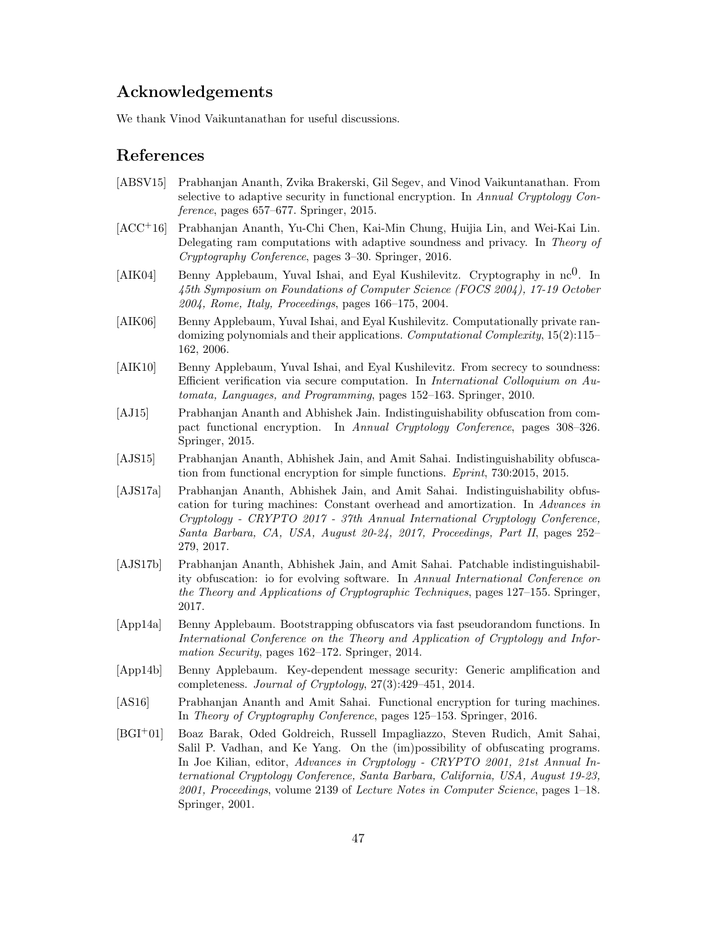## Acknowledgements

We thank Vinod Vaikuntanathan for useful discussions.

### References

- <span id="page-46-3"></span>[ABSV15] Prabhanjan Ananth, Zvika Brakerski, Gil Segev, and Vinod Vaikuntanathan. From selective to adaptive security in functional encryption. In Annual Cryptology Conference, pages 657–677. Springer, 2015.
- <span id="page-46-7"></span>[ACC+16] Prabhanjan Ananth, Yu-Chi Chen, Kai-Min Chung, Huijia Lin, and Wei-Kai Lin. Delegating ram computations with adaptive soundness and privacy. In Theory of Cryptography Conference, pages 3–30. Springer, 2016.
- <span id="page-46-1"></span>[AIK04] Benny Applebaum, Yuval Ishai, and Eyal Kushilevitz. Cryptography in  $\text{nc}^0$ . In 45th Symposium on Foundations of Computer Science (FOCS 2004), 17-19 October 2004, Rome, Italy, Proceedings, pages 166–175, 2004.
- <span id="page-46-2"></span>[AIK06] Benny Applebaum, Yuval Ishai, and Eyal Kushilevitz. Computationally private randomizing polynomials and their applications. Computational Complexity, 15(2):115– 162, 2006.
- <span id="page-46-0"></span>[AIK10] Benny Applebaum, Yuval Ishai, and Eyal Kushilevitz. From secrecy to soundness: Efficient verification via secure computation. In International Colloquium on Automata, Languages, and Programming, pages 152–163. Springer, 2010.
- <span id="page-46-6"></span>[AJ15] Prabhanjan Ananth and Abhishek Jain. Indistinguishability obfuscation from compact functional encryption. In Annual Cryptology Conference, pages 308–326. Springer, 2015.
- <span id="page-46-11"></span>[AJS15] Prabhanjan Ananth, Abhishek Jain, and Amit Sahai. Indistinguishability obfuscation from functional encryption for simple functions. Eprint, 730:2015, 2015.
- <span id="page-46-8"></span>[AJS17a] Prabhanjan Ananth, Abhishek Jain, and Amit Sahai. Indistinguishability obfuscation for turing machines: Constant overhead and amortization. In Advances in Cryptology - CRYPTO 2017 - 37th Annual International Cryptology Conference, Santa Barbara, CA, USA, August 20-24, 2017, Proceedings, Part II, pages 252– 279, 2017.
- <span id="page-46-9"></span>[AJS17b] Prabhanjan Ananth, Abhishek Jain, and Amit Sahai. Patchable indistinguishability obfuscation: io for evolving software. In Annual International Conference on the Theory and Applications of Cryptographic Techniques, pages 127–155. Springer, 2017.
- <span id="page-46-4"></span>[App14a] Benny Applebaum. Bootstrapping obfuscators via fast pseudorandom functions. In International Conference on the Theory and Application of Cryptology and Information Security, pages 162–172. Springer, 2014.
- <span id="page-46-5"></span>[App14b] Benny Applebaum. Key-dependent message security: Generic amplification and completeness. Journal of Cryptology, 27(3):429–451, 2014.
- <span id="page-46-10"></span>[AS16] Prabhanjan Ananth and Amit Sahai. Functional encryption for turing machines. In Theory of Cryptography Conference, pages 125–153. Springer, 2016.
- <span id="page-46-12"></span>[BGI<sup>+</sup>01] Boaz Barak, Oded Goldreich, Russell Impagliazzo, Steven Rudich, Amit Sahai, Salil P. Vadhan, and Ke Yang. On the (im)possibility of obfuscating programs. In Joe Kilian, editor, Advances in Cryptology - CRYPTO 2001, 21st Annual International Cryptology Conference, Santa Barbara, California, USA, August 19-23, 2001, Proceedings, volume 2139 of Lecture Notes in Computer Science, pages 1–18. Springer, 2001.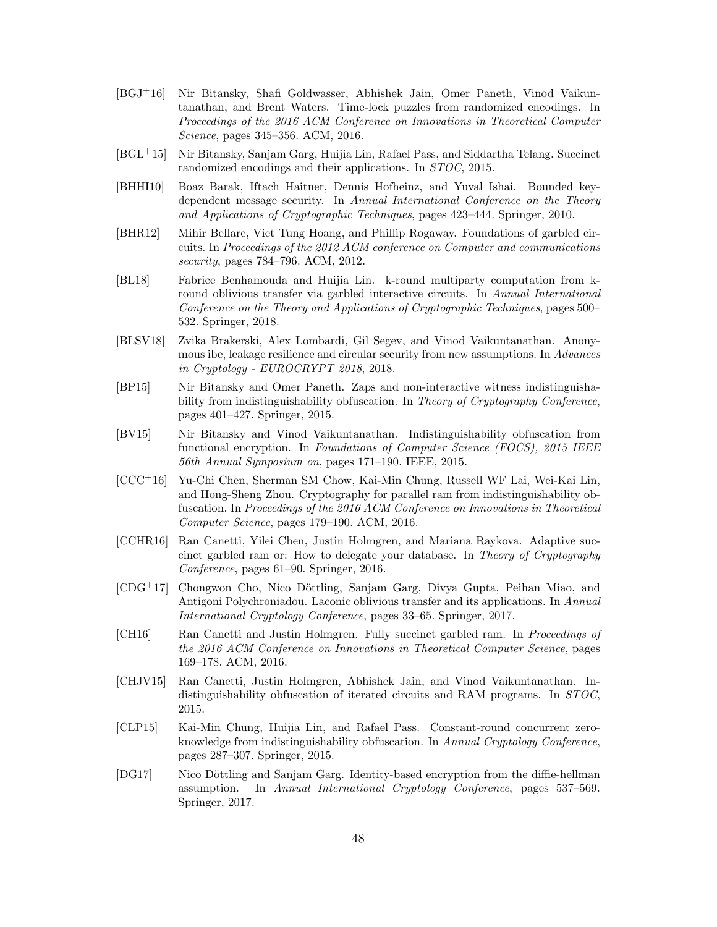- <span id="page-47-6"></span>[BGJ+16] Nir Bitansky, Shafi Goldwasser, Abhishek Jain, Omer Paneth, Vinod Vaikuntanathan, and Brent Waters. Time-lock puzzles from randomized encodings. In Proceedings of the 2016 ACM Conference on Innovations in Theoretical Computer Science, pages 345–356. ACM, 2016.
- <span id="page-47-4"></span>[BGL+15] Nir Bitansky, Sanjam Garg, Huijia Lin, Rafael Pass, and Siddartha Telang. Succinct randomized encodings and their applications. In STOC, 2015.
- <span id="page-47-0"></span>[BHHI10] Boaz Barak, Iftach Haitner, Dennis Hofheinz, and Yuval Ishai. Bounded keydependent message security. In Annual International Conference on the Theory and Applications of Cryptographic Techniques, pages 423–444. Springer, 2010.
- <span id="page-47-10"></span>[BHR12] Mihir Bellare, Viet Tung Hoang, and Phillip Rogaway. Foundations of garbled circuits. In Proceedings of the 2012 ACM conference on Computer and communications security, pages 784–796. ACM, 2012.
- <span id="page-47-1"></span>[BL18] Fabrice Benhamouda and Huijia Lin. k-round multiparty computation from kround oblivious transfer via garbled interactive circuits. In Annual International Conference on the Theory and Applications of Cryptographic Techniques, pages 500– 532. Springer, 2018.
- <span id="page-47-3"></span>[BLSV18] Zvika Brakerski, Alex Lombardi, Gil Segev, and Vinod Vaikuntanathan. Anonymous ibe, leakage resilience and circular security from new assumptions. In Advances in Cryptology - EUROCRYPT 2018, 2018.
- <span id="page-47-9"></span>[BP15] Nir Bitansky and Omer Paneth. Zaps and non-interactive witness indistinguishability from indistinguishability obfuscation. In Theory of Cryptography Conference, pages 401–427. Springer, 2015.
- <span id="page-47-8"></span>[BV15] Nir Bitansky and Vinod Vaikuntanathan. Indistinguishability obfuscation from functional encryption. In Foundations of Computer Science (FOCS), 2015 IEEE 56th Annual Symposium on, pages 171–190. IEEE, 2015.
- <span id="page-47-12"></span>[CCC+16] Yu-Chi Chen, Sherman SM Chow, Kai-Min Chung, Russell WF Lai, Wei-Kai Lin, and Hong-Sheng Zhou. Cryptography for parallel ram from indistinguishability obfuscation. In Proceedings of the 2016 ACM Conference on Innovations in Theoretical Computer Science, pages 179–190. ACM, 2016.
- <span id="page-47-13"></span>[CCHR16] Ran Canetti, Yilei Chen, Justin Holmgren, and Mariana Raykova. Adaptive succinct garbled ram or: How to delegate your database. In Theory of Cryptography Conference, pages 61–90. Springer, 2016.
- <span id="page-47-14"></span> $[CDG+17]$  Chongwon Cho, Nico Döttling, Sanjam Garg, Divya Gupta, Peihan Miao, and Antigoni Polychroniadou. Laconic oblivious transfer and its applications. In Annual International Cryptology Conference, pages 33–65. Springer, 2017.
- <span id="page-47-11"></span>[CH16] Ran Canetti and Justin Holmgren. Fully succinct garbled ram. In Proceedings of the 2016 ACM Conference on Innovations in Theoretical Computer Science, pages 169–178. ACM, 2016.
- <span id="page-47-5"></span>[CHJV15] Ran Canetti, Justin Holmgren, Abhishek Jain, and Vinod Vaikuntanathan. Indistinguishability obfuscation of iterated circuits and RAM programs. In STOC, 2015.
- <span id="page-47-7"></span>[CLP15] Kai-Min Chung, Huijia Lin, and Rafael Pass. Constant-round concurrent zeroknowledge from indistinguishability obfuscation. In Annual Cryptology Conference, pages 287–307. Springer, 2015.
- <span id="page-47-2"></span>[DG17] Nico Döttling and Sanjam Garg. Identity-based encryption from the diffic-hellman assumption. In Annual International Cryptology Conference, pages 537–569. Springer, 2017.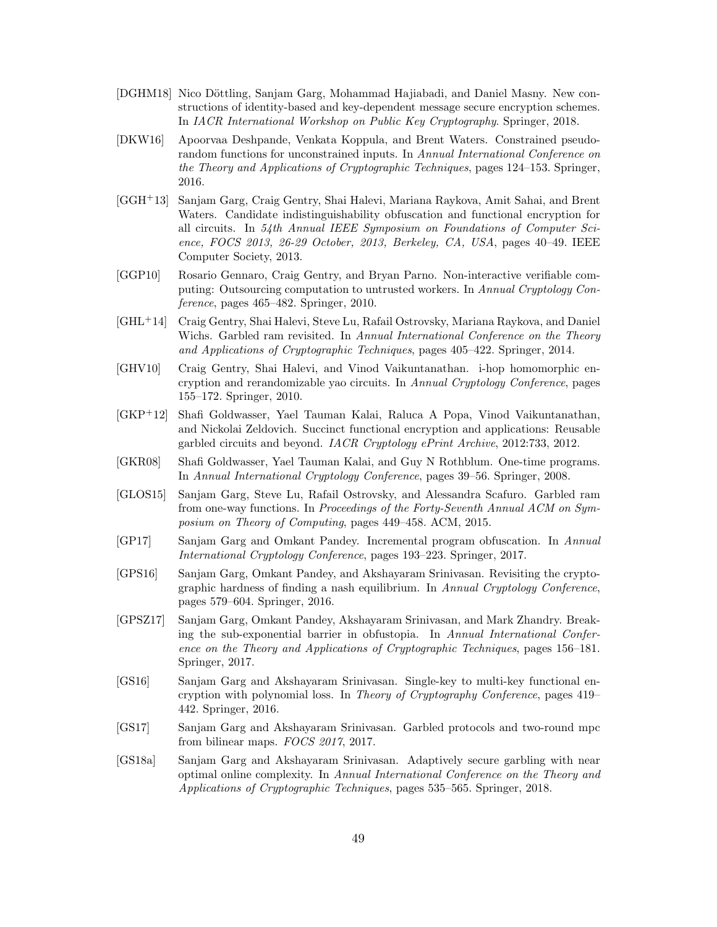- <span id="page-48-7"></span>[DGHM18] Nico Döttling, Sanjam Garg, Mohammad Hajiabadi, and Daniel Masny. New constructions of identity-based and key-dependent message secure encryption schemes. In IACR International Workshop on Public Key Cryptography. Springer, 2018.
- <span id="page-48-12"></span>[DKW16] Apoorvaa Deshpande, Venkata Koppula, and Brent Waters. Constrained pseudorandom functions for unconstrained inputs. In Annual International Conference on the Theory and Applications of Cryptographic Techniques, pages 124–153. Springer, 2016.
- <span id="page-48-14"></span>[GGH+13] Sanjam Garg, Craig Gentry, Shai Halevi, Mariana Raykova, Amit Sahai, and Brent Waters. Candidate indistinguishability obfuscation and functional encryption for all circuits. In 54th Annual IEEE Symposium on Foundations of Computer Science, FOCS 2013, 26-29 October, 2013, Berkeley, CA, USA, pages 40–49. IEEE Computer Society, 2013.
- <span id="page-48-3"></span>[GGP10] Rosario Gennaro, Craig Gentry, and Bryan Parno. Non-interactive verifiable computing: Outsourcing computation to untrusted workers. In Annual Cryptology Conference, pages 465–482. Springer, 2010.
- <span id="page-48-4"></span>[GHL+14] Craig Gentry, Shai Halevi, Steve Lu, Rafail Ostrovsky, Mariana Raykova, and Daniel Wichs. Garbled ram revisited. In Annual International Conference on the Theory and Applications of Cryptographic Techniques, pages 405–422. Springer, 2014.
- <span id="page-48-0"></span>[GHV10] Craig Gentry, Shai Halevi, and Vinod Vaikuntanathan. i-hop homomorphic encryption and rerandomizable yao circuits. In Annual Cryptology Conference, pages 155–172. Springer, 2010.
- <span id="page-48-1"></span>[GKP+12] Shafi Goldwasser, Yael Tauman Kalai, Raluca A Popa, Vinod Vaikuntanathan, and Nickolai Zeldovich. Succinct functional encryption and applications: Reusable garbled circuits and beyond. IACR Cryptology ePrint Archive, 2012:733, 2012.
- <span id="page-48-2"></span>[GKR08] Shafi Goldwasser, Yael Tauman Kalai, and Guy N Rothblum. One-time programs. In Annual International Cryptology Conference, pages 39–56. Springer, 2008.
- <span id="page-48-5"></span>[GLOS15] Sanjam Garg, Steve Lu, Rafail Ostrovsky, and Alessandra Scafuro. Garbled ram from one-way functions. In Proceedings of the Forty-Seventh Annual ACM on Symposium on Theory of Computing, pages 449–458. ACM, 2015.
- <span id="page-48-13"></span>[GP17] Sanjam Garg and Omkant Pandey. Incremental program obfuscation. In Annual International Cryptology Conference, pages 193–223. Springer, 2017.
- <span id="page-48-8"></span>[GPS16] Sanjam Garg, Omkant Pandey, and Akshayaram Srinivasan. Revisiting the cryptographic hardness of finding a nash equilibrium. In Annual Cryptology Conference, pages 579–604. Springer, 2016.
- <span id="page-48-10"></span>[GPSZ17] Sanjam Garg, Omkant Pandey, Akshayaram Srinivasan, and Mark Zhandry. Breaking the sub-exponential barrier in obfustopia. In Annual International Conference on the Theory and Applications of Cryptographic Techniques, pages 156–181. Springer, 2017.
- <span id="page-48-9"></span>[GS16] Sanjam Garg and Akshayaram Srinivasan. Single-key to multi-key functional encryption with polynomial loss. In Theory of Cryptography Conference, pages 419– 442. Springer, 2016.
- <span id="page-48-6"></span>[GS17] Sanjam Garg and Akshayaram Srinivasan. Garbled protocols and two-round mpc from bilinear maps. FOCS 2017, 2017.
- <span id="page-48-11"></span>[GS18a] Sanjam Garg and Akshayaram Srinivasan. Adaptively secure garbling with near optimal online complexity. In Annual International Conference on the Theory and Applications of Cryptographic Techniques, pages 535–565. Springer, 2018.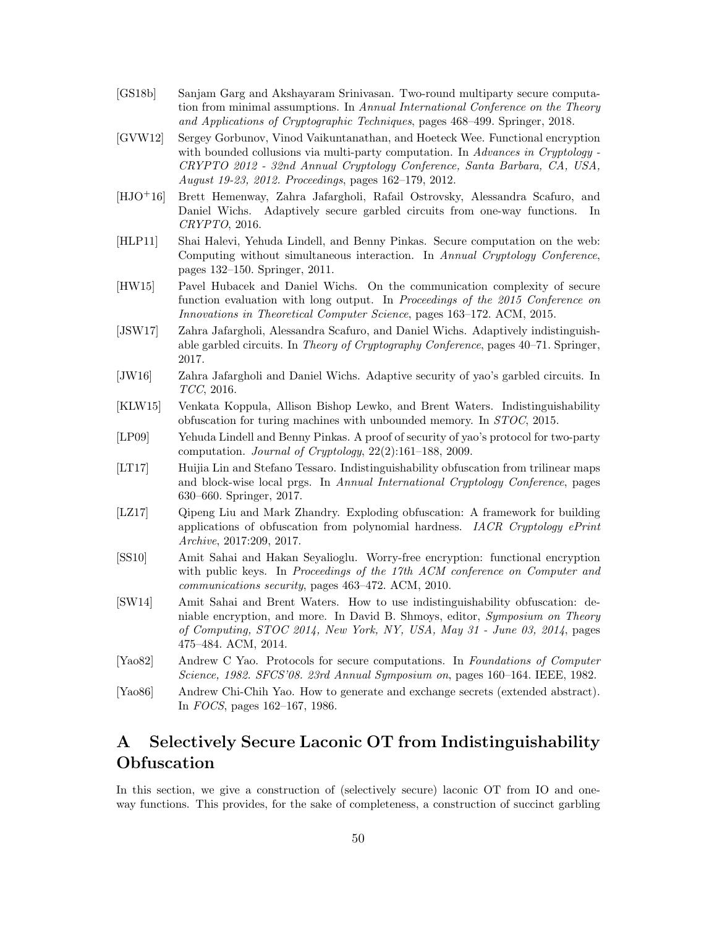- <span id="page-49-4"></span>[GS18b] Sanjam Garg and Akshayaram Srinivasan. Two-round multiparty secure computation from minimal assumptions. In Annual International Conference on the Theory and Applications of Cryptographic Techniques, pages 468–499. Springer, 2018.
- <span id="page-49-3"></span>[GVW12] Sergey Gorbunov, Vinod Vaikuntanathan, and Hoeteck Wee. Functional encryption with bounded collusions via multi-party computation. In Advances in Cryptology -CRYPTO 2012 - 32nd Annual Cryptology Conference, Santa Barbara, CA, USA, August 19-23, 2012. Proceedings, pages 162–179, 2012.
- <span id="page-49-13"></span>[HJO+16] Brett Hemenway, Zahra Jafargholi, Rafail Ostrovsky, Alessandra Scafuro, and Daniel Wichs. Adaptively secure garbled circuits from one-way functions. In CRYPTO, 2016.
- <span id="page-49-1"></span>[HLP11] Shai Halevi, Yehuda Lindell, and Benny Pinkas. Secure computation on the web: Computing without simultaneous interaction. In Annual Cryptology Conference, pages 132–150. Springer, 2011.
- <span id="page-49-12"></span>[HW15] Pavel Hubacek and Daniel Wichs. On the communication complexity of secure function evaluation with long output. In Proceedings of the 2015 Conference on Innovations in Theoretical Computer Science, pages 163–172. ACM, 2015.
- <span id="page-49-15"></span>[JSW17] Zahra Jafargholi, Alessandra Scafuro, and Daniel Wichs. Adaptively indistinguishable garbled circuits. In Theory of Cryptography Conference, pages 40–71. Springer, 2017.
- <span id="page-49-14"></span>[JW16] Zahra Jafargholi and Daniel Wichs. Adaptive security of yao's garbled circuits. In TCC, 2016.
- <span id="page-49-8"></span>[KLW15] Venkata Koppula, Allison Bishop Lewko, and Brent Waters. Indistinguishability obfuscation for turing machines with unbounded memory. In STOC, 2015.
- <span id="page-49-7"></span>[LP09] Yehuda Lindell and Benny Pinkas. A proof of security of yao's protocol for two-party computation. Journal of Cryptology, 22(2):161–188, 2009.
- <span id="page-49-10"></span>[LT17] Huijia Lin and Stefano Tessaro. Indistinguishability obfuscation from trilinear maps and block-wise local prgs. In Annual International Cryptology Conference, pages 630–660. Springer, 2017.
- <span id="page-49-9"></span>[LZ17] Qipeng Liu and Mark Zhandry. Exploding obfuscation: A framework for building applications of obfuscation from polynomial hardness. IACR Cryptology ePrint Archive, 2017:209, 2017.
- <span id="page-49-2"></span>[SS10] Amit Sahai and Hakan Seyalioglu. Worry-free encryption: functional encryption with public keys. In Proceedings of the 17th ACM conference on Computer and communications security, pages 463–472. ACM, 2010.
- <span id="page-49-11"></span>[SW14] Amit Sahai and Brent Waters. How to use indistinguishability obfuscation: deniable encryption, and more. In David B. Shmoys, editor, Symposium on Theory of Computing, STOC 2014, New York, NY, USA, May 31 - June 03, 2014, pages 475–484. ACM, 2014.
- <span id="page-49-5"></span>[Yao82] Andrew C Yao. Protocols for secure computations. In Foundations of Computer Science, 1982. SFCS'08. 23rd Annual Symposium on, pages 160–164. IEEE, 1982.
- <span id="page-49-6"></span>[Yao86] Andrew Chi-Chih Yao. How to generate and exchange secrets (extended abstract). In FOCS, pages 162–167, 1986.

## <span id="page-49-0"></span>A Selectively Secure Laconic OT from Indistinguishability **Obfuscation**

In this section, we give a construction of (selectively secure) laconic OT from IO and oneway functions. This provides, for the sake of completeness, a construction of succinct garbling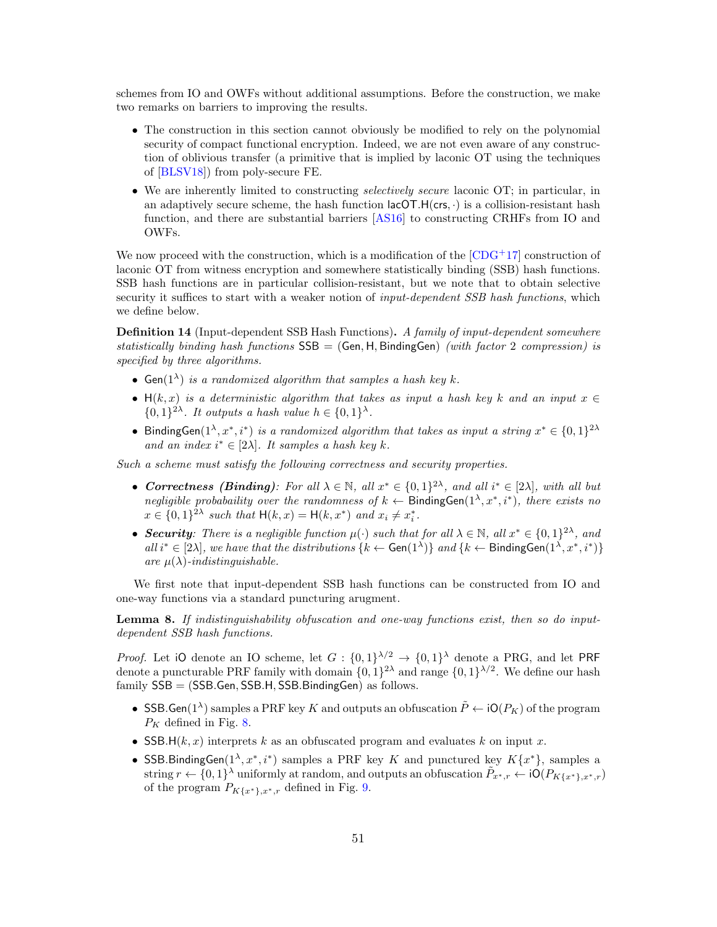schemes from IO and OWFs without additional assumptions. Before the construction, we make two remarks on barriers to improving the results.

- The construction in this section cannot obviously be modified to rely on the polynomial security of compact functional encryption. Indeed, we are not even aware of any construction of oblivious transfer (a primitive that is implied by laconic OT using the techniques of [\[BLSV18\]](#page-47-3)) from poly-secure FE.
- We are inherently limited to constructing *selectively secure* laconic OT; in particular, in an adaptively secure scheme, the hash function  $\text{lacOT.H}(\text{crs}, \cdot)$  is a collision-resistant hash function, and there are substantial barriers [\[AS16\]](#page-46-10) to constructing CRHFs from IO and OWFs.

We now proceed with the construction, which is a modification of the  $[CDG<sup>+</sup>17]$  $[CDG<sup>+</sup>17]$  construction of laconic OT from witness encryption and somewhere statistically binding (SSB) hash functions. SSB hash functions are in particular collision-resistant, but we note that to obtain selective security it suffices to start with a weaker notion of *input-dependent SSB hash functions*, which we define below.

Definition 14 (Input-dependent SSB Hash Functions). A family of input-dependent somewhere statistically binding hash functions  $SSB = (Gen, H, BindingGen)$  (with factor 2 compression) is specified by three algorithms.

- Gen( $1^{\lambda}$ ) is a randomized algorithm that samples a hash key k.
- $H(k, x)$  is a deterministic algorithm that takes as input a hash key k and an input  $x \in$  $\{0,1\}^{2\lambda}$ . It outputs a hash value  $h \in \{0,1\}^{\lambda}$ .
- BindingGen $(1^{\lambda}, x^*, i^*)$  is a randomized algorithm that takes as input a string  $x^* \in \{0,1\}^{2\lambda}$ and an index  $i^* \in [2\lambda]$ . It samples a hash key k.

Such a scheme must satisfy the following correctness and security properties.

- Correctness (Binding): For all  $\lambda \in \mathbb{N}$ , all  $x^* \in \{0,1\}^{2\lambda}$ , and all  $i^* \in [2\lambda]$ , with all but negligible probabaility over the randomness of  $k \leftarrow$  BindingGen $(1^{\lambda}, x^*, i^*)$ , there exists no  $x \in \{0,1\}^{2\lambda}$  such that  $H(k, x) = H(k, x^*)$  and  $x_i \neq x_i^*$ .
- Security: There is a negligible function  $\mu(\cdot)$  such that for all  $\lambda \in \mathbb{N}$ , all  $x^* \in \{0,1\}^{2\lambda}$ , and all  $i^* \in [2\lambda]$ , we have that the distributions  $\{k \leftarrow Gen(1^{\lambda})\}$  and  $\{k \leftarrow BindingGen(1^{\lambda}, x^*, i^*)\}$ are  $\mu(\lambda)$ -indistinguishable.

We first note that input-dependent SSB hash functions can be constructed from IO and one-way functions via a standard puncturing arugment.

Lemma 8. If indistinguishability obfuscation and one-way functions exist, then so do inputdependent SSB hash functions.

*Proof.* Let iO denote an IO scheme, let  $G: \{0,1\}^{\lambda/2} \to \{0,1\}^{\lambda}$  denote a PRG, and let PRF denote a puncturable PRF family with domain  $\{0,1\}^{2\lambda}$  and range  $\{0,1\}^{\lambda/2}$ . We define our hash  $family$   $SSB = (SSB.Gen, SSB.H, SSB.BindingGen)$  as follows.

- SSB. Gen( $1^{\lambda}$ ) samples a PRF key K and outputs an obfuscation  $\tilde{P} \leftarrow iO(P_K)$  of the program  $P_K$  defined in Fig. [8.](#page-51-0)
- SSB.H $(k, x)$  interprets k as an obfuscated program and evaluates k on input x.
- SSB.BindingGen( $1^{\lambda}, x^*, i^*$ ) samples a PRF key K and punctured key  $K\{x^*\}$ , samples a string  $r \leftarrow \{0,1\}^{\lambda}$  uniformly at random, and outputs an obfuscation  $\tilde{P}_{x^*,r} \leftarrow \text{IO}(P_{K\{x^*\},x^*,r})$ of the program  $P_{K\{x^*\},x^*,r}$  defined in Fig. [9.](#page-51-1)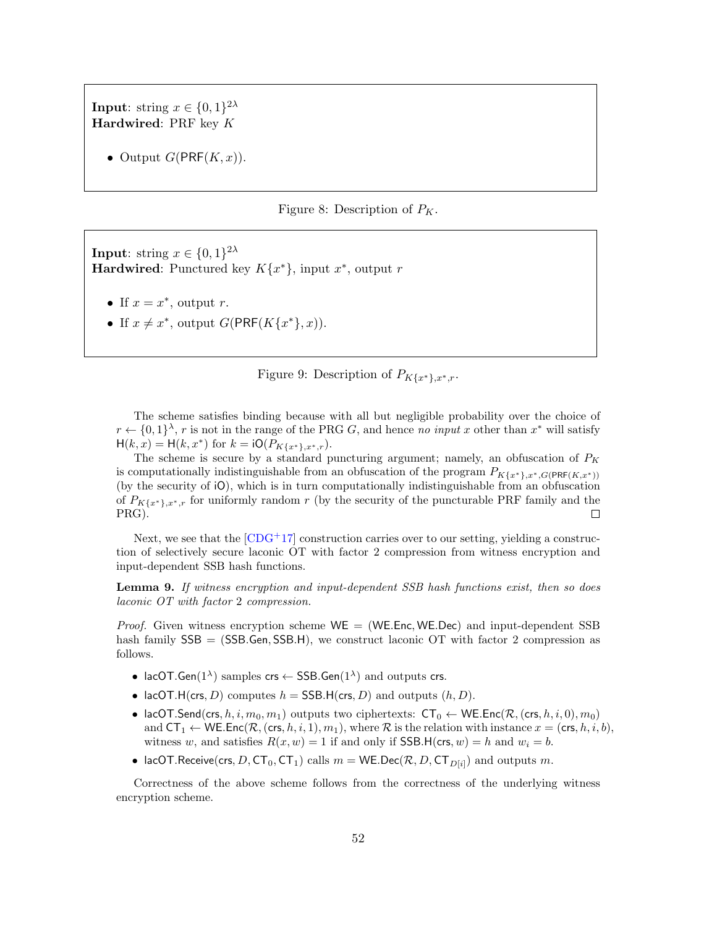**Input**: string  $x \in \{0, 1\}^{2\lambda}$ Hardwired: PRF key K

• Output  $G(\text{PRF}(K, x))$ .

#### <span id="page-51-1"></span><span id="page-51-0"></span>Figure 8: Description of  $P_K$ .

**Input**: string  $x \in \{0,1\}^{2\lambda}$ **Hardwired:** Punctured key  $K\{x^*\}$ , input  $x^*$ , output  $r$ 

- If  $x = x^*$ , output r.
- If  $x \neq x^*$ , output  $G(\text{PRF}(K\{x^*\}, x)).$

Figure 9: Description of  $P_{K\{x^*\},x^*,r}$ .

The scheme satisfies binding because with all but negligible probability over the choice of  $r \leftarrow \{0,1\}^{\lambda}, r$  is not in the range of the PRG G, and hence no input x other than  $x^*$  will satisfy  $H(k, x) = H(k, x^*)$  for  $k = iO(P_{K\{x^*\}, x^*, r})$ .

The scheme is secure by a standard puncturing argument; namely, an obfuscation of  $P_K$ is computationally indistinguishable from an obfuscation of the program  $P_{K\{x^*\},x^*,G(\text{PRF}(K,x^*))}$ (by the security of iO), which is in turn computationally indistinguishable from an obfuscation of  $P_{K\{x^*\},x^*,r}$  for uniformly random r (by the security of the puncturable PRF family and the PRG).  $\Box$ 

Next, we see that the  $[CDG+17]$  $[CDG+17]$  construction carries over to our setting, yielding a construction of selectively secure laconic OT with factor 2 compression from witness encryption and input-dependent SSB hash functions.

Lemma 9. If witness encryption and input-dependent SSB hash functions exist, then so does laconic OT with factor 2 compression.

*Proof.* Given witness encryption scheme  $WE = (WE. Enc, WE. Dec)$  and input-dependent SSB hash family  $SSB = (SSB.Gen, SSB.H)$ , we construct laconic OT with factor 2 compression as follows.

- lacOT.Gen( $1^{\lambda}$ ) samples crs  $\leftarrow$  SSB.Gen( $1^{\lambda}$ ) and outputs crs.
- lacOT.H(crs, D) computes  $h = SSB.H(crs, D)$  and outputs  $(h, D)$ .
- lacOT.Send(crs, h, i,  $m_0, m_1$ ) outputs two ciphertexts:  $CT_0 \leftarrow \text{WE}$ .Enc( $\mathcal{R}$ , (crs, h, i, 0),  $m_0$ ) and  $CT_1 \leftarrow \text{WE}.\text{Enc}(\mathcal{R}, (\text{crs}, h, i, 1), m_1),$  where  $\mathcal{R}$  is the relation with instance  $x = (\text{crs}, h, i, b),$ witness w, and satisfies  $R(x, w) = 1$  if and only if SSB.H(crs, w) = h and  $w_i = b$ .
- lacOT.Receive(crs, D, CT<sub>0</sub>, CT<sub>1</sub>) calls  $m = \mathsf{WE}.Dec(\mathcal{R}, D, \mathsf{CT}_{D[i]})$  and outputs m.

Correctness of the above scheme follows from the correctness of the underlying witness encryption scheme.